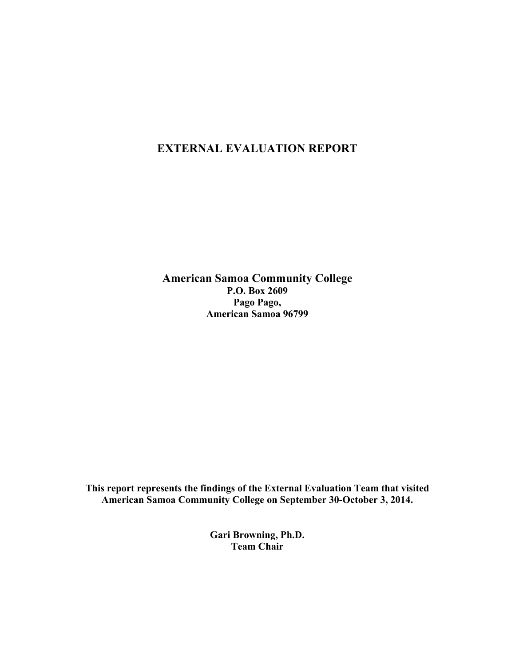# **EXTERNAL EVALUATION REPORT**

**American Samoa Community College P.O. Box 2609 Pago Pago, American Samoa 96799**

**This report represents the findings of the External Evaluation Team that visited American Samoa Community College on September 30-October 3, 2014.**

> **Gari Browning, Ph.D. Team Chair**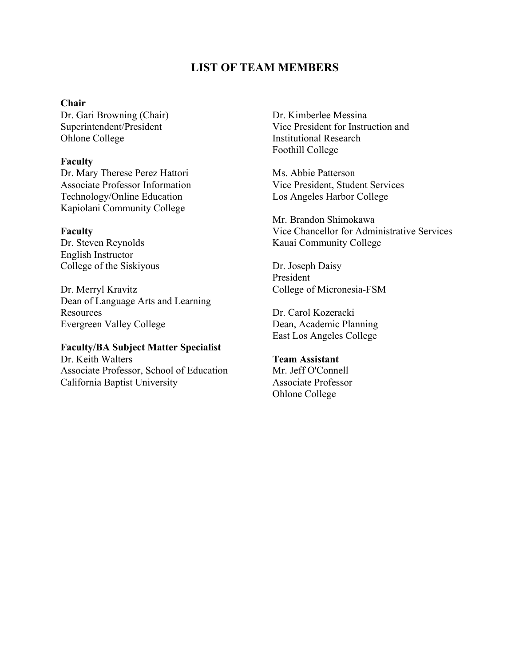## **LIST OF TEAM MEMBERS**

### **Chair**

Dr. Gari Browning (Chair) Superintendent/President Ohlone College

#### **Faculty**

Dr. Mary Therese Perez Hattori Associate Professor Information Technology/Online Education Kapiolani Community College

#### **Faculty**

Dr. Steven Reynolds English Instructor College of the Siskiyous

Dr. Merryl Kravitz Dean of Language Arts and Learning Resources Evergreen Valley College

## **Faculty/BA Subject Matter Specialist**

Dr. Keith Walters Associate Professor, School of Education California Baptist University

Dr. Kimberlee Messina Vice President for Instruction and Institutional Research Foothill College

Ms. Abbie Patterson Vice President, Student Services Los Angeles Harbor College

Mr. Brandon Shimokawa Vice Chancellor for Administrative Services Kauai Community College

Dr. Joseph Daisy President College of Micronesia-FSM

Dr. Carol Kozeracki Dean, Academic Planning East Los Angeles College

**Team Assistant** Mr. Jeff O'Connell Associate Professor Ohlone College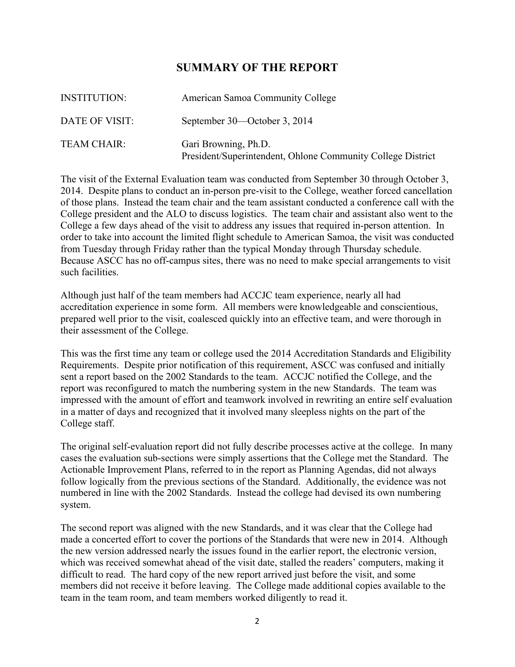## **SUMMARY OF THE REPORT**

| <b>INSTITUTION:</b> | American Samoa Community College                                                    |
|---------------------|-------------------------------------------------------------------------------------|
| DATE OF VISIT:      | September 30—October 3, 2014                                                        |
| <b>TEAM CHAIR:</b>  | Gari Browning, Ph.D.<br>President/Superintendent, Ohlone Community College District |

The visit of the External Evaluation team was conducted from September 30 through October 3, 2014. Despite plans to conduct an in-person pre-visit to the College, weather forced cancellation of those plans. Instead the team chair and the team assistant conducted a conference call with the College president and the ALO to discuss logistics. The team chair and assistant also went to the College a few days ahead of the visit to address any issues that required in-person attention. In order to take into account the limited flight schedule to American Samoa, the visit was conducted from Tuesday through Friday rather than the typical Monday through Thursday schedule. Because ASCC has no off-campus sites, there was no need to make special arrangements to visit such facilities.

Although just half of the team members had ACCJC team experience, nearly all had accreditation experience in some form. All members were knowledgeable and conscientious, prepared well prior to the visit, coalesced quickly into an effective team, and were thorough in their assessment of the College.

This was the first time any team or college used the 2014 Accreditation Standards and Eligibility Requirements. Despite prior notification of this requirement, ASCC was confused and initially sent a report based on the 2002 Standards to the team. ACCJC notified the College, and the report was reconfigured to match the numbering system in the new Standards. The team was impressed with the amount of effort and teamwork involved in rewriting an entire self evaluation in a matter of days and recognized that it involved many sleepless nights on the part of the College staff.

The original self-evaluation report did not fully describe processes active at the college. In many cases the evaluation sub-sections were simply assertions that the College met the Standard. The Actionable Improvement Plans, referred to in the report as Planning Agendas, did not always follow logically from the previous sections of the Standard. Additionally, the evidence was not numbered in line with the 2002 Standards. Instead the college had devised its own numbering system.

The second report was aligned with the new Standards, and it was clear that the College had made a concerted effort to cover the portions of the Standards that were new in 2014. Although the new version addressed nearly the issues found in the earlier report, the electronic version, which was received somewhat ahead of the visit date, stalled the readers' computers, making it difficult to read. The hard copy of the new report arrived just before the visit, and some members did not receive it before leaving. The College made additional copies available to the team in the team room, and team members worked diligently to read it.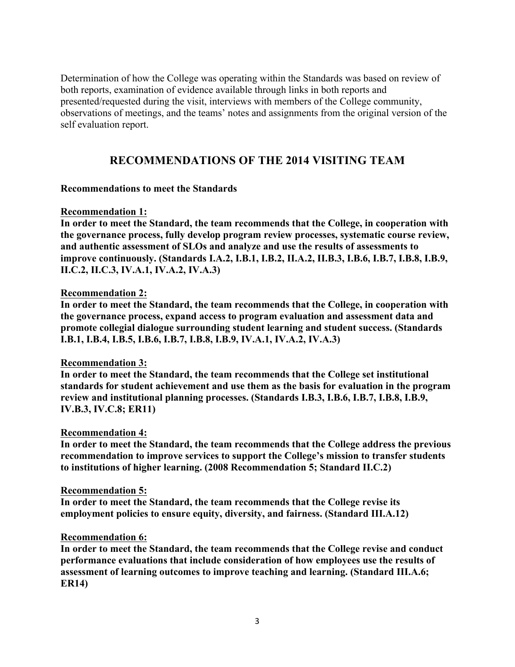Determination of how the College was operating within the Standards was based on review of both reports, examination of evidence available through links in both reports and presented/requested during the visit, interviews with members of the College community, observations of meetings, and the teams' notes and assignments from the original version of the self evaluation report.

# **RECOMMENDATIONS OF THE 2014 VISITING TEAM**

### **Recommendations to meet the Standards**

### **Recommendation 1:**

**In order to meet the Standard, the team recommends that the College, in cooperation with the governance process, fully develop program review processes, systematic course review, and authentic assessment of SLOs and analyze and use the results of assessments to improve continuously. (Standards I.A.2, I.B.1, I.B.2, II.A.2, II.B.3, I.B.6, I.B.7, I.B.8, I.B.9, II.C.2, II.C.3, IV.A.1, IV.A.2, IV.A.3)**

## **Recommendation 2:**

**In order to meet the Standard, the team recommends that the College, in cooperation with the governance process, expand access to program evaluation and assessment data and promote collegial dialogue surrounding student learning and student success. (Standards I.B.1, I.B.4, I.B.5, I.B.6, I.B.7, I.B.8, I.B.9, IV.A.1, IV.A.2, IV.A.3)**

## **Recommendation 3:**

**In order to meet the Standard, the team recommends that the College set institutional standards for student achievement and use them as the basis for evaluation in the program review and institutional planning processes. (Standards I.B.3, I.B.6, I.B.7, I.B.8, I.B.9, IV.B.3, IV.C.8; ER11)**

### **Recommendation 4:**

**In order to meet the Standard, the team recommends that the College address the previous recommendation to improve services to support the College's mission to transfer students to institutions of higher learning. (2008 Recommendation 5; Standard II.C.2)**

### **Recommendation 5:**

**In order to meet the Standard, the team recommends that the College revise its employment policies to ensure equity, diversity, and fairness. (Standard III.A.12)**

### **Recommendation 6:**

**In order to meet the Standard, the team recommends that the College revise and conduct performance evaluations that include consideration of how employees use the results of assessment of learning outcomes to improve teaching and learning. (Standard III.A.6; ER14)**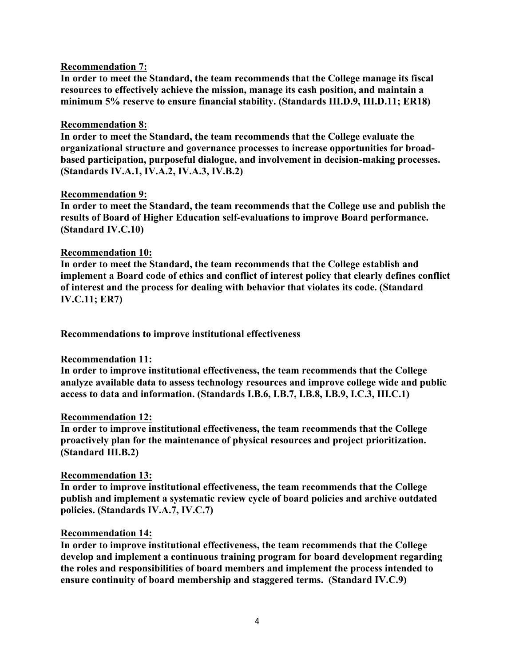### **Recommendation 7:**

**In order to meet the Standard, the team recommends that the College manage its fiscal resources to effectively achieve the mission, manage its cash position, and maintain a minimum 5% reserve to ensure financial stability. (Standards III.D.9, III.D.11; ER18)**

### **Recommendation 8:**

**In order to meet the Standard, the team recommends that the College evaluate the organizational structure and governance processes to increase opportunities for broadbased participation, purposeful dialogue, and involvement in decision-making processes. (Standards IV.A.1, IV.A.2, IV.A.3, IV.B.2)**

### **Recommendation 9:**

**In order to meet the Standard, the team recommends that the College use and publish the results of Board of Higher Education self-evaluations to improve Board performance. (Standard IV.C.10)**

### **Recommendation 10:**

**In order to meet the Standard, the team recommends that the College establish and implement a Board code of ethics and conflict of interest policy that clearly defines conflict of interest and the process for dealing with behavior that violates its code. (Standard IV.C.11; ER7)**

**Recommendations to improve institutional effectiveness**

### **Recommendation 11:**

**In order to improve institutional effectiveness, the team recommends that the College analyze available data to assess technology resources and improve college wide and public access to data and information. (Standards I.B.6, I.B.7, I.B.8, I.B.9, I.C.3, III.C.1)**

### **Recommendation 12:**

**In order to improve institutional effectiveness, the team recommends that the College proactively plan for the maintenance of physical resources and project prioritization. (Standard III.B.2)**

### **Recommendation 13:**

**In order to improve institutional effectiveness, the team recommends that the College publish and implement a systematic review cycle of board policies and archive outdated policies. (Standards IV.A.7, IV.C.7)**

### **Recommendation 14:**

**In order to improve institutional effectiveness, the team recommends that the College develop and implement a continuous training program for board development regarding the roles and responsibilities of board members and implement the process intended to ensure continuity of board membership and staggered terms. (Standard IV.C.9)**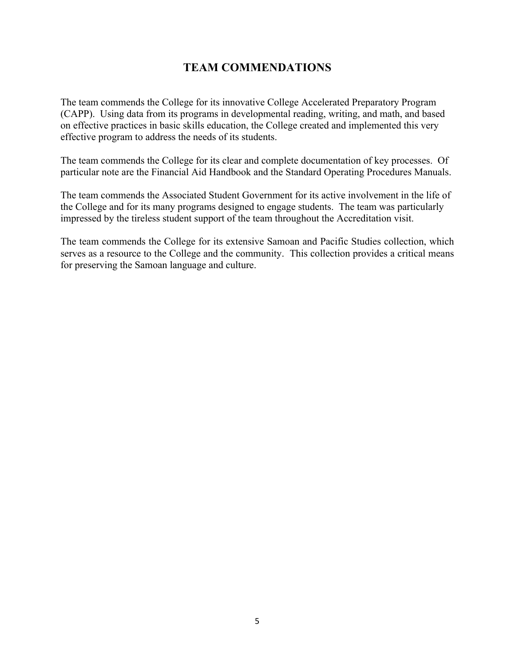# **TEAM COMMENDATIONS**

The team commends the College for its innovative College Accelerated Preparatory Program (CAPP). Using data from its programs in developmental reading, writing, and math, and based on effective practices in basic skills education, the College created and implemented this very effective program to address the needs of its students.

The team commends the College for its clear and complete documentation of key processes. Of particular note are the Financial Aid Handbook and the Standard Operating Procedures Manuals.

The team commends the Associated Student Government for its active involvement in the life of the College and for its many programs designed to engage students. The team was particularly impressed by the tireless student support of the team throughout the Accreditation visit.

The team commends the College for its extensive Samoan and Pacific Studies collection, which serves as a resource to the College and the community. This collection provides a critical means for preserving the Samoan language and culture.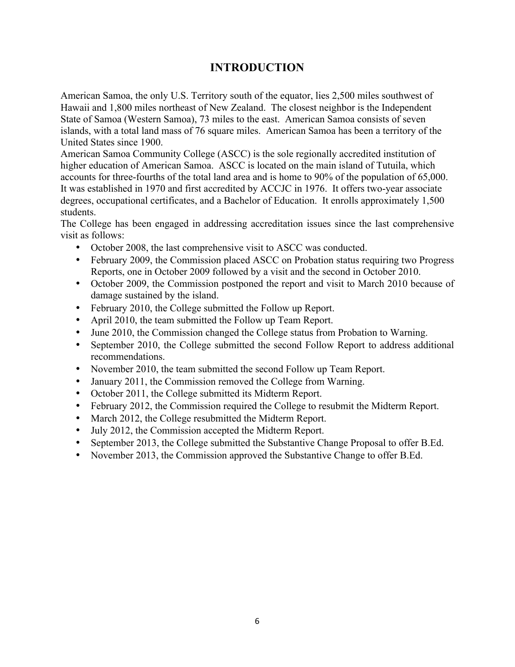# **INTRODUCTION**

American Samoa, the only U.S. Territory south of the equator, lies 2,500 miles southwest of Hawaii and 1,800 miles northeast of New Zealand. The closest neighbor is the Independent State of Samoa (Western Samoa), 73 miles to the east. American Samoa consists of seven islands, with a total land mass of 76 square miles. American Samoa has been a territory of the United States since 1900.

American Samoa Community College (ASCC) is the sole regionally accredited institution of higher education of American Samoa. ASCC is located on the main island of Tutuila, which accounts for three-fourths of the total land area and is home to 90% of the population of 65,000. It was established in 1970 and first accredited by ACCJC in 1976. It offers two-year associate degrees, occupational certificates, and a Bachelor of Education. It enrolls approximately 1,500 students.

The College has been engaged in addressing accreditation issues since the last comprehensive visit as follows:

- October 2008, the last comprehensive visit to ASCC was conducted.
- February 2009, the Commission placed ASCC on Probation status requiring two Progress Reports, one in October 2009 followed by a visit and the second in October 2010.
- October 2009, the Commission postponed the report and visit to March 2010 because of damage sustained by the island.
- February 2010, the College submitted the Follow up Report.
- April 2010, the team submitted the Follow up Team Report.
- June 2010, the Commission changed the College status from Probation to Warning.
- September 2010, the College submitted the second Follow Report to address additional recommendations.
- November 2010, the team submitted the second Follow up Team Report.
- January 2011, the Commission removed the College from Warning.
- October 2011, the College submitted its Midterm Report.
- February 2012, the Commission required the College to resubmit the Midterm Report.
- March 2012, the College resubmitted the Midterm Report.
- July 2012, the Commission accepted the Midterm Report.
- September 2013, the College submitted the Substantive Change Proposal to offer B.Ed.
- November 2013, the Commission approved the Substantive Change to offer B.Ed.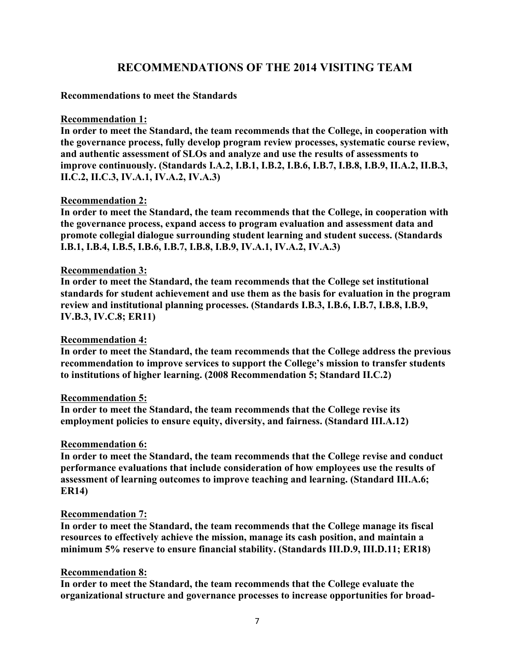# **RECOMMENDATIONS OF THE 2014 VISITING TEAM**

### **Recommendations to meet the Standards**

### **Recommendation 1:**

**In order to meet the Standard, the team recommends that the College, in cooperation with the governance process, fully develop program review processes, systematic course review, and authentic assessment of SLOs and analyze and use the results of assessments to improve continuously. (Standards I.A.2, I.B.1, I.B.2, I.B.6, I.B.7, I.B.8, I.B.9, II.A.2, II.B.3, II.C.2, II.C.3, IV.A.1, IV.A.2, IV.A.3)**

### **Recommendation 2:**

**In order to meet the Standard, the team recommends that the College, in cooperation with the governance process, expand access to program evaluation and assessment data and promote collegial dialogue surrounding student learning and student success. (Standards I.B.1, I.B.4, I.B.5, I.B.6, I.B.7, I.B.8, I.B.9, IV.A.1, IV.A.2, IV.A.3)**

### **Recommendation 3:**

**In order to meet the Standard, the team recommends that the College set institutional standards for student achievement and use them as the basis for evaluation in the program review and institutional planning processes. (Standards I.B.3, I.B.6, I.B.7, I.B.8, I.B.9, IV.B.3, IV.C.8; ER11)**

### **Recommendation 4:**

**In order to meet the Standard, the team recommends that the College address the previous recommendation to improve services to support the College's mission to transfer students to institutions of higher learning. (2008 Recommendation 5; Standard II.C.2)**

### **Recommendation 5:**

**In order to meet the Standard, the team recommends that the College revise its employment policies to ensure equity, diversity, and fairness. (Standard III.A.12)**

### **Recommendation 6:**

**In order to meet the Standard, the team recommends that the College revise and conduct performance evaluations that include consideration of how employees use the results of assessment of learning outcomes to improve teaching and learning. (Standard III.A.6; ER14)**

### **Recommendation 7:**

**In order to meet the Standard, the team recommends that the College manage its fiscal resources to effectively achieve the mission, manage its cash position, and maintain a minimum 5% reserve to ensure financial stability. (Standards III.D.9, III.D.11; ER18)**

### **Recommendation 8:**

**In order to meet the Standard, the team recommends that the College evaluate the organizational structure and governance processes to increase opportunities for broad-**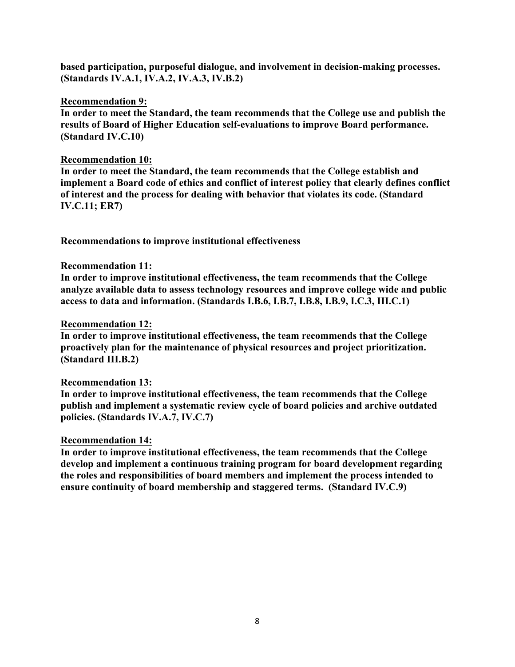**based participation, purposeful dialogue, and involvement in decision-making processes. (Standards IV.A.1, IV.A.2, IV.A.3, IV.B.2)**

### **Recommendation 9:**

**In order to meet the Standard, the team recommends that the College use and publish the results of Board of Higher Education self-evaluations to improve Board performance. (Standard IV.C.10)**

### **Recommendation 10:**

**In order to meet the Standard, the team recommends that the College establish and implement a Board code of ethics and conflict of interest policy that clearly defines conflict of interest and the process for dealing with behavior that violates its code. (Standard IV.C.11; ER7)**

**Recommendations to improve institutional effectiveness**

### **Recommendation 11:**

**In order to improve institutional effectiveness, the team recommends that the College analyze available data to assess technology resources and improve college wide and public access to data and information. (Standards I.B.6, I.B.7, I.B.8, I.B.9, I.C.3, III.C.1)**

### **Recommendation 12:**

**In order to improve institutional effectiveness, the team recommends that the College proactively plan for the maintenance of physical resources and project prioritization. (Standard III.B.2)**

### **Recommendation 13:**

**In order to improve institutional effectiveness, the team recommends that the College publish and implement a systematic review cycle of board policies and archive outdated policies. (Standards IV.A.7, IV.C.7)**

### **Recommendation 14:**

**In order to improve institutional effectiveness, the team recommends that the College develop and implement a continuous training program for board development regarding the roles and responsibilities of board members and implement the process intended to ensure continuity of board membership and staggered terms. (Standard IV.C.9)**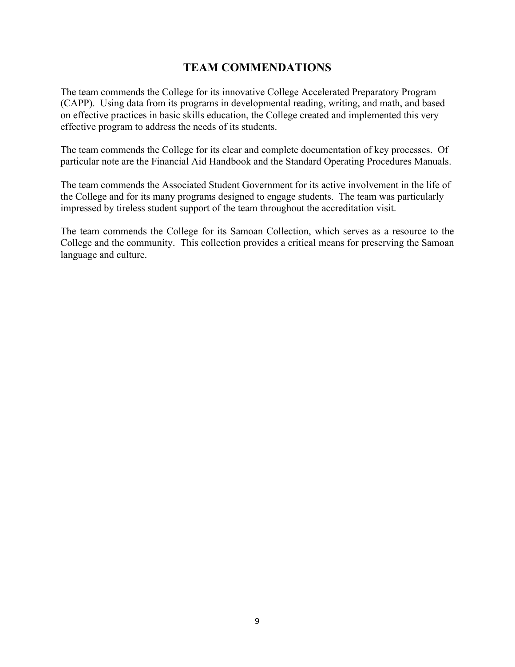# **TEAM COMMENDATIONS**

The team commends the College for its innovative College Accelerated Preparatory Program (CAPP). Using data from its programs in developmental reading, writing, and math, and based on effective practices in basic skills education, the College created and implemented this very effective program to address the needs of its students.

The team commends the College for its clear and complete documentation of key processes. Of particular note are the Financial Aid Handbook and the Standard Operating Procedures Manuals.

The team commends the Associated Student Government for its active involvement in the life of the College and for its many programs designed to engage students. The team was particularly impressed by tireless student support of the team throughout the accreditation visit.

The team commends the College for its Samoan Collection, which serves as a resource to the College and the community. This collection provides a critical means for preserving the Samoan language and culture.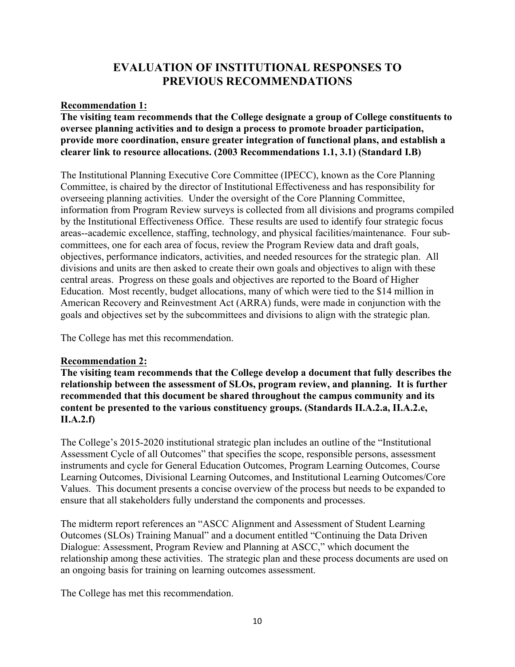# **EVALUATION OF INSTITUTIONAL RESPONSES TO PREVIOUS RECOMMENDATIONS**

## **Recommendation 1:**

**The visiting team recommends that the College designate a group of College constituents to oversee planning activities and to design a process to promote broader participation, provide more coordination, ensure greater integration of functional plans, and establish a clearer link to resource allocations. (2003 Recommendations 1.1, 3.1) (Standard I.B)**

The Institutional Planning Executive Core Committee (IPECC), known as the Core Planning Committee, is chaired by the director of Institutional Effectiveness and has responsibility for overseeing planning activities. Under the oversight of the Core Planning Committee, information from Program Review surveys is collected from all divisions and programs compiled by the Institutional Effectiveness Office. These results are used to identify four strategic focus areas--academic excellence, staffing, technology, and physical facilities/maintenance. Four subcommittees, one for each area of focus, review the Program Review data and draft goals, objectives, performance indicators, activities, and needed resources for the strategic plan. All divisions and units are then asked to create their own goals and objectives to align with these central areas. Progress on these goals and objectives are reported to the Board of Higher Education. Most recently, budget allocations, many of which were tied to the \$14 million in American Recovery and Reinvestment Act (ARRA) funds, were made in conjunction with the goals and objectives set by the subcommittees and divisions to align with the strategic plan.

The College has met this recommendation.

## **Recommendation 2:**

**The visiting team recommends that the College develop a document that fully describes the relationship between the assessment of SLOs, program review, and planning. It is further recommended that this document be shared throughout the campus community and its content be presented to the various constituency groups. (Standards II.A.2.a, II.A.2.e, II.A.2.f)**

The College's 2015-2020 institutional strategic plan includes an outline of the "Institutional Assessment Cycle of all Outcomes" that specifies the scope, responsible persons, assessment instruments and cycle for General Education Outcomes, Program Learning Outcomes, Course Learning Outcomes, Divisional Learning Outcomes, and Institutional Learning Outcomes/Core Values. This document presents a concise overview of the process but needs to be expanded to ensure that all stakeholders fully understand the components and processes.

The midterm report references an "ASCC Alignment and Assessment of Student Learning Outcomes (SLOs) Training Manual" and a document entitled "Continuing the Data Driven Dialogue: Assessment, Program Review and Planning at ASCC," which document the relationship among these activities. The strategic plan and these process documents are used on an ongoing basis for training on learning outcomes assessment.

The College has met this recommendation.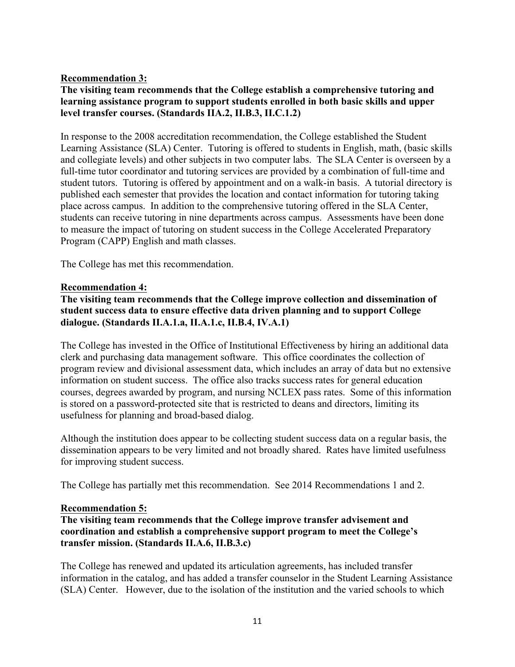## **Recommendation 3:**

## **The visiting team recommends that the College establish a comprehensive tutoring and learning assistance program to support students enrolled in both basic skills and upper level transfer courses. (Standards IIA.2, II.B.3, II.C.1.2)**

In response to the 2008 accreditation recommendation, the College established the Student Learning Assistance (SLA) Center. Tutoring is offered to students in English, math, (basic skills and collegiate levels) and other subjects in two computer labs. The SLA Center is overseen by a full-time tutor coordinator and tutoring services are provided by a combination of full-time and student tutors. Tutoring is offered by appointment and on a walk-in basis. A tutorial directory is published each semester that provides the location and contact information for tutoring taking place across campus. In addition to the comprehensive tutoring offered in the SLA Center, students can receive tutoring in nine departments across campus. Assessments have been done to measure the impact of tutoring on student success in the College Accelerated Preparatory Program (CAPP) English and math classes.

The College has met this recommendation.

### **Recommendation 4:**

## **The visiting team recommends that the College improve collection and dissemination of student success data to ensure effective data driven planning and to support College dialogue. (Standards II.A.1.a, II.A.1.c, II.B.4, IV.A.1)**

The College has invested in the Office of Institutional Effectiveness by hiring an additional data clerk and purchasing data management software. This office coordinates the collection of program review and divisional assessment data, which includes an array of data but no extensive information on student success. The office also tracks success rates for general education courses, degrees awarded by program, and nursing NCLEX pass rates. Some of this information is stored on a password-protected site that is restricted to deans and directors, limiting its usefulness for planning and broad-based dialog.

Although the institution does appear to be collecting student success data on a regular basis, the dissemination appears to be very limited and not broadly shared. Rates have limited usefulness for improving student success.

The College has partially met this recommendation. See 2014 Recommendations 1 and 2.

### **Recommendation 5:**

## **The visiting team recommends that the College improve transfer advisement and coordination and establish a comprehensive support program to meet the College's transfer mission. (Standards II.A.6, II.B.3.c)**

The College has renewed and updated its articulation agreements, has included transfer information in the catalog, and has added a transfer counselor in the Student Learning Assistance (SLA) Center. However, due to the isolation of the institution and the varied schools to which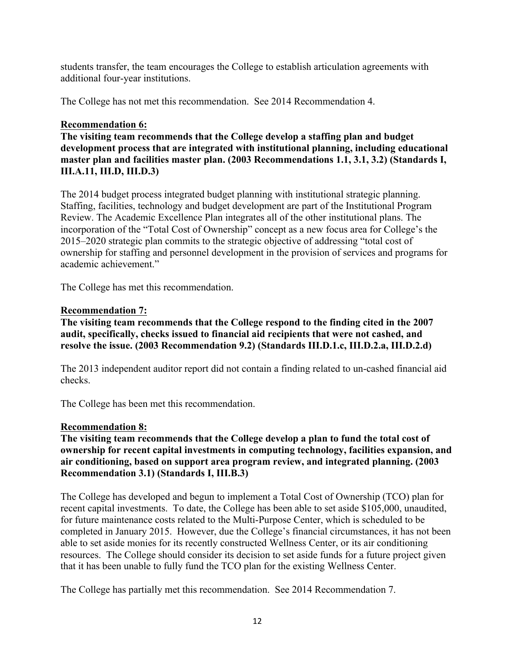students transfer, the team encourages the College to establish articulation agreements with additional four-year institutions.

The College has not met this recommendation. See 2014 Recommendation 4.

## **Recommendation 6:**

**The visiting team recommends that the College develop a staffing plan and budget development process that are integrated with institutional planning, including educational master plan and facilities master plan. (2003 Recommendations 1.1, 3.1, 3.2) (Standards I, III.A.11, III.D, III.D.3)**

The 2014 budget process integrated budget planning with institutional strategic planning. Staffing, facilities, technology and budget development are part of the Institutional Program Review. The Academic Excellence Plan integrates all of the other institutional plans. The incorporation of the "Total Cost of Ownership" concept as a new focus area for College's the 2015–2020 strategic plan commits to the strategic objective of addressing "total cost of ownership for staffing and personnel development in the provision of services and programs for academic achievement."

The College has met this recommendation.

## **Recommendation 7:**

**The visiting team recommends that the College respond to the finding cited in the 2007 audit, specifically, checks issued to financial aid recipients that were not cashed, and resolve the issue. (2003 Recommendation 9.2) (Standards III.D.1.c, III.D.2.a, III.D.2.d)**

The 2013 independent auditor report did not contain a finding related to un-cashed financial aid checks.

The College has been met this recommendation.

### **Recommendation 8:**

**The visiting team recommends that the College develop a plan to fund the total cost of ownership for recent capital investments in computing technology, facilities expansion, and air conditioning, based on support area program review, and integrated planning. (2003 Recommendation 3.1) (Standards I, III.B.3)**

The College has developed and begun to implement a Total Cost of Ownership (TCO) plan for recent capital investments. To date, the College has been able to set aside \$105,000, unaudited, for future maintenance costs related to the Multi-Purpose Center, which is scheduled to be completed in January 2015. However, due the College's financial circumstances, it has not been able to set aside monies for its recently constructed Wellness Center, or its air conditioning resources. The College should consider its decision to set aside funds for a future project given that it has been unable to fully fund the TCO plan for the existing Wellness Center.

The College has partially met this recommendation. See 2014 Recommendation 7.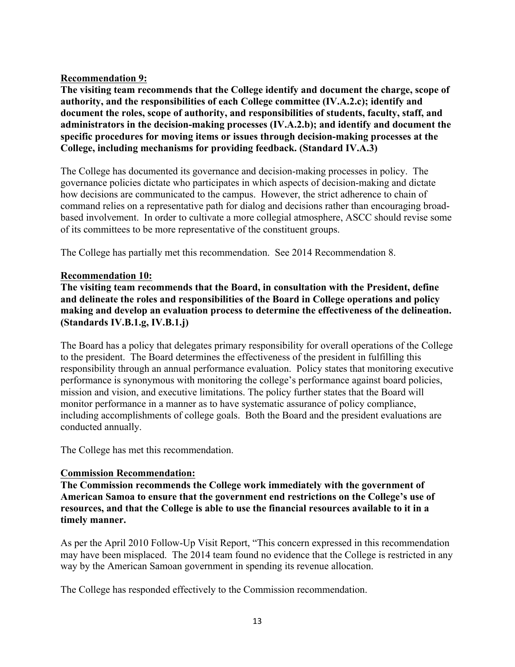## **Recommendation 9:**

**The visiting team recommends that the College identify and document the charge, scope of authority, and the responsibilities of each College committee (IV.A.2.c); identify and document the roles, scope of authority, and responsibilities of students, faculty, staff, and administrators in the decision-making processes (IV.A.2.b); and identify and document the specific procedures for moving items or issues through decision-making processes at the College, including mechanisms for providing feedback. (Standard IV.A.3)**

The College has documented its governance and decision-making processes in policy. The governance policies dictate who participates in which aspects of decision-making and dictate how decisions are communicated to the campus. However, the strict adherence to chain of command relies on a representative path for dialog and decisions rather than encouraging broadbased involvement. In order to cultivate a more collegial atmosphere, ASCC should revise some of its committees to be more representative of the constituent groups.

The College has partially met this recommendation. See 2014 Recommendation 8.

## **Recommendation 10:**

**The visiting team recommends that the Board, in consultation with the President, define and delineate the roles and responsibilities of the Board in College operations and policy making and develop an evaluation process to determine the effectiveness of the delineation. (Standards IV.B.1.g, IV.B.1.j)**

The Board has a policy that delegates primary responsibility for overall operations of the College to the president. The Board determines the effectiveness of the president in fulfilling this responsibility through an annual performance evaluation. Policy states that monitoring executive performance is synonymous with monitoring the college's performance against board policies, mission and vision, and executive limitations. The policy further states that the Board will monitor performance in a manner as to have systematic assurance of policy compliance, including accomplishments of college goals. Both the Board and the president evaluations are conducted annually.

The College has met this recommendation.

### **Commission Recommendation:**

**The Commission recommends the College work immediately with the government of American Samoa to ensure that the government end restrictions on the College's use of resources, and that the College is able to use the financial resources available to it in a timely manner.**

As per the April 2010 Follow-Up Visit Report, "This concern expressed in this recommendation may have been misplaced. The 2014 team found no evidence that the College is restricted in any way by the American Samoan government in spending its revenue allocation.

The College has responded effectively to the Commission recommendation.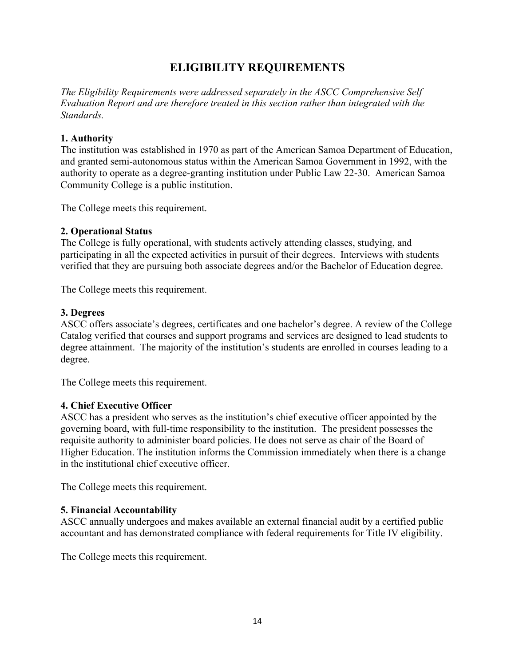# **ELIGIBILITY REQUIREMENTS**

*The Eligibility Requirements were addressed separately in the ASCC Comprehensive Self Evaluation Report and are therefore treated in this section rather than integrated with the Standards.*

## **1. Authority**

The institution was established in 1970 as part of the American Samoa Department of Education, and granted semi-autonomous status within the American Samoa Government in 1992, with the authority to operate as a degree-granting institution under Public Law 22-30. American Samoa Community College is a public institution.

The College meets this requirement.

### **2. Operational Status**

The College is fully operational, with students actively attending classes, studying, and participating in all the expected activities in pursuit of their degrees. Interviews with students verified that they are pursuing both associate degrees and/or the Bachelor of Education degree.

The College meets this requirement.

### **3. Degrees**

ASCC offers associate's degrees, certificates and one bachelor's degree. A review of the College Catalog verified that courses and support programs and services are designed to lead students to degree attainment. The majority of the institution's students are enrolled in courses leading to a degree.

The College meets this requirement.

### **4. Chief Executive Officer**

ASCC has a president who serves as the institution's chief executive officer appointed by the governing board, with full-time responsibility to the institution. The president possesses the requisite authority to administer board policies. He does not serve as chair of the Board of Higher Education. The institution informs the Commission immediately when there is a change in the institutional chief executive officer.

The College meets this requirement.

### **5. Financial Accountability**

ASCC annually undergoes and makes available an external financial audit by a certified public accountant and has demonstrated compliance with federal requirements for Title IV eligibility.

The College meets this requirement.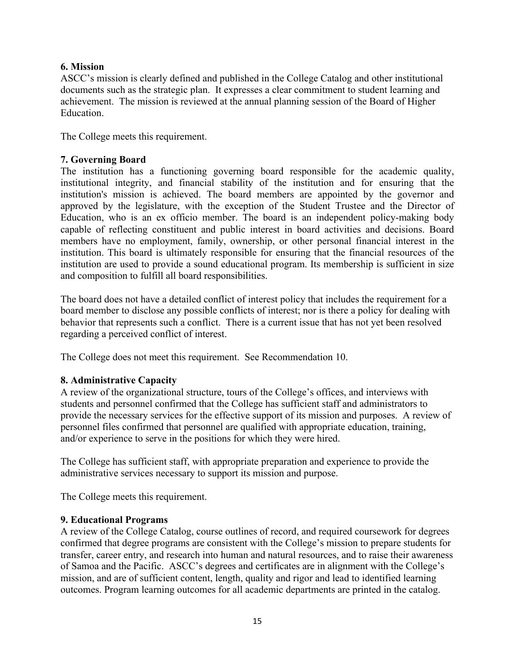## **6. Mission**

ASCC's mission is clearly defined and published in the College Catalog and other institutional documents such as the strategic plan. It expresses a clear commitment to student learning and achievement. The mission is reviewed at the annual planning session of the Board of Higher Education.

The College meets this requirement.

## **7. Governing Board**

The institution has a functioning governing board responsible for the academic quality, institutional integrity, and financial stability of the institution and for ensuring that the institution's mission is achieved. The board members are appointed by the governor and approved by the legislature, with the exception of the Student Trustee and the Director of Education, who is an ex officio member. The board is an independent policy-making body capable of reflecting constituent and public interest in board activities and decisions. Board members have no employment, family, ownership, or other personal financial interest in the institution. This board is ultimately responsible for ensuring that the financial resources of the institution are used to provide a sound educational program. Its membership is sufficient in size and composition to fulfill all board responsibilities.

The board does not have a detailed conflict of interest policy that includes the requirement for a board member to disclose any possible conflicts of interest; nor is there a policy for dealing with behavior that represents such a conflict. There is a current issue that has not yet been resolved regarding a perceived conflict of interest.

The College does not meet this requirement. See Recommendation 10.

## **8. Administrative Capacity**

A review of the organizational structure, tours of the College's offices, and interviews with students and personnel confirmed that the College has sufficient staff and administrators to provide the necessary services for the effective support of its mission and purposes. A review of personnel files confirmed that personnel are qualified with appropriate education, training, and/or experience to serve in the positions for which they were hired.

The College has sufficient staff, with appropriate preparation and experience to provide the administrative services necessary to support its mission and purpose.

The College meets this requirement.

## **9. Educational Programs**

A review of the College Catalog, course outlines of record, and required coursework for degrees confirmed that degree programs are consistent with the College's mission to prepare students for transfer, career entry, and research into human and natural resources, and to raise their awareness of Samoa and the Pacific. ASCC's degrees and certificates are in alignment with the College's mission, and are of sufficient content, length, quality and rigor and lead to identified learning outcomes. Program learning outcomes for all academic departments are printed in the catalog.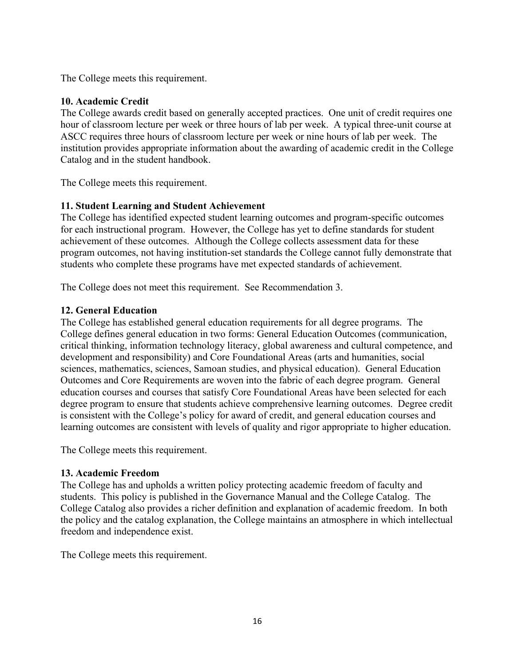The College meets this requirement.

## **10. Academic Credit**

The College awards credit based on generally accepted practices. One unit of credit requires one hour of classroom lecture per week or three hours of lab per week. A typical three-unit course at ASCC requires three hours of classroom lecture per week or nine hours of lab per week. The institution provides appropriate information about the awarding of academic credit in the College Catalog and in the student handbook.

The College meets this requirement.

## **11. Student Learning and Student Achievement**

The College has identified expected student learning outcomes and program-specific outcomes for each instructional program. However, the College has yet to define standards for student achievement of these outcomes. Although the College collects assessment data for these program outcomes, not having institution-set standards the College cannot fully demonstrate that students who complete these programs have met expected standards of achievement.

The College does not meet this requirement. See Recommendation 3.

## **12. General Education**

The College has established general education requirements for all degree programs. The College defines general education in two forms: General Education Outcomes (communication, critical thinking, information technology literacy, global awareness and cultural competence, and development and responsibility) and Core Foundational Areas (arts and humanities, social sciences, mathematics, sciences, Samoan studies, and physical education). General Education Outcomes and Core Requirements are woven into the fabric of each degree program. General education courses and courses that satisfy Core Foundational Areas have been selected for each degree program to ensure that students achieve comprehensive learning outcomes. Degree credit is consistent with the College's policy for award of credit, and general education courses and learning outcomes are consistent with levels of quality and rigor appropriate to higher education.

The College meets this requirement.

### **13. Academic Freedom**

The College has and upholds a written policy protecting academic freedom of faculty and students. This policy is published in the Governance Manual and the College Catalog. The College Catalog also provides a richer definition and explanation of academic freedom. In both the policy and the catalog explanation, the College maintains an atmosphere in which intellectual freedom and independence exist.

The College meets this requirement.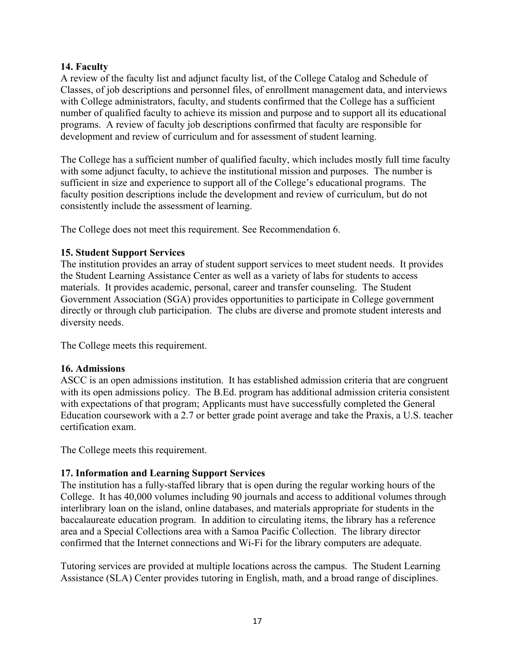## **14. Faculty**

A review of the faculty list and adjunct faculty list, of the College Catalog and Schedule of Classes, of job descriptions and personnel files, of enrollment management data, and interviews with College administrators, faculty, and students confirmed that the College has a sufficient number of qualified faculty to achieve its mission and purpose and to support all its educational programs. A review of faculty job descriptions confirmed that faculty are responsible for development and review of curriculum and for assessment of student learning.

The College has a sufficient number of qualified faculty, which includes mostly full time faculty with some adjunct faculty, to achieve the institutional mission and purposes. The number is sufficient in size and experience to support all of the College's educational programs. The faculty position descriptions include the development and review of curriculum, but do not consistently include the assessment of learning.

The College does not meet this requirement. See Recommendation 6.

## **15. Student Support Services**

The institution provides an array of student support services to meet student needs. It provides the Student Learning Assistance Center as well as a variety of labs for students to access materials. It provides academic, personal, career and transfer counseling. The Student Government Association (SGA) provides opportunities to participate in College government directly or through club participation. The clubs are diverse and promote student interests and diversity needs.

The College meets this requirement.

## **16. Admissions**

ASCC is an open admissions institution. It has established admission criteria that are congruent with its open admissions policy. The B.Ed. program has additional admission criteria consistent with expectations of that program; Applicants must have successfully completed the General Education coursework with a 2.7 or better grade point average and take the Praxis, a U.S. teacher certification exam.

The College meets this requirement.

## **17. Information and Learning Support Services**

The institution has a fully-staffed library that is open during the regular working hours of the College. It has 40,000 volumes including 90 journals and access to additional volumes through interlibrary loan on the island, online databases, and materials appropriate for students in the baccalaureate education program. In addition to circulating items, the library has a reference area and a Special Collections area with a Samoa Pacific Collection. The library director confirmed that the Internet connections and Wi-Fi for the library computers are adequate.

Tutoring services are provided at multiple locations across the campus. The Student Learning Assistance (SLA) Center provides tutoring in English, math, and a broad range of disciplines.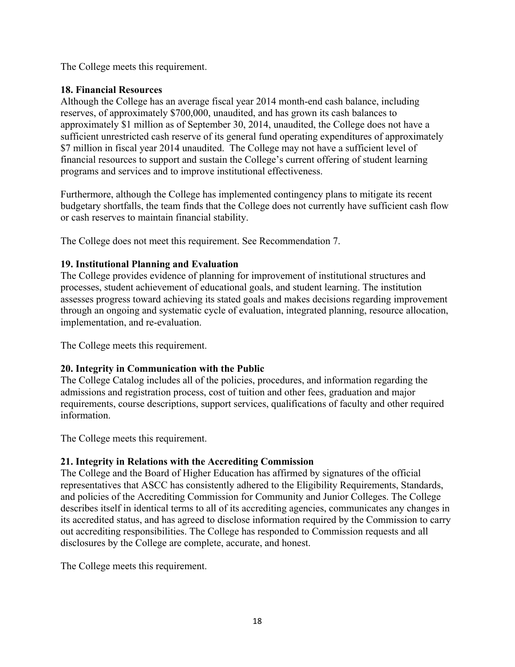The College meets this requirement.

## **18. Financial Resources**

Although the College has an average fiscal year 2014 month-end cash balance, including reserves, of approximately \$700,000, unaudited, and has grown its cash balances to approximately \$1 million as of September 30, 2014, unaudited, the College does not have a sufficient unrestricted cash reserve of its general fund operating expenditures of approximately \$7 million in fiscal year 2014 unaudited. The College may not have a sufficient level of financial resources to support and sustain the College's current offering of student learning programs and services and to improve institutional effectiveness.

Furthermore, although the College has implemented contingency plans to mitigate its recent budgetary shortfalls, the team finds that the College does not currently have sufficient cash flow or cash reserves to maintain financial stability.

The College does not meet this requirement. See Recommendation 7.

# **19. Institutional Planning and Evaluation**

The College provides evidence of planning for improvement of institutional structures and processes, student achievement of educational goals, and student learning. The institution assesses progress toward achieving its stated goals and makes decisions regarding improvement through an ongoing and systematic cycle of evaluation, integrated planning, resource allocation, implementation, and re-evaluation.

The College meets this requirement.

# **20. Integrity in Communication with the Public**

The College Catalog includes all of the policies, procedures, and information regarding the admissions and registration process, cost of tuition and other fees, graduation and major requirements, course descriptions, support services, qualifications of faculty and other required information.

The College meets this requirement.

# **21. Integrity in Relations with the Accrediting Commission**

The College and the Board of Higher Education has affirmed by signatures of the official representatives that ASCC has consistently adhered to the Eligibility Requirements, Standards, and policies of the Accrediting Commission for Community and Junior Colleges. The College describes itself in identical terms to all of its accrediting agencies, communicates any changes in its accredited status, and has agreed to disclose information required by the Commission to carry out accrediting responsibilities. The College has responded to Commission requests and all disclosures by the College are complete, accurate, and honest.

The College meets this requirement.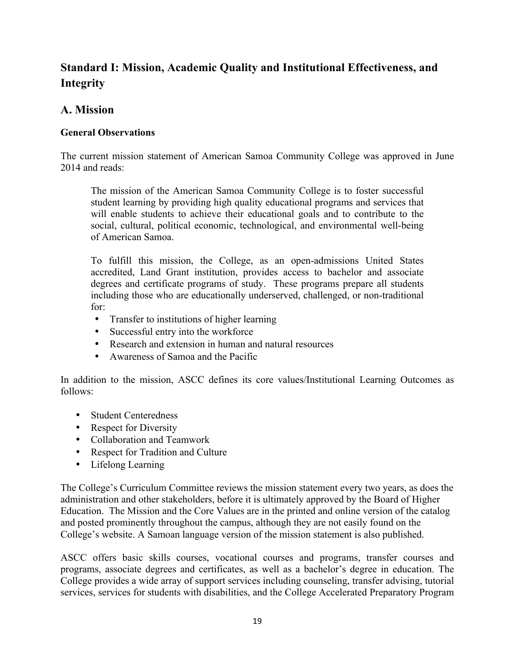# **Standard I: Mission, Academic Quality and Institutional Effectiveness, and Integrity**

# **A. Mission**

## **General Observations**

The current mission statement of American Samoa Community College was approved in June 2014 and reads:

The mission of the American Samoa Community College is to foster successful student learning by providing high quality educational programs and services that will enable students to achieve their educational goals and to contribute to the social, cultural, political economic, technological, and environmental well-being of American Samoa.

To fulfill this mission, the College, as an open-admissions United States accredited, Land Grant institution, provides access to bachelor and associate degrees and certificate programs of study. These programs prepare all students including those who are educationally underserved, challenged, or non-traditional for:

- Transfer to institutions of higher learning
- Successful entry into the workforce
- Research and extension in human and natural resources
- Awareness of Samoa and the Pacific

In addition to the mission, ASCC defines its core values/Institutional Learning Outcomes as follows:

- Student Centeredness
- Respect for Diversity
- Collaboration and Teamwork
- Respect for Tradition and Culture
- Lifelong Learning

The College's Curriculum Committee reviews the mission statement every two years, as does the administration and other stakeholders, before it is ultimately approved by the Board of Higher Education. The Mission and the Core Values are in the printed and online version of the catalog and posted prominently throughout the campus, although they are not easily found on the College's website. A Samoan language version of the mission statement is also published.

ASCC offers basic skills courses, vocational courses and programs, transfer courses and programs, associate degrees and certificates, as well as a bachelor's degree in education. The College provides a wide array of support services including counseling, transfer advising, tutorial services, services for students with disabilities, and the College Accelerated Preparatory Program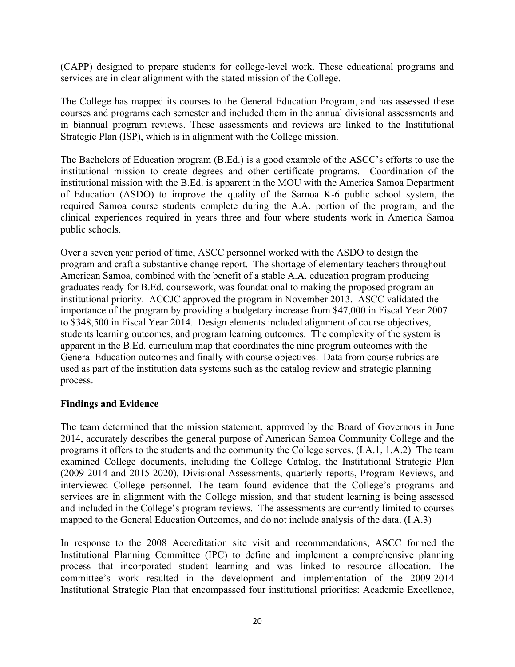(CAPP) designed to prepare students for college-level work. These educational programs and services are in clear alignment with the stated mission of the College.

The College has mapped its courses to the General Education Program, and has assessed these courses and programs each semester and included them in the annual divisional assessments and in biannual program reviews. These assessments and reviews are linked to the Institutional Strategic Plan (ISP), which is in alignment with the College mission.

The Bachelors of Education program (B.Ed.) is a good example of the ASCC's efforts to use the institutional mission to create degrees and other certificate programs. Coordination of the institutional mission with the B.Ed. is apparent in the MOU with the America Samoa Department of Education (ASDO) to improve the quality of the Samoa K-6 public school system, the required Samoa course students complete during the A.A. portion of the program, and the clinical experiences required in years three and four where students work in America Samoa public schools.

Over a seven year period of time, ASCC personnel worked with the ASDO to design the program and craft a substantive change report. The shortage of elementary teachers throughout American Samoa, combined with the benefit of a stable A.A. education program producing graduates ready for B.Ed. coursework, was foundational to making the proposed program an institutional priority. ACCJC approved the program in November 2013. ASCC validated the importance of the program by providing a budgetary increase from \$47,000 in Fiscal Year 2007 to \$348,500 in Fiscal Year 2014. Design elements included alignment of course objectives, students learning outcomes, and program learning outcomes. The complexity of the system is apparent in the B.Ed. curriculum map that coordinates the nine program outcomes with the General Education outcomes and finally with course objectives. Data from course rubrics are used as part of the institution data systems such as the catalog review and strategic planning process.

### **Findings and Evidence**

The team determined that the mission statement, approved by the Board of Governors in June 2014, accurately describes the general purpose of American Samoa Community College and the programs it offers to the students and the community the College serves. (I.A.1, 1.A.2) The team examined College documents, including the College Catalog, the Institutional Strategic Plan (2009-2014 and 2015-2020), Divisional Assessments, quarterly reports, Program Reviews, and interviewed College personnel. The team found evidence that the College's programs and services are in alignment with the College mission, and that student learning is being assessed and included in the College's program reviews. The assessments are currently limited to courses mapped to the General Education Outcomes, and do not include analysis of the data. (I.A.3)

In response to the 2008 Accreditation site visit and recommendations, ASCC formed the Institutional Planning Committee (IPC) to define and implement a comprehensive planning process that incorporated student learning and was linked to resource allocation. The committee's work resulted in the development and implementation of the 2009-2014 Institutional Strategic Plan that encompassed four institutional priorities: Academic Excellence,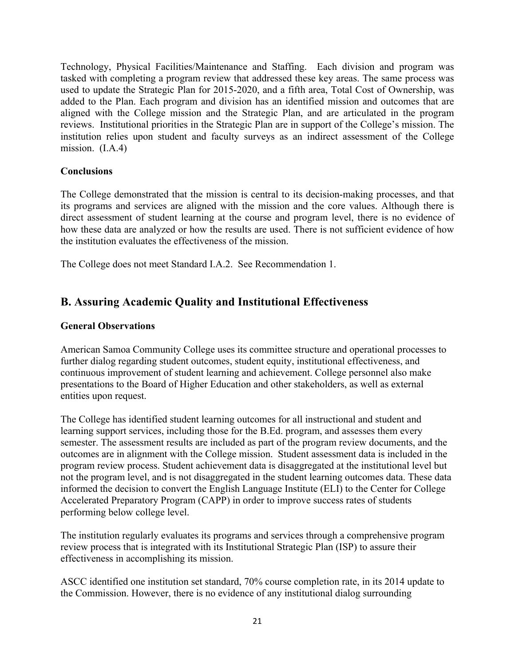Technology, Physical Facilities/Maintenance and Staffing. Each division and program was tasked with completing a program review that addressed these key areas. The same process was used to update the Strategic Plan for 2015-2020, and a fifth area, Total Cost of Ownership, was added to the Plan. Each program and division has an identified mission and outcomes that are aligned with the College mission and the Strategic Plan, and are articulated in the program reviews. Institutional priorities in the Strategic Plan are in support of the College's mission. The institution relies upon student and faculty surveys as an indirect assessment of the College mission. (I.A.4)

## **Conclusions**

The College demonstrated that the mission is central to its decision-making processes, and that its programs and services are aligned with the mission and the core values. Although there is direct assessment of student learning at the course and program level, there is no evidence of how these data are analyzed or how the results are used. There is not sufficient evidence of how the institution evaluates the effectiveness of the mission.

The College does not meet Standard I.A.2. See Recommendation 1.

# **B. Assuring Academic Quality and Institutional Effectiveness**

## **General Observations**

American Samoa Community College uses its committee structure and operational processes to further dialog regarding student outcomes, student equity, institutional effectiveness, and continuous improvement of student learning and achievement. College personnel also make presentations to the Board of Higher Education and other stakeholders, as well as external entities upon request.

The College has identified student learning outcomes for all instructional and student and learning support services, including those for the B.Ed. program, and assesses them every semester. The assessment results are included as part of the program review documents, and the outcomes are in alignment with the College mission. Student assessment data is included in the program review process. Student achievement data is disaggregated at the institutional level but not the program level, and is not disaggregated in the student learning outcomes data. These data informed the decision to convert the English Language Institute (ELI) to the Center for College Accelerated Preparatory Program (CAPP) in order to improve success rates of students performing below college level.

The institution regularly evaluates its programs and services through a comprehensive program review process that is integrated with its Institutional Strategic Plan (ISP) to assure their effectiveness in accomplishing its mission.

ASCC identified one institution set standard, 70% course completion rate, in its 2014 update to the Commission. However, there is no evidence of any institutional dialog surrounding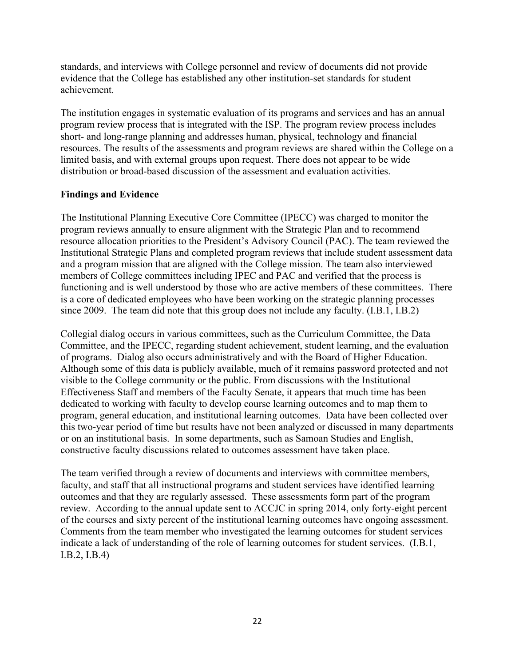standards, and interviews with College personnel and review of documents did not provide evidence that the College has established any other institution-set standards for student achievement.

The institution engages in systematic evaluation of its programs and services and has an annual program review process that is integrated with the ISP. The program review process includes short- and long-range planning and addresses human, physical, technology and financial resources. The results of the assessments and program reviews are shared within the College on a limited basis, and with external groups upon request. There does not appear to be wide distribution or broad-based discussion of the assessment and evaluation activities.

## **Findings and Evidence**

The Institutional Planning Executive Core Committee (IPECC) was charged to monitor the program reviews annually to ensure alignment with the Strategic Plan and to recommend resource allocation priorities to the President's Advisory Council (PAC). The team reviewed the Institutional Strategic Plans and completed program reviews that include student assessment data and a program mission that are aligned with the College mission. The team also interviewed members of College committees including IPEC and PAC and verified that the process is functioning and is well understood by those who are active members of these committees. There is a core of dedicated employees who have been working on the strategic planning processes since 2009. The team did note that this group does not include any faculty. (I.B.1, I.B.2)

Collegial dialog occurs in various committees, such as the Curriculum Committee, the Data Committee, and the IPECC, regarding student achievement, student learning, and the evaluation of programs. Dialog also occurs administratively and with the Board of Higher Education. Although some of this data is publicly available, much of it remains password protected and not visible to the College community or the public. From discussions with the Institutional Effectiveness Staff and members of the Faculty Senate, it appears that much time has been dedicated to working with faculty to develop course learning outcomes and to map them to program, general education, and institutional learning outcomes. Data have been collected over this two-year period of time but results have not been analyzed or discussed in many departments or on an institutional basis. In some departments, such as Samoan Studies and English, constructive faculty discussions related to outcomes assessment have taken place.

The team verified through a review of documents and interviews with committee members, faculty, and staff that all instructional programs and student services have identified learning outcomes and that they are regularly assessed. These assessments form part of the program review. According to the annual update sent to ACCJC in spring 2014, only forty-eight percent of the courses and sixty percent of the institutional learning outcomes have ongoing assessment. Comments from the team member who investigated the learning outcomes for student services indicate a lack of understanding of the role of learning outcomes for student services. (I.B.1, I.B.2, I.B.4)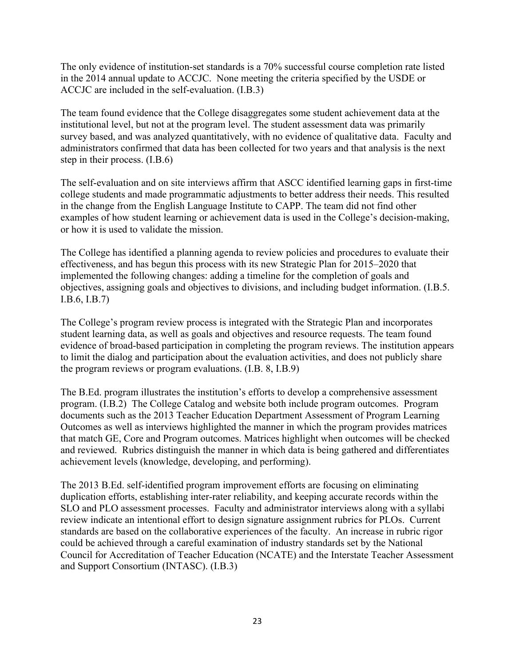The only evidence of institution-set standards is a 70% successful course completion rate listed in the 2014 annual update to ACCJC. None meeting the criteria specified by the USDE or ACCJC are included in the self-evaluation. (I.B.3)

The team found evidence that the College disaggregates some student achievement data at the institutional level, but not at the program level. The student assessment data was primarily survey based, and was analyzed quantitatively, with no evidence of qualitative data. Faculty and administrators confirmed that data has been collected for two years and that analysis is the next step in their process. (I.B.6)

The self-evaluation and on site interviews affirm that ASCC identified learning gaps in first-time college students and made programmatic adjustments to better address their needs. This resulted in the change from the English Language Institute to CAPP. The team did not find other examples of how student learning or achievement data is used in the College's decision-making, or how it is used to validate the mission.

The College has identified a planning agenda to review policies and procedures to evaluate their effectiveness, and has begun this process with its new Strategic Plan for 2015–2020 that implemented the following changes: adding a timeline for the completion of goals and objectives, assigning goals and objectives to divisions, and including budget information. (I.B.5. I.B.6, I.B.7)

The College's program review process is integrated with the Strategic Plan and incorporates student learning data, as well as goals and objectives and resource requests. The team found evidence of broad-based participation in completing the program reviews. The institution appears to limit the dialog and participation about the evaluation activities, and does not publicly share the program reviews or program evaluations. (I.B. 8, I.B.9)

The B.Ed. program illustrates the institution's efforts to develop a comprehensive assessment program. (I.B.2) The College Catalog and website both include program outcomes. Program documents such as the 2013 Teacher Education Department Assessment of Program Learning Outcomes as well as interviews highlighted the manner in which the program provides matrices that match GE, Core and Program outcomes. Matrices highlight when outcomes will be checked and reviewed. Rubrics distinguish the manner in which data is being gathered and differentiates achievement levels (knowledge, developing, and performing).

The 2013 B.Ed. self-identified program improvement efforts are focusing on eliminating duplication efforts, establishing inter-rater reliability, and keeping accurate records within the SLO and PLO assessment processes. Faculty and administrator interviews along with a syllabi review indicate an intentional effort to design signature assignment rubrics for PLOs. Current standards are based on the collaborative experiences of the faculty. An increase in rubric rigor could be achieved through a careful examination of industry standards set by the National Council for Accreditation of Teacher Education (NCATE) and the Interstate Teacher Assessment and Support Consortium (INTASC). (I.B.3)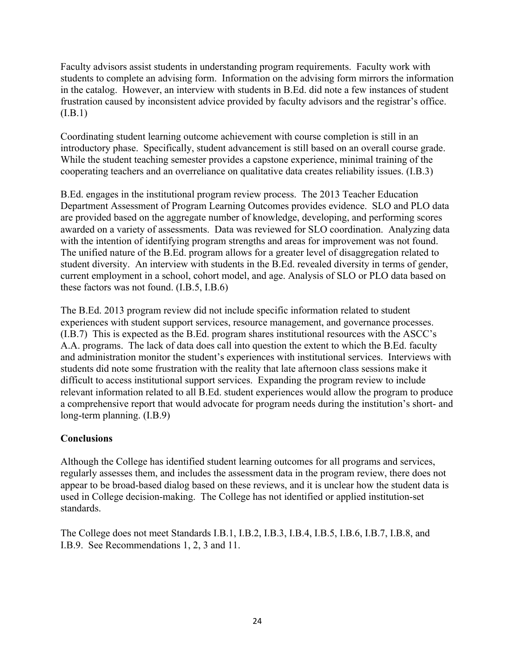Faculty advisors assist students in understanding program requirements. Faculty work with students to complete an advising form. Information on the advising form mirrors the information in the catalog. However, an interview with students in B.Ed. did note a few instances of student frustration caused by inconsistent advice provided by faculty advisors and the registrar's office.  $(I.B.1)$ 

Coordinating student learning outcome achievement with course completion is still in an introductory phase. Specifically, student advancement is still based on an overall course grade. While the student teaching semester provides a capstone experience, minimal training of the cooperating teachers and an overreliance on qualitative data creates reliability issues. (I.B.3)

B.Ed. engages in the institutional program review process. The 2013 Teacher Education Department Assessment of Program Learning Outcomes provides evidence. SLO and PLO data are provided based on the aggregate number of knowledge, developing, and performing scores awarded on a variety of assessments. Data was reviewed for SLO coordination. Analyzing data with the intention of identifying program strengths and areas for improvement was not found. The unified nature of the B.Ed. program allows for a greater level of disaggregation related to student diversity. An interview with students in the B.Ed. revealed diversity in terms of gender, current employment in a school, cohort model, and age. Analysis of SLO or PLO data based on these factors was not found. (I.B.5, I.B.6)

The B.Ed. 2013 program review did not include specific information related to student experiences with student support services, resource management, and governance processes. (I.B.7) This is expected as the B.Ed. program shares institutional resources with the ASCC's A.A. programs. The lack of data does call into question the extent to which the B.Ed. faculty and administration monitor the student's experiences with institutional services. Interviews with students did note some frustration with the reality that late afternoon class sessions make it difficult to access institutional support services. Expanding the program review to include relevant information related to all B.Ed. student experiences would allow the program to produce a comprehensive report that would advocate for program needs during the institution's short- and long-term planning. (I.B.9)

## **Conclusions**

Although the College has identified student learning outcomes for all programs and services, regularly assesses them, and includes the assessment data in the program review, there does not appear to be broad-based dialog based on these reviews, and it is unclear how the student data is used in College decision-making. The College has not identified or applied institution-set standards.

The College does not meet Standards I.B.1, I.B.2, I.B.3, I.B.4, I.B.5, I.B.6, I.B.7, I.B.8, and I.B.9. See Recommendations 1, 2, 3 and 11.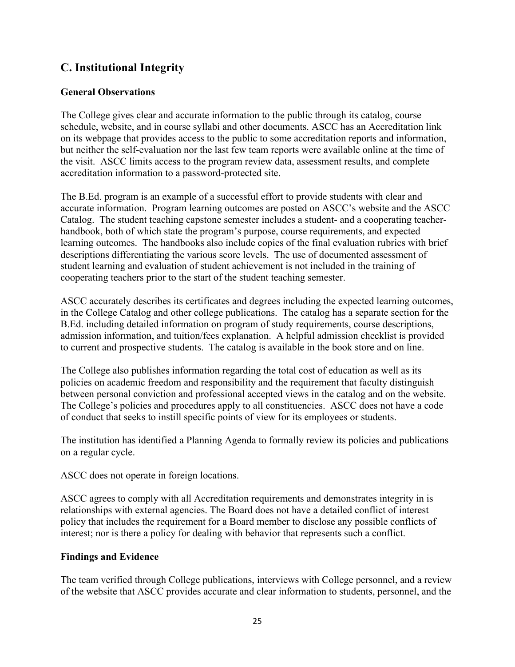# **C. Institutional Integrity**

## **General Observations**

The College gives clear and accurate information to the public through its catalog, course schedule, website, and in course syllabi and other documents. ASCC has an Accreditation link on its webpage that provides access to the public to some accreditation reports and information, but neither the self-evaluation nor the last few team reports were available online at the time of the visit. ASCC limits access to the program review data, assessment results, and complete accreditation information to a password-protected site.

The B.Ed. program is an example of a successful effort to provide students with clear and accurate information. Program learning outcomes are posted on ASCC's website and the ASCC Catalog. The student teaching capstone semester includes a student- and a cooperating teacherhandbook, both of which state the program's purpose, course requirements, and expected learning outcomes. The handbooks also include copies of the final evaluation rubrics with brief descriptions differentiating the various score levels. The use of documented assessment of student learning and evaluation of student achievement is not included in the training of cooperating teachers prior to the start of the student teaching semester.

ASCC accurately describes its certificates and degrees including the expected learning outcomes, in the College Catalog and other college publications. The catalog has a separate section for the B.Ed. including detailed information on program of study requirements, course descriptions, admission information, and tuition/fees explanation. A helpful admission checklist is provided to current and prospective students. The catalog is available in the book store and on line.

The College also publishes information regarding the total cost of education as well as its policies on academic freedom and responsibility and the requirement that faculty distinguish between personal conviction and professional accepted views in the catalog and on the website. The College's policies and procedures apply to all constituencies. ASCC does not have a code of conduct that seeks to instill specific points of view for its employees or students.

The institution has identified a Planning Agenda to formally review its policies and publications on a regular cycle.

ASCC does not operate in foreign locations.

ASCC agrees to comply with all Accreditation requirements and demonstrates integrity in is relationships with external agencies. The Board does not have a detailed conflict of interest policy that includes the requirement for a Board member to disclose any possible conflicts of interest; nor is there a policy for dealing with behavior that represents such a conflict.

## **Findings and Evidence**

The team verified through College publications, interviews with College personnel, and a review of the website that ASCC provides accurate and clear information to students, personnel, and the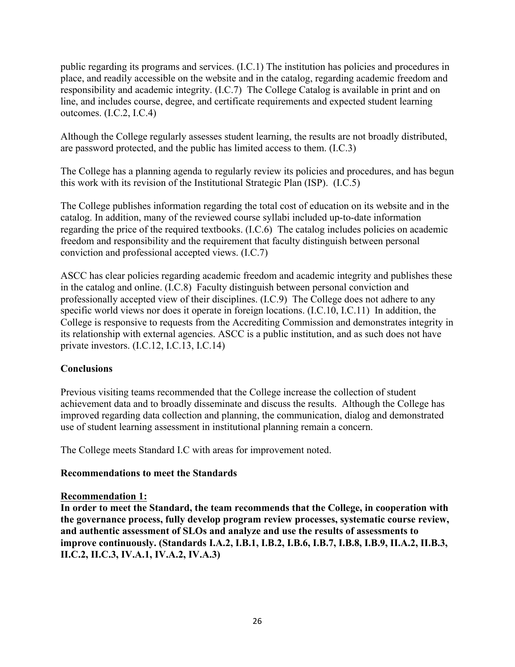public regarding its programs and services. (I.C.1) The institution has policies and procedures in place, and readily accessible on the website and in the catalog, regarding academic freedom and responsibility and academic integrity. (I.C.7) The College Catalog is available in print and on line, and includes course, degree, and certificate requirements and expected student learning outcomes. (I.C.2, I.C.4)

Although the College regularly assesses student learning, the results are not broadly distributed, are password protected, and the public has limited access to them. (I.C.3)

The College has a planning agenda to regularly review its policies and procedures, and has begun this work with its revision of the Institutional Strategic Plan (ISP). (I.C.5)

The College publishes information regarding the total cost of education on its website and in the catalog. In addition, many of the reviewed course syllabi included up-to-date information regarding the price of the required textbooks. (I.C.6) The catalog includes policies on academic freedom and responsibility and the requirement that faculty distinguish between personal conviction and professional accepted views. (I.C.7)

ASCC has clear policies regarding academic freedom and academic integrity and publishes these in the catalog and online. (I.C.8) Faculty distinguish between personal conviction and professionally accepted view of their disciplines. (I.C.9) The College does not adhere to any specific world views nor does it operate in foreign locations. (I.C.10, I.C.11) In addition, the College is responsive to requests from the Accrediting Commission and demonstrates integrity in its relationship with external agencies. ASCC is a public institution, and as such does not have private investors. (I.C.12, I.C.13, I.C.14)

## **Conclusions**

Previous visiting teams recommended that the College increase the collection of student achievement data and to broadly disseminate and discuss the results. Although the College has improved regarding data collection and planning, the communication, dialog and demonstrated use of student learning assessment in institutional planning remain a concern.

The College meets Standard I.C with areas for improvement noted.

### **Recommendations to meet the Standards**

### **Recommendation 1:**

**In order to meet the Standard, the team recommends that the College, in cooperation with the governance process, fully develop program review processes, systematic course review, and authentic assessment of SLOs and analyze and use the results of assessments to improve continuously. (Standards I.A.2, I.B.1, I.B.2, I.B.6, I.B.7, I.B.8, I.B.9, II.A.2, II.B.3, II.C.2, II.C.3, IV.A.1, IV.A.2, IV.A.3)**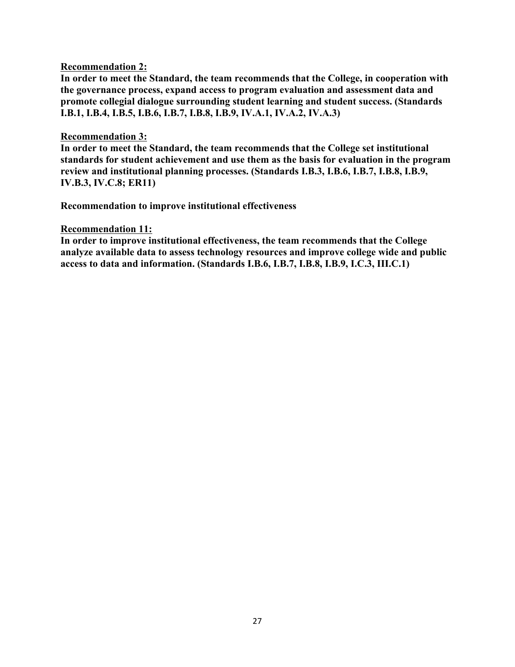### **Recommendation 2:**

**In order to meet the Standard, the team recommends that the College, in cooperation with the governance process, expand access to program evaluation and assessment data and promote collegial dialogue surrounding student learning and student success. (Standards I.B.1, I.B.4, I.B.5, I.B.6, I.B.7, I.B.8, I.B.9, IV.A.1, IV.A.2, IV.A.3)**

### **Recommendation 3:**

**In order to meet the Standard, the team recommends that the College set institutional standards for student achievement and use them as the basis for evaluation in the program review and institutional planning processes. (Standards I.B.3, I.B.6, I.B.7, I.B.8, I.B.9, IV.B.3, IV.C.8; ER11)**

**Recommendation to improve institutional effectiveness**

### **Recommendation 11:**

**In order to improve institutional effectiveness, the team recommends that the College analyze available data to assess technology resources and improve college wide and public access to data and information. (Standards I.B.6, I.B.7, I.B.8, I.B.9, I.C.3, III.C.1)**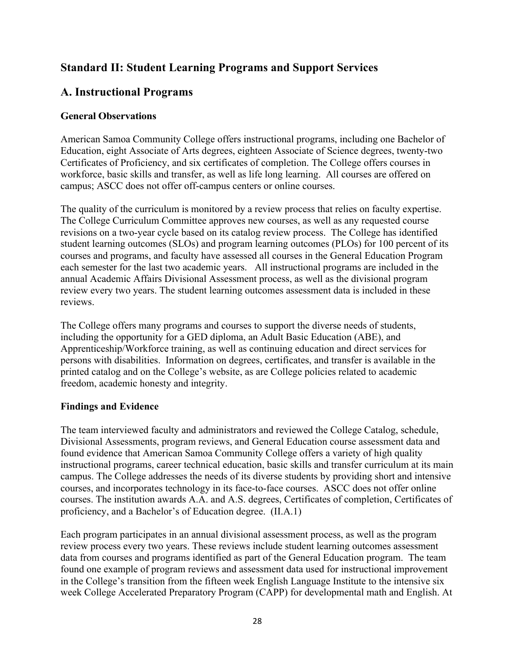# **Standard II: Student Learning Programs and Support Services**

# **A. Instructional Programs**

## **General Observations**

American Samoa Community College offers instructional programs, including one Bachelor of Education, eight Associate of Arts degrees, eighteen Associate of Science degrees, twenty-two Certificates of Proficiency, and six certificates of completion. The College offers courses in workforce, basic skills and transfer, as well as life long learning. All courses are offered on campus; ASCC does not offer off-campus centers or online courses.

The quality of the curriculum is monitored by a review process that relies on faculty expertise. The College Curriculum Committee approves new courses, as well as any requested course revisions on a two-year cycle based on its catalog review process. The College has identified student learning outcomes (SLOs) and program learning outcomes (PLOs) for 100 percent of its courses and programs, and faculty have assessed all courses in the General Education Program each semester for the last two academic years. All instructional programs are included in the annual Academic Affairs Divisional Assessment process, as well as the divisional program review every two years. The student learning outcomes assessment data is included in these reviews.

The College offers many programs and courses to support the diverse needs of students, including the opportunity for a GED diploma, an Adult Basic Education (ABE), and Apprenticeship/Workforce training, as well as continuing education and direct services for persons with disabilities. Information on degrees, certificates, and transfer is available in the printed catalog and on the College's website, as are College policies related to academic freedom, academic honesty and integrity.

## **Findings and Evidence**

The team interviewed faculty and administrators and reviewed the College Catalog, schedule, Divisional Assessments, program reviews, and General Education course assessment data and found evidence that American Samoa Community College offers a variety of high quality instructional programs, career technical education, basic skills and transfer curriculum at its main campus. The College addresses the needs of its diverse students by providing short and intensive courses, and incorporates technology in its face-to-face courses. ASCC does not offer online courses. The institution awards A.A. and A.S. degrees, Certificates of completion, Certificates of proficiency, and a Bachelor's of Education degree. (II.A.1)

Each program participates in an annual divisional assessment process, as well as the program review process every two years. These reviews include student learning outcomes assessment data from courses and programs identified as part of the General Education program. The team found one example of program reviews and assessment data used for instructional improvement in the College's transition from the fifteen week English Language Institute to the intensive six week College Accelerated Preparatory Program (CAPP) for developmental math and English. At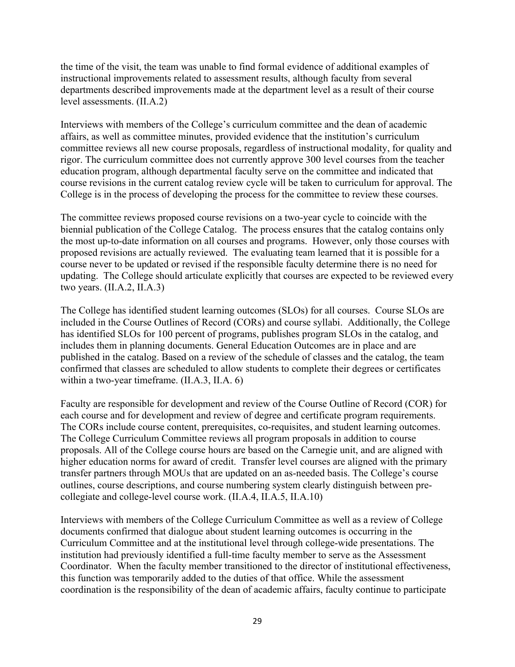the time of the visit, the team was unable to find formal evidence of additional examples of instructional improvements related to assessment results, although faculty from several departments described improvements made at the department level as a result of their course level assessments. (II.A.2)

Interviews with members of the College's curriculum committee and the dean of academic affairs, as well as committee minutes, provided evidence that the institution's curriculum committee reviews all new course proposals, regardless of instructional modality, for quality and rigor. The curriculum committee does not currently approve 300 level courses from the teacher education program, although departmental faculty serve on the committee and indicated that course revisions in the current catalog review cycle will be taken to curriculum for approval. The College is in the process of developing the process for the committee to review these courses.

The committee reviews proposed course revisions on a two-year cycle to coincide with the biennial publication of the College Catalog. The process ensures that the catalog contains only the most up-to-date information on all courses and programs. However, only those courses with proposed revisions are actually reviewed. The evaluating team learned that it is possible for a course never to be updated or revised if the responsible faculty determine there is no need for updating. The College should articulate explicitly that courses are expected to be reviewed every two years. (II.A.2, II.A.3)

The College has identified student learning outcomes (SLOs) for all courses. Course SLOs are included in the Course Outlines of Record (CORs) and course syllabi. Additionally, the College has identified SLOs for 100 percent of programs, publishes program SLOs in the catalog, and includes them in planning documents. General Education Outcomes are in place and are published in the catalog. Based on a review of the schedule of classes and the catalog, the team confirmed that classes are scheduled to allow students to complete their degrees or certificates within a two-year timeframe. (II.A.3, II.A. 6)

Faculty are responsible for development and review of the Course Outline of Record (COR) for each course and for development and review of degree and certificate program requirements. The CORs include course content, prerequisites, co-requisites, and student learning outcomes. The College Curriculum Committee reviews all program proposals in addition to course proposals. All of the College course hours are based on the Carnegie unit, and are aligned with higher education norms for award of credit. Transfer level courses are aligned with the primary transfer partners through MOUs that are updated on an as-needed basis. The College's course outlines, course descriptions, and course numbering system clearly distinguish between precollegiate and college-level course work. (II.A.4, II.A.5, II.A.10)

Interviews with members of the College Curriculum Committee as well as a review of College documents confirmed that dialogue about student learning outcomes is occurring in the Curriculum Committee and at the institutional level through college-wide presentations. The institution had previously identified a full-time faculty member to serve as the Assessment Coordinator. When the faculty member transitioned to the director of institutional effectiveness, this function was temporarily added to the duties of that office. While the assessment coordination is the responsibility of the dean of academic affairs, faculty continue to participate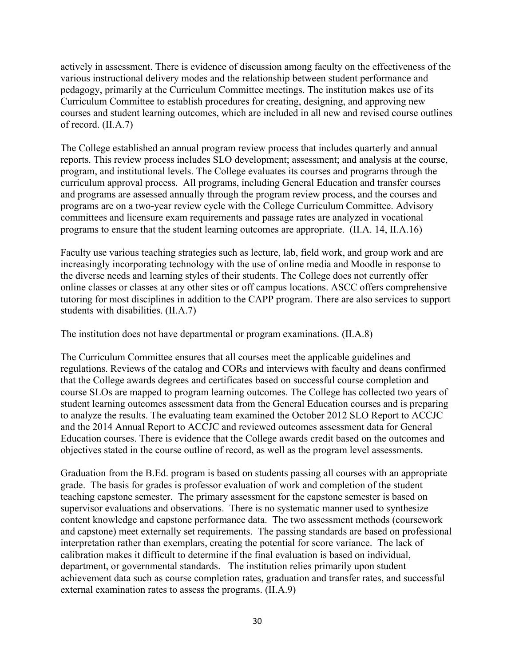actively in assessment. There is evidence of discussion among faculty on the effectiveness of the various instructional delivery modes and the relationship between student performance and pedagogy, primarily at the Curriculum Committee meetings. The institution makes use of its Curriculum Committee to establish procedures for creating, designing, and approving new courses and student learning outcomes, which are included in all new and revised course outlines of record. (II.A.7)

The College established an annual program review process that includes quarterly and annual reports. This review process includes SLO development; assessment; and analysis at the course, program, and institutional levels. The College evaluates its courses and programs through the curriculum approval process. All programs, including General Education and transfer courses and programs are assessed annually through the program review process, and the courses and programs are on a two-year review cycle with the College Curriculum Committee. Advisory committees and licensure exam requirements and passage rates are analyzed in vocational programs to ensure that the student learning outcomes are appropriate. (II.A. 14, II.A.16)

Faculty use various teaching strategies such as lecture, lab, field work, and group work and are increasingly incorporating technology with the use of online media and Moodle in response to the diverse needs and learning styles of their students. The College does not currently offer online classes or classes at any other sites or off campus locations. ASCC offers comprehensive tutoring for most disciplines in addition to the CAPP program. There are also services to support students with disabilities. (II.A.7)

The institution does not have departmental or program examinations. (II.A.8)

The Curriculum Committee ensures that all courses meet the applicable guidelines and regulations. Reviews of the catalog and CORs and interviews with faculty and deans confirmed that the College awards degrees and certificates based on successful course completion and course SLOs are mapped to program learning outcomes. The College has collected two years of student learning outcomes assessment data from the General Education courses and is preparing to analyze the results. The evaluating team examined the October 2012 SLO Report to ACCJC and the 2014 Annual Report to ACCJC and reviewed outcomes assessment data for General Education courses. There is evidence that the College awards credit based on the outcomes and objectives stated in the course outline of record, as well as the program level assessments.

Graduation from the B.Ed. program is based on students passing all courses with an appropriate grade. The basis for grades is professor evaluation of work and completion of the student teaching capstone semester. The primary assessment for the capstone semester is based on supervisor evaluations and observations. There is no systematic manner used to synthesize content knowledge and capstone performance data. The two assessment methods (coursework and capstone) meet externally set requirements. The passing standards are based on professional interpretation rather than exemplars, creating the potential for score variance. The lack of calibration makes it difficult to determine if the final evaluation is based on individual, department, or governmental standards. The institution relies primarily upon student achievement data such as course completion rates, graduation and transfer rates, and successful external examination rates to assess the programs. (II.A.9)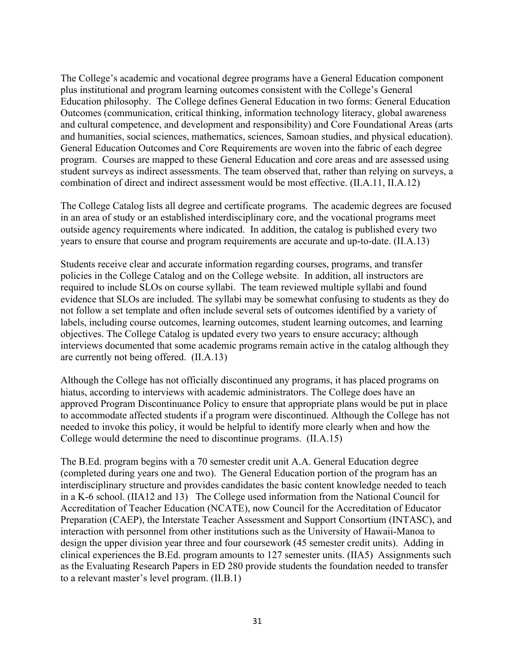The College's academic and vocational degree programs have a General Education component plus institutional and program learning outcomes consistent with the College's General Education philosophy. The College defines General Education in two forms: General Education Outcomes (communication, critical thinking, information technology literacy, global awareness and cultural competence, and development and responsibility) and Core Foundational Areas (arts and humanities, social sciences, mathematics, sciences, Samoan studies, and physical education). General Education Outcomes and Core Requirements are woven into the fabric of each degree program. Courses are mapped to these General Education and core areas and are assessed using student surveys as indirect assessments. The team observed that, rather than relying on surveys, a combination of direct and indirect assessment would be most effective. (II.A.11, II.A.12)

The College Catalog lists all degree and certificate programs. The academic degrees are focused in an area of study or an established interdisciplinary core, and the vocational programs meet outside agency requirements where indicated. In addition, the catalog is published every two years to ensure that course and program requirements are accurate and up-to-date. (II.A.13)

Students receive clear and accurate information regarding courses, programs, and transfer policies in the College Catalog and on the College website. In addition, all instructors are required to include SLOs on course syllabi. The team reviewed multiple syllabi and found evidence that SLOs are included. The syllabi may be somewhat confusing to students as they do not follow a set template and often include several sets of outcomes identified by a variety of labels, including course outcomes, learning outcomes, student learning outcomes, and learning objectives. The College Catalog is updated every two years to ensure accuracy; although interviews documented that some academic programs remain active in the catalog although they are currently not being offered. (II.A.13)

Although the College has not officially discontinued any programs, it has placed programs on hiatus, according to interviews with academic administrators. The College does have an approved Program Discontinuance Policy to ensure that appropriate plans would be put in place to accommodate affected students if a program were discontinued. Although the College has not needed to invoke this policy, it would be helpful to identify more clearly when and how the College would determine the need to discontinue programs. (II.A.15)

The B.Ed. program begins with a 70 semester credit unit A.A. General Education degree (completed during years one and two). The General Education portion of the program has an interdisciplinary structure and provides candidates the basic content knowledge needed to teach in a K-6 school. (IIA12 and 13) The College used information from the National Council for Accreditation of Teacher Education (NCATE), now Council for the Accreditation of Educator Preparation (CAEP), the Interstate Teacher Assessment and Support Consortium (INTASC), and interaction with personnel from other institutions such as the University of Hawaii-Manoa to design the upper division year three and four coursework (45 semester credit units). Adding in clinical experiences the B.Ed. program amounts to 127 semester units. (IIA5) Assignments such as the Evaluating Research Papers in ED 280 provide students the foundation needed to transfer to a relevant master's level program. (II.B.1)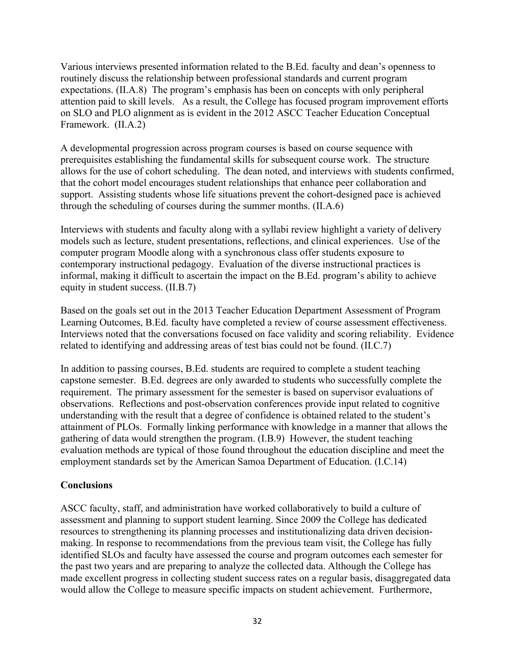Various interviews presented information related to the B.Ed. faculty and dean's openness to routinely discuss the relationship between professional standards and current program expectations. (II.A.8) The program's emphasis has been on concepts with only peripheral attention paid to skill levels. As a result, the College has focused program improvement efforts on SLO and PLO alignment as is evident in the 2012 ASCC Teacher Education Conceptual Framework. (II.A.2)

A developmental progression across program courses is based on course sequence with prerequisites establishing the fundamental skills for subsequent course work. The structure allows for the use of cohort scheduling. The dean noted, and interviews with students confirmed, that the cohort model encourages student relationships that enhance peer collaboration and support. Assisting students whose life situations prevent the cohort-designed pace is achieved through the scheduling of courses during the summer months. (II.A.6)

Interviews with students and faculty along with a syllabi review highlight a variety of delivery models such as lecture, student presentations, reflections, and clinical experiences. Use of the computer program Moodle along with a synchronous class offer students exposure to contemporary instructional pedagogy. Evaluation of the diverse instructional practices is informal, making it difficult to ascertain the impact on the B.Ed. program's ability to achieve equity in student success. (II.B.7)

Based on the goals set out in the 2013 Teacher Education Department Assessment of Program Learning Outcomes, B.Ed. faculty have completed a review of course assessment effectiveness. Interviews noted that the conversations focused on face validity and scoring reliability. Evidence related to identifying and addressing areas of test bias could not be found. (II.C.7)

In addition to passing courses, B.Ed. students are required to complete a student teaching capstone semester. B.Ed. degrees are only awarded to students who successfully complete the requirement. The primary assessment for the semester is based on supervisor evaluations of observations. Reflections and post-observation conferences provide input related to cognitive understanding with the result that a degree of confidence is obtained related to the student's attainment of PLOs. Formally linking performance with knowledge in a manner that allows the gathering of data would strengthen the program. (I.B.9) However, the student teaching evaluation methods are typical of those found throughout the education discipline and meet the employment standards set by the American Samoa Department of Education. (I.C.14)

## **Conclusions**

ASCC faculty, staff, and administration have worked collaboratively to build a culture of assessment and planning to support student learning. Since 2009 the College has dedicated resources to strengthening its planning processes and institutionalizing data driven decisionmaking. In response to recommendations from the previous team visit, the College has fully identified SLOs and faculty have assessed the course and program outcomes each semester for the past two years and are preparing to analyze the collected data. Although the College has made excellent progress in collecting student success rates on a regular basis, disaggregated data would allow the College to measure specific impacts on student achievement. Furthermore,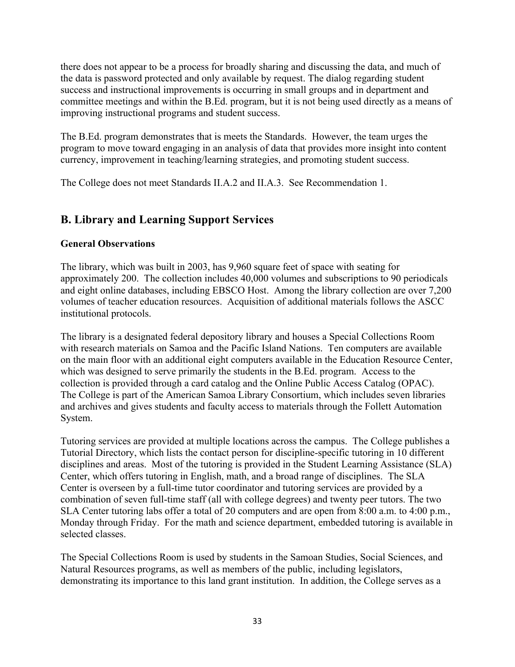there does not appear to be a process for broadly sharing and discussing the data, and much of the data is password protected and only available by request. The dialog regarding student success and instructional improvements is occurring in small groups and in department and committee meetings and within the B.Ed. program, but it is not being used directly as a means of improving instructional programs and student success.

The B.Ed. program demonstrates that is meets the Standards. However, the team urges the program to move toward engaging in an analysis of data that provides more insight into content currency, improvement in teaching/learning strategies, and promoting student success.

The College does not meet Standards II.A.2 and II.A.3. See Recommendation 1.

# **B. Library and Learning Support Services**

## **General Observations**

The library, which was built in 2003, has 9,960 square feet of space with seating for approximately 200. The collection includes 40,000 volumes and subscriptions to 90 periodicals and eight online databases, including EBSCO Host. Among the library collection are over 7,200 volumes of teacher education resources. Acquisition of additional materials follows the ASCC institutional protocols.

The library is a designated federal depository library and houses a Special Collections Room with research materials on Samoa and the Pacific Island Nations. Ten computers are available on the main floor with an additional eight computers available in the Education Resource Center, which was designed to serve primarily the students in the B.Ed. program. Access to the collection is provided through a card catalog and the Online Public Access Catalog (OPAC). The College is part of the American Samoa Library Consortium, which includes seven libraries and archives and gives students and faculty access to materials through the Follett Automation System.

Tutoring services are provided at multiple locations across the campus. The College publishes a Tutorial Directory, which lists the contact person for discipline-specific tutoring in 10 different disciplines and areas. Most of the tutoring is provided in the Student Learning Assistance (SLA) Center, which offers tutoring in English, math, and a broad range of disciplines. The SLA Center is overseen by a full-time tutor coordinator and tutoring services are provided by a combination of seven full-time staff (all with college degrees) and twenty peer tutors. The two SLA Center tutoring labs offer a total of 20 computers and are open from 8:00 a.m. to 4:00 p.m., Monday through Friday. For the math and science department, embedded tutoring is available in selected classes.

The Special Collections Room is used by students in the Samoan Studies, Social Sciences, and Natural Resources programs, as well as members of the public, including legislators, demonstrating its importance to this land grant institution. In addition, the College serves as a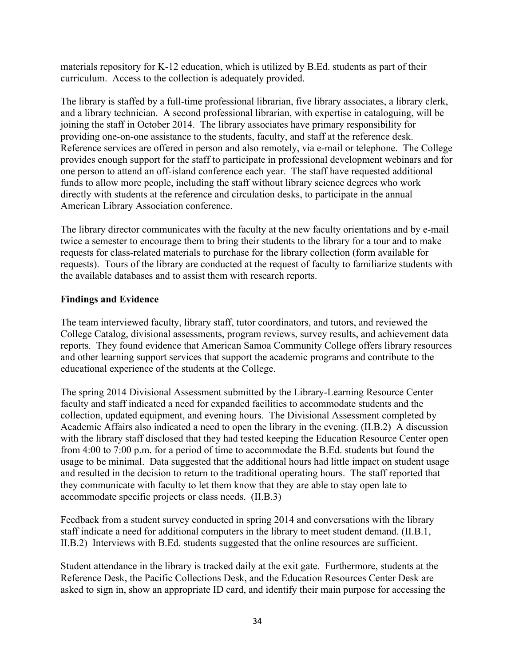materials repository for K-12 education, which is utilized by B.Ed. students as part of their curriculum. Access to the collection is adequately provided.

The library is staffed by a full-time professional librarian, five library associates, a library clerk, and a library technician. A second professional librarian, with expertise in cataloguing, will be joining the staff in October 2014. The library associates have primary responsibility for providing one-on-one assistance to the students, faculty, and staff at the reference desk. Reference services are offered in person and also remotely, via e-mail or telephone. The College provides enough support for the staff to participate in professional development webinars and for one person to attend an off-island conference each year. The staff have requested additional funds to allow more people, including the staff without library science degrees who work directly with students at the reference and circulation desks, to participate in the annual American Library Association conference.

The library director communicates with the faculty at the new faculty orientations and by e-mail twice a semester to encourage them to bring their students to the library for a tour and to make requests for class-related materials to purchase for the library collection (form available for requests). Tours of the library are conducted at the request of faculty to familiarize students with the available databases and to assist them with research reports.

## **Findings and Evidence**

The team interviewed faculty, library staff, tutor coordinators, and tutors, and reviewed the College Catalog, divisional assessments, program reviews, survey results, and achievement data reports. They found evidence that American Samoa Community College offers library resources and other learning support services that support the academic programs and contribute to the educational experience of the students at the College.

The spring 2014 Divisional Assessment submitted by the Library-Learning Resource Center faculty and staff indicated a need for expanded facilities to accommodate students and the collection, updated equipment, and evening hours. The Divisional Assessment completed by Academic Affairs also indicated a need to open the library in the evening. (II.B.2) A discussion with the library staff disclosed that they had tested keeping the Education Resource Center open from 4:00 to 7:00 p.m. for a period of time to accommodate the B.Ed. students but found the usage to be minimal. Data suggested that the additional hours had little impact on student usage and resulted in the decision to return to the traditional operating hours. The staff reported that they communicate with faculty to let them know that they are able to stay open late to accommodate specific projects or class needs. (II.B.3)

Feedback from a student survey conducted in spring 2014 and conversations with the library staff indicate a need for additional computers in the library to meet student demand. (II.B.1, II.B.2) Interviews with B.Ed. students suggested that the online resources are sufficient.

Student attendance in the library is tracked daily at the exit gate. Furthermore, students at the Reference Desk, the Pacific Collections Desk, and the Education Resources Center Desk are asked to sign in, show an appropriate ID card, and identify their main purpose for accessing the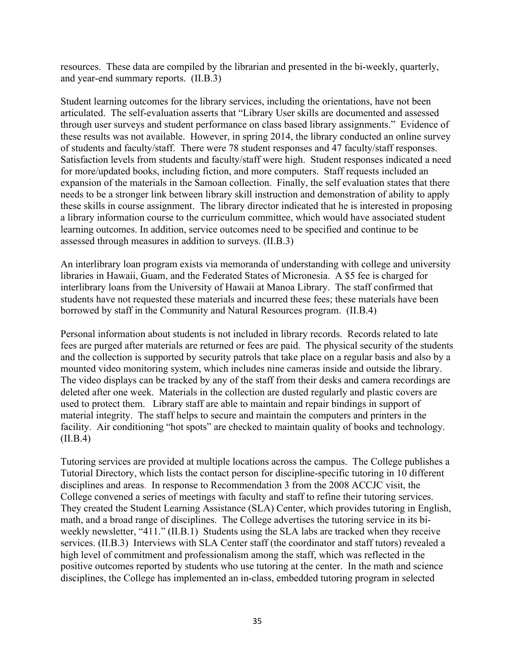resources. These data are compiled by the librarian and presented in the bi-weekly, quarterly, and year-end summary reports. (II.B.3)

Student learning outcomes for the library services, including the orientations, have not been articulated. The self-evaluation asserts that "Library User skills are documented and assessed through user surveys and student performance on class based library assignments." Evidence of these results was not available. However, in spring 2014, the library conducted an online survey of students and faculty/staff. There were 78 student responses and 47 faculty/staff responses. Satisfaction levels from students and faculty/staff were high. Student responses indicated a need for more/updated books, including fiction, and more computers. Staff requests included an expansion of the materials in the Samoan collection. Finally, the self evaluation states that there needs to be a stronger link between library skill instruction and demonstration of ability to apply these skills in course assignment. The library director indicated that he is interested in proposing a library information course to the curriculum committee, which would have associated student learning outcomes. In addition, service outcomes need to be specified and continue to be assessed through measures in addition to surveys. (II.B.3)

An interlibrary loan program exists via memoranda of understanding with college and university libraries in Hawaii, Guam, and the Federated States of Micronesia. A \$5 fee is charged for interlibrary loans from the University of Hawaii at Manoa Library. The staff confirmed that students have not requested these materials and incurred these fees; these materials have been borrowed by staff in the Community and Natural Resources program. (II.B.4)

Personal information about students is not included in library records. Records related to late fees are purged after materials are returned or fees are paid. The physical security of the students and the collection is supported by security patrols that take place on a regular basis and also by a mounted video monitoring system, which includes nine cameras inside and outside the library. The video displays can be tracked by any of the staff from their desks and camera recordings are deleted after one week. Materials in the collection are dusted regularly and plastic covers are used to protect them. Library staff are able to maintain and repair bindings in support of material integrity. The staff helps to secure and maintain the computers and printers in the facility. Air conditioning "hot spots" are checked to maintain quality of books and technology.  $(II.B.4)$ 

Tutoring services are provided at multiple locations across the campus. The College publishes a Tutorial Directory, which lists the contact person for discipline-specific tutoring in 10 different disciplines and areas. In response to Recommendation 3 from the 2008 ACCJC visit, the College convened a series of meetings with faculty and staff to refine their tutoring services. They created the Student Learning Assistance (SLA) Center, which provides tutoring in English, math, and a broad range of disciplines. The College advertises the tutoring service in its biweekly newsletter, "411." (II.B.1) Students using the SLA labs are tracked when they receive services. (II.B.3) Interviews with SLA Center staff (the coordinator and staff tutors) revealed a high level of commitment and professionalism among the staff, which was reflected in the positive outcomes reported by students who use tutoring at the center. In the math and science disciplines, the College has implemented an in-class, embedded tutoring program in selected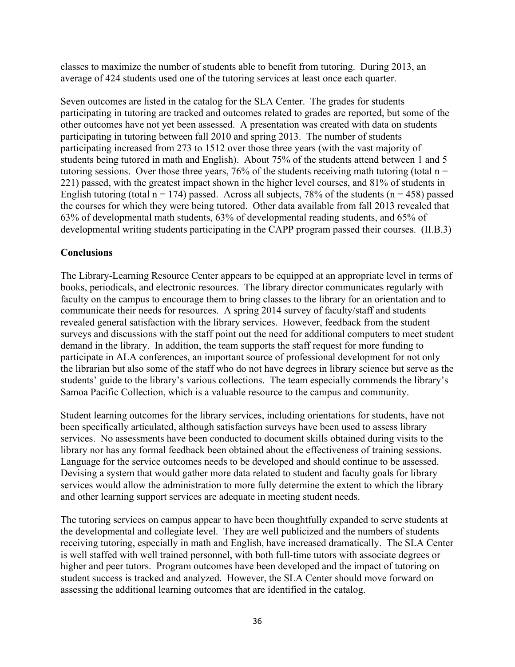classes to maximize the number of students able to benefit from tutoring. During 2013, an average of 424 students used one of the tutoring services at least once each quarter.

Seven outcomes are listed in the catalog for the SLA Center. The grades for students participating in tutoring are tracked and outcomes related to grades are reported, but some of the other outcomes have not yet been assessed. A presentation was created with data on students participating in tutoring between fall 2010 and spring 2013. The number of students participating increased from 273 to 1512 over those three years (with the vast majority of students being tutored in math and English). About 75% of the students attend between 1 and 5 tutoring sessions. Over those three years, 76% of the students receiving math tutoring (total  $n =$ 221) passed, with the greatest impact shown in the higher level courses, and 81% of students in English tutoring (total  $n = 174$ ) passed. Across all subjects, 78% of the students ( $n = 458$ ) passed the courses for which they were being tutored. Other data available from fall 2013 revealed that 63% of developmental math students, 63% of developmental reading students, and 65% of developmental writing students participating in the CAPP program passed their courses. (II.B.3)

## **Conclusions**

The Library-Learning Resource Center appears to be equipped at an appropriate level in terms of books, periodicals, and electronic resources. The library director communicates regularly with faculty on the campus to encourage them to bring classes to the library for an orientation and to communicate their needs for resources. A spring 2014 survey of faculty/staff and students revealed general satisfaction with the library services. However, feedback from the student surveys and discussions with the staff point out the need for additional computers to meet student demand in the library. In addition, the team supports the staff request for more funding to participate in ALA conferences, an important source of professional development for not only the librarian but also some of the staff who do not have degrees in library science but serve as the students' guide to the library's various collections. The team especially commends the library's Samoa Pacific Collection, which is a valuable resource to the campus and community.

Student learning outcomes for the library services, including orientations for students, have not been specifically articulated, although satisfaction surveys have been used to assess library services. No assessments have been conducted to document skills obtained during visits to the library nor has any formal feedback been obtained about the effectiveness of training sessions. Language for the service outcomes needs to be developed and should continue to be assessed. Devising a system that would gather more data related to student and faculty goals for library services would allow the administration to more fully determine the extent to which the library and other learning support services are adequate in meeting student needs.

The tutoring services on campus appear to have been thoughtfully expanded to serve students at the developmental and collegiate level. They are well publicized and the numbers of students receiving tutoring, especially in math and English, have increased dramatically. The SLA Center is well staffed with well trained personnel, with both full-time tutors with associate degrees or higher and peer tutors. Program outcomes have been developed and the impact of tutoring on student success is tracked and analyzed. However, the SLA Center should move forward on assessing the additional learning outcomes that are identified in the catalog.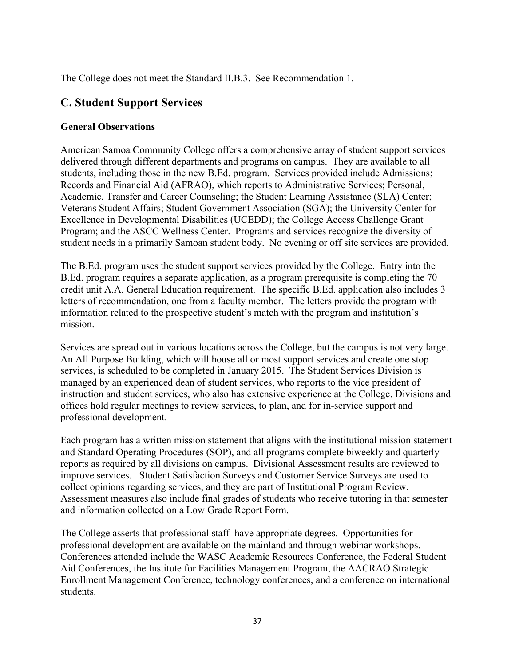The College does not meet the Standard II.B.3. See Recommendation 1.

# **C. Student Support Services**

## **General Observations**

American Samoa Community College offers a comprehensive array of student support services delivered through different departments and programs on campus. They are available to all students, including those in the new B.Ed. program. Services provided include Admissions; Records and Financial Aid (AFRAO), which reports to Administrative Services; Personal, Academic, Transfer and Career Counseling; the Student Learning Assistance (SLA) Center; Veterans Student Affairs; Student Government Association (SGA); the University Center for Excellence in Developmental Disabilities (UCEDD); the College Access Challenge Grant Program; and the ASCC Wellness Center. Programs and services recognize the diversity of student needs in a primarily Samoan student body. No evening or off site services are provided.

The B.Ed. program uses the student support services provided by the College. Entry into the B.Ed. program requires a separate application, as a program prerequisite is completing the 70 credit unit A.A. General Education requirement. The specific B.Ed. application also includes 3 letters of recommendation, one from a faculty member. The letters provide the program with information related to the prospective student's match with the program and institution's mission.

Services are spread out in various locations across the College, but the campus is not very large. An All Purpose Building, which will house all or most support services and create one stop services, is scheduled to be completed in January 2015. The Student Services Division is managed by an experienced dean of student services, who reports to the vice president of instruction and student services, who also has extensive experience at the College. Divisions and offices hold regular meetings to review services, to plan, and for in-service support and professional development.

Each program has a written mission statement that aligns with the institutional mission statement and Standard Operating Procedures (SOP), and all programs complete biweekly and quarterly reports as required by all divisions on campus. Divisional Assessment results are reviewed to improve services. Student Satisfaction Surveys and Customer Service Surveys are used to collect opinions regarding services, and they are part of Institutional Program Review. Assessment measures also include final grades of students who receive tutoring in that semester and information collected on a Low Grade Report Form.

The College asserts that professional staff have appropriate degrees. Opportunities for professional development are available on the mainland and through webinar workshops. Conferences attended include the WASC Academic Resources Conference, the Federal Student Aid Conferences, the Institute for Facilities Management Program, the AACRAO Strategic Enrollment Management Conference, technology conferences, and a conference on international students.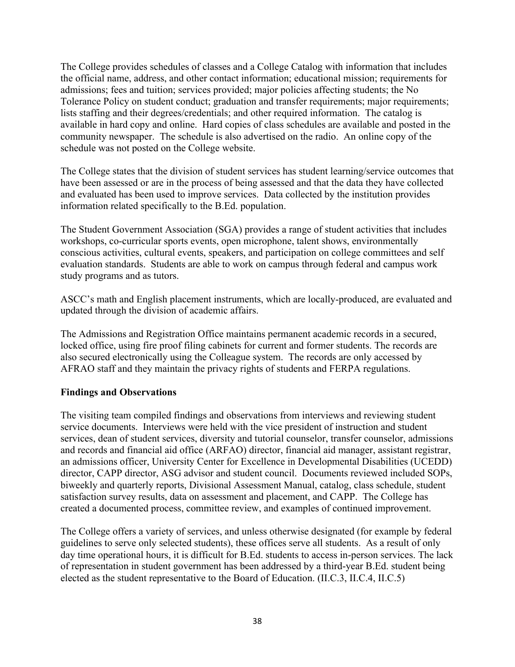The College provides schedules of classes and a College Catalog with information that includes the official name, address, and other contact information; educational mission; requirements for admissions; fees and tuition; services provided; major policies affecting students; the No Tolerance Policy on student conduct; graduation and transfer requirements; major requirements; lists staffing and their degrees/credentials; and other required information. The catalog is available in hard copy and online. Hard copies of class schedules are available and posted in the community newspaper. The schedule is also advertised on the radio. An online copy of the schedule was not posted on the College website.

The College states that the division of student services has student learning/service outcomes that have been assessed or are in the process of being assessed and that the data they have collected and evaluated has been used to improve services. Data collected by the institution provides information related specifically to the B.Ed. population.

The Student Government Association (SGA) provides a range of student activities that includes workshops, co-curricular sports events, open microphone, talent shows, environmentally conscious activities, cultural events, speakers, and participation on college committees and self evaluation standards. Students are able to work on campus through federal and campus work study programs and as tutors.

ASCC's math and English placement instruments, which are locally-produced, are evaluated and updated through the division of academic affairs.

The Admissions and Registration Office maintains permanent academic records in a secured, locked office, using fire proof filing cabinets for current and former students. The records are also secured electronically using the Colleague system. The records are only accessed by AFRAO staff and they maintain the privacy rights of students and FERPA regulations.

## **Findings and Observations**

The visiting team compiled findings and observations from interviews and reviewing student service documents. Interviews were held with the vice president of instruction and student services, dean of student services, diversity and tutorial counselor, transfer counselor, admissions and records and financial aid office (ARFAO) director, financial aid manager, assistant registrar, an admissions officer, University Center for Excellence in Developmental Disabilities (UCEDD) director, CAPP director, ASG advisor and student council. Documents reviewed included SOPs, biweekly and quarterly reports, Divisional Assessment Manual, catalog, class schedule, student satisfaction survey results, data on assessment and placement, and CAPP. The College has created a documented process, committee review, and examples of continued improvement.

The College offers a variety of services, and unless otherwise designated (for example by federal guidelines to serve only selected students), these offices serve all students. As a result of only day time operational hours, it is difficult for B.Ed. students to access in-person services. The lack of representation in student government has been addressed by a third-year B.Ed. student being elected as the student representative to the Board of Education. (II.C.3, II.C.4, II.C.5)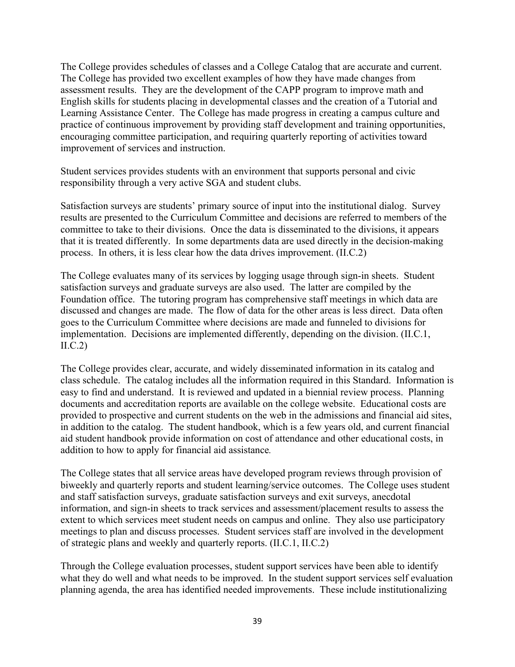The College provides schedules of classes and a College Catalog that are accurate and current. The College has provided two excellent examples of how they have made changes from assessment results. They are the development of the CAPP program to improve math and English skills for students placing in developmental classes and the creation of a Tutorial and Learning Assistance Center. The College has made progress in creating a campus culture and practice of continuous improvement by providing staff development and training opportunities, encouraging committee participation, and requiring quarterly reporting of activities toward improvement of services and instruction.

Student services provides students with an environment that supports personal and civic responsibility through a very active SGA and student clubs.

Satisfaction surveys are students' primary source of input into the institutional dialog. Survey results are presented to the Curriculum Committee and decisions are referred to members of the committee to take to their divisions. Once the data is disseminated to the divisions, it appears that it is treated differently. In some departments data are used directly in the decision-making process. In others, it is less clear how the data drives improvement. (II.C.2)

The College evaluates many of its services by logging usage through sign-in sheets. Student satisfaction surveys and graduate surveys are also used. The latter are compiled by the Foundation office. The tutoring program has comprehensive staff meetings in which data are discussed and changes are made. The flow of data for the other areas is less direct. Data often goes to the Curriculum Committee where decisions are made and funneled to divisions for implementation. Decisions are implemented differently, depending on the division. (II.C.1,  $\text{II.C.2}$ 

The College provides clear, accurate, and widely disseminated information in its catalog and class schedule. The catalog includes all the information required in this Standard. Information is easy to find and understand. It is reviewed and updated in a biennial review process. Planning documents and accreditation reports are available on the college website. Educational costs are provided to prospective and current students on the web in the admissions and financial aid sites, in addition to the catalog. The student handbook, which is a few years old, and current financial aid student handbook provide information on cost of attendance and other educational costs, in addition to how to apply for financial aid assistance*.*

The College states that all service areas have developed program reviews through provision of biweekly and quarterly reports and student learning/service outcomes. The College uses student and staff satisfaction surveys, graduate satisfaction surveys and exit surveys, anecdotal information, and sign-in sheets to track services and assessment/placement results to assess the extent to which services meet student needs on campus and online. They also use participatory meetings to plan and discuss processes. Student services staff are involved in the development of strategic plans and weekly and quarterly reports. (II.C.1, II.C.2)

Through the College evaluation processes, student support services have been able to identify what they do well and what needs to be improved. In the student support services self evaluation planning agenda, the area has identified needed improvements. These include institutionalizing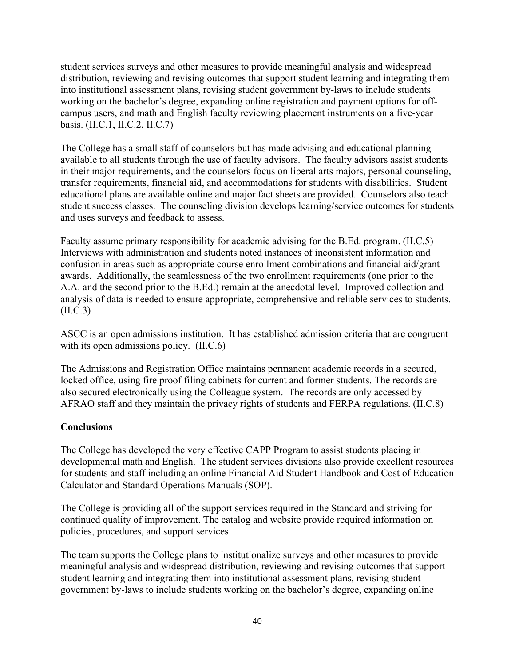student services surveys and other measures to provide meaningful analysis and widespread distribution, reviewing and revising outcomes that support student learning and integrating them into institutional assessment plans, revising student government by-laws to include students working on the bachelor's degree, expanding online registration and payment options for offcampus users, and math and English faculty reviewing placement instruments on a five-year basis. (II.C.1, II.C.2, II.C.7)

The College has a small staff of counselors but has made advising and educational planning available to all students through the use of faculty advisors. The faculty advisors assist students in their major requirements, and the counselors focus on liberal arts majors, personal counseling, transfer requirements, financial aid, and accommodations for students with disabilities. Student educational plans are available online and major fact sheets are provided. Counselors also teach student success classes. The counseling division develops learning/service outcomes for students and uses surveys and feedback to assess.

Faculty assume primary responsibility for academic advising for the B.Ed. program. (II.C.5) Interviews with administration and students noted instances of inconsistent information and confusion in areas such as appropriate course enrollment combinations and financial aid/grant awards. Additionally, the seamlessness of the two enrollment requirements (one prior to the A.A. and the second prior to the B.Ed.) remain at the anecdotal level. Improved collection and analysis of data is needed to ensure appropriate, comprehensive and reliable services to students. (II.C.3)

ASCC is an open admissions institution. It has established admission criteria that are congruent with its open admissions policy. (II.C.6)

The Admissions and Registration Office maintains permanent academic records in a secured, locked office, using fire proof filing cabinets for current and former students. The records are also secured electronically using the Colleague system. The records are only accessed by AFRAO staff and they maintain the privacy rights of students and FERPA regulations. (II.C.8)

## **Conclusions**

The College has developed the very effective CAPP Program to assist students placing in developmental math and English. The student services divisions also provide excellent resources for students and staff including an online Financial Aid Student Handbook and Cost of Education Calculator and Standard Operations Manuals (SOP).

The College is providing all of the support services required in the Standard and striving for continued quality of improvement. The catalog and website provide required information on policies, procedures, and support services.

The team supports the College plans to institutionalize surveys and other measures to provide meaningful analysis and widespread distribution, reviewing and revising outcomes that support student learning and integrating them into institutional assessment plans, revising student government by-laws to include students working on the bachelor's degree, expanding online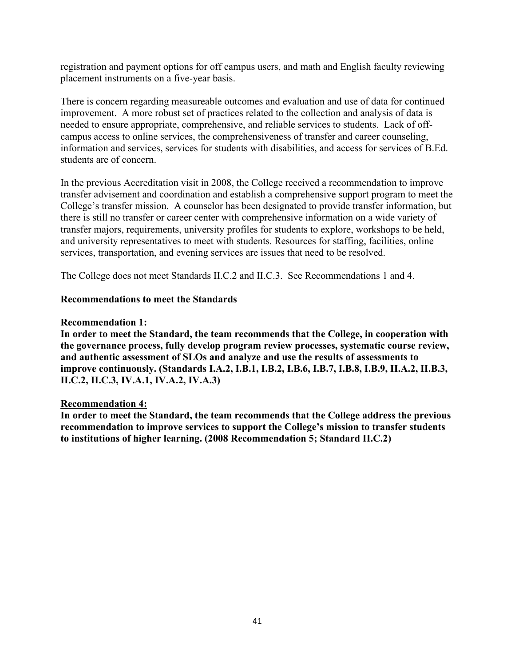registration and payment options for off campus users, and math and English faculty reviewing placement instruments on a five-year basis.

There is concern regarding measureable outcomes and evaluation and use of data for continued improvement. A more robust set of practices related to the collection and analysis of data is needed to ensure appropriate, comprehensive, and reliable services to students. Lack of offcampus access to online services, the comprehensiveness of transfer and career counseling, information and services, services for students with disabilities, and access for services of B.Ed. students are of concern.

In the previous Accreditation visit in 2008, the College received a recommendation to improve transfer advisement and coordination and establish a comprehensive support program to meet the College's transfer mission. A counselor has been designated to provide transfer information, but there is still no transfer or career center with comprehensive information on a wide variety of transfer majors, requirements, university profiles for students to explore, workshops to be held, and university representatives to meet with students. Resources for staffing, facilities, online services, transportation, and evening services are issues that need to be resolved.

The College does not meet Standards II.C.2 and II.C.3. See Recommendations 1 and 4.

## **Recommendations to meet the Standards**

#### **Recommendation 1:**

**In order to meet the Standard, the team recommends that the College, in cooperation with the governance process, fully develop program review processes, systematic course review, and authentic assessment of SLOs and analyze and use the results of assessments to improve continuously. (Standards I.A.2, I.B.1, I.B.2, I.B.6, I.B.7, I.B.8, I.B.9, II.A.2, II.B.3, II.C.2, II.C.3, IV.A.1, IV.A.2, IV.A.3)**

#### **Recommendation 4:**

**In order to meet the Standard, the team recommends that the College address the previous recommendation to improve services to support the College's mission to transfer students to institutions of higher learning. (2008 Recommendation 5; Standard II.C.2)**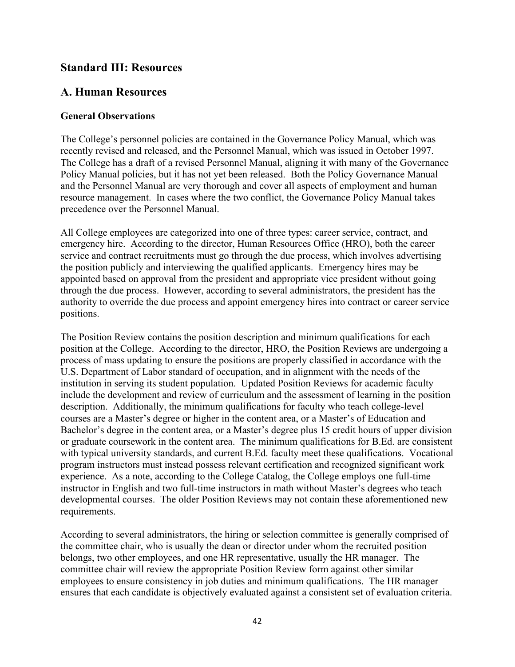## **Standard III: Resources**

# **A. Human Resources**

## **General Observations**

The College's personnel policies are contained in the Governance Policy Manual, which was recently revised and released, and the Personnel Manual, which was issued in October 1997. The College has a draft of a revised Personnel Manual, aligning it with many of the Governance Policy Manual policies, but it has not yet been released. Both the Policy Governance Manual and the Personnel Manual are very thorough and cover all aspects of employment and human resource management. In cases where the two conflict, the Governance Policy Manual takes precedence over the Personnel Manual.

All College employees are categorized into one of three types: career service, contract, and emergency hire. According to the director, Human Resources Office (HRO), both the career service and contract recruitments must go through the due process, which involves advertising the position publicly and interviewing the qualified applicants. Emergency hires may be appointed based on approval from the president and appropriate vice president without going through the due process. However, according to several administrators, the president has the authority to override the due process and appoint emergency hires into contract or career service positions.

The Position Review contains the position description and minimum qualifications for each position at the College. According to the director, HRO, the Position Reviews are undergoing a process of mass updating to ensure the positions are properly classified in accordance with the U.S. Department of Labor standard of occupation, and in alignment with the needs of the institution in serving its student population. Updated Position Reviews for academic faculty include the development and review of curriculum and the assessment of learning in the position description. Additionally, the minimum qualifications for faculty who teach college-level courses are a Master's degree or higher in the content area, or a Master's of Education and Bachelor's degree in the content area, or a Master's degree plus 15 credit hours of upper division or graduate coursework in the content area. The minimum qualifications for B.Ed. are consistent with typical university standards, and current B.Ed. faculty meet these qualifications. Vocational program instructors must instead possess relevant certification and recognized significant work experience. As a note, according to the College Catalog, the College employs one full-time instructor in English and two full-time instructors in math without Master's degrees who teach developmental courses. The older Position Reviews may not contain these aforementioned new requirements.

According to several administrators, the hiring or selection committee is generally comprised of the committee chair, who is usually the dean or director under whom the recruited position belongs, two other employees, and one HR representative, usually the HR manager. The committee chair will review the appropriate Position Review form against other similar employees to ensure consistency in job duties and minimum qualifications. The HR manager ensures that each candidate is objectively evaluated against a consistent set of evaluation criteria.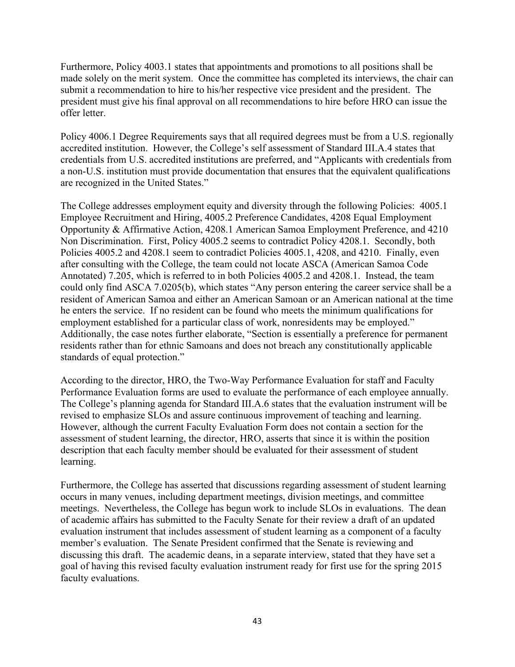Furthermore, Policy 4003.1 states that appointments and promotions to all positions shall be made solely on the merit system. Once the committee has completed its interviews, the chair can submit a recommendation to hire to his/her respective vice president and the president. The president must give his final approval on all recommendations to hire before HRO can issue the offer letter.

Policy 4006.1 Degree Requirements says that all required degrees must be from a U.S. regionally accredited institution. However, the College's self assessment of Standard III.A.4 states that credentials from U.S. accredited institutions are preferred, and "Applicants with credentials from a non-U.S. institution must provide documentation that ensures that the equivalent qualifications are recognized in the United States."

The College addresses employment equity and diversity through the following Policies: 4005.1 Employee Recruitment and Hiring, 4005.2 Preference Candidates, 4208 Equal Employment Opportunity & Affirmative Action, 4208.1 American Samoa Employment Preference, and 4210 Non Discrimination. First, Policy 4005.2 seems to contradict Policy 4208.1. Secondly, both Policies 4005.2 and 4208.1 seem to contradict Policies 4005.1, 4208, and 4210. Finally, even after consulting with the College, the team could not locate ASCA (American Samoa Code Annotated) 7.205, which is referred to in both Policies 4005.2 and 4208.1. Instead, the team could only find ASCA 7.0205(b), which states "Any person entering the career service shall be a resident of American Samoa and either an American Samoan or an American national at the time he enters the service. If no resident can be found who meets the minimum qualifications for employment established for a particular class of work, nonresidents may be employed." Additionally, the case notes further elaborate, "Section is essentially a preference for permanent residents rather than for ethnic Samoans and does not breach any constitutionally applicable standards of equal protection."

According to the director, HRO, the Two-Way Performance Evaluation for staff and Faculty Performance Evaluation forms are used to evaluate the performance of each employee annually. The College's planning agenda for Standard III.A.6 states that the evaluation instrument will be revised to emphasize SLOs and assure continuous improvement of teaching and learning. However, although the current Faculty Evaluation Form does not contain a section for the assessment of student learning, the director, HRO, asserts that since it is within the position description that each faculty member should be evaluated for their assessment of student learning.

Furthermore, the College has asserted that discussions regarding assessment of student learning occurs in many venues, including department meetings, division meetings, and committee meetings. Nevertheless, the College has begun work to include SLOs in evaluations. The dean of academic affairs has submitted to the Faculty Senate for their review a draft of an updated evaluation instrument that includes assessment of student learning as a component of a faculty member's evaluation. The Senate President confirmed that the Senate is reviewing and discussing this draft. The academic deans, in a separate interview, stated that they have set a goal of having this revised faculty evaluation instrument ready for first use for the spring 2015 faculty evaluations.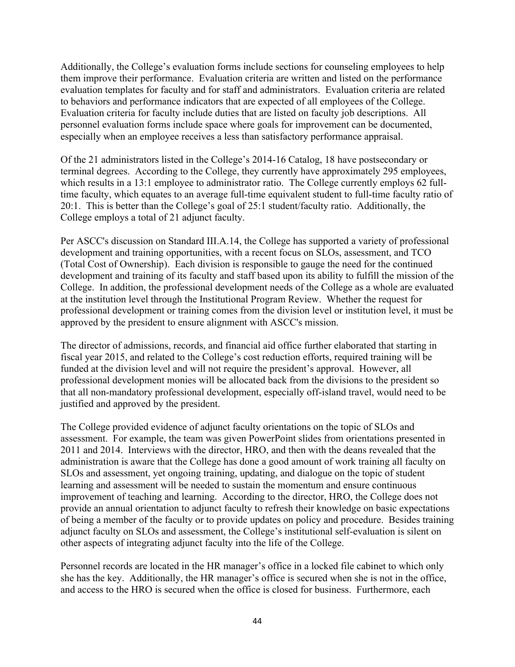Additionally, the College's evaluation forms include sections for counseling employees to help them improve their performance. Evaluation criteria are written and listed on the performance evaluation templates for faculty and for staff and administrators. Evaluation criteria are related to behaviors and performance indicators that are expected of all employees of the College. Evaluation criteria for faculty include duties that are listed on faculty job descriptions. All personnel evaluation forms include space where goals for improvement can be documented, especially when an employee receives a less than satisfactory performance appraisal.

Of the 21 administrators listed in the College's 2014-16 Catalog, 18 have postsecondary or terminal degrees. According to the College, they currently have approximately 295 employees, which results in a 13:1 employee to administrator ratio. The College currently employs 62 fulltime faculty, which equates to an average full-time equivalent student to full-time faculty ratio of 20:1. This is better than the College's goal of 25:1 student/faculty ratio. Additionally, the College employs a total of 21 adjunct faculty.

Per ASCC's discussion on Standard III.A.14, the College has supported a variety of professional development and training opportunities, with a recent focus on SLOs, assessment, and TCO (Total Cost of Ownership). Each division is responsible to gauge the need for the continued development and training of its faculty and staff based upon its ability to fulfill the mission of the College. In addition, the professional development needs of the College as a whole are evaluated at the institution level through the Institutional Program Review. Whether the request for professional development or training comes from the division level or institution level, it must be approved by the president to ensure alignment with ASCC's mission.

The director of admissions, records, and financial aid office further elaborated that starting in fiscal year 2015, and related to the College's cost reduction efforts, required training will be funded at the division level and will not require the president's approval. However, all professional development monies will be allocated back from the divisions to the president so that all non-mandatory professional development, especially off-island travel, would need to be justified and approved by the president.

The College provided evidence of adjunct faculty orientations on the topic of SLOs and assessment. For example, the team was given PowerPoint slides from orientations presented in 2011 and 2014. Interviews with the director, HRO, and then with the deans revealed that the administration is aware that the College has done a good amount of work training all faculty on SLOs and assessment, yet ongoing training, updating, and dialogue on the topic of student learning and assessment will be needed to sustain the momentum and ensure continuous improvement of teaching and learning. According to the director, HRO, the College does not provide an annual orientation to adjunct faculty to refresh their knowledge on basic expectations of being a member of the faculty or to provide updates on policy and procedure. Besides training adjunct faculty on SLOs and assessment, the College's institutional self-evaluation is silent on other aspects of integrating adjunct faculty into the life of the College.

Personnel records are located in the HR manager's office in a locked file cabinet to which only she has the key. Additionally, the HR manager's office is secured when she is not in the office, and access to the HRO is secured when the office is closed for business. Furthermore, each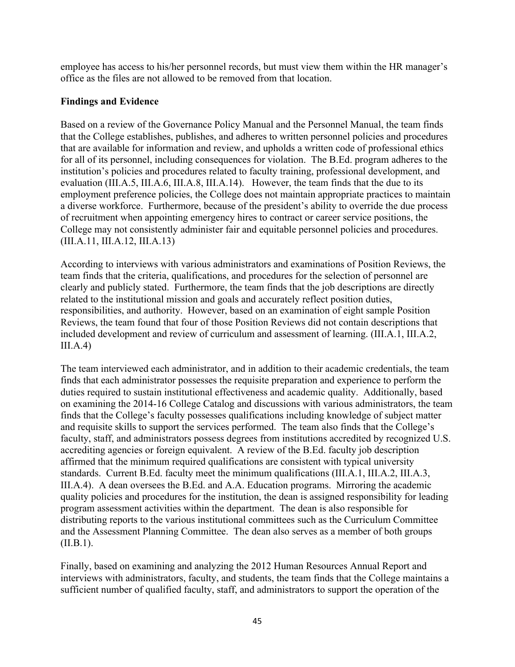employee has access to his/her personnel records, but must view them within the HR manager's office as the files are not allowed to be removed from that location.

## **Findings and Evidence**

Based on a review of the Governance Policy Manual and the Personnel Manual, the team finds that the College establishes, publishes, and adheres to written personnel policies and procedures that are available for information and review, and upholds a written code of professional ethics for all of its personnel, including consequences for violation. The B.Ed. program adheres to the institution's policies and procedures related to faculty training, professional development, and evaluation (III.A.5, III.A.6, III.A.8, III.A.14). However, the team finds that the due to its employment preference policies, the College does not maintain appropriate practices to maintain a diverse workforce. Furthermore, because of the president's ability to override the due process of recruitment when appointing emergency hires to contract or career service positions, the College may not consistently administer fair and equitable personnel policies and procedures. (III.A.11, III.A.12, III.A.13)

According to interviews with various administrators and examinations of Position Reviews, the team finds that the criteria, qualifications, and procedures for the selection of personnel are clearly and publicly stated. Furthermore, the team finds that the job descriptions are directly related to the institutional mission and goals and accurately reflect position duties, responsibilities, and authority. However, based on an examination of eight sample Position Reviews, the team found that four of those Position Reviews did not contain descriptions that included development and review of curriculum and assessment of learning. (III.A.1, III.A.2,  $III.A.4)$ 

The team interviewed each administrator, and in addition to their academic credentials, the team finds that each administrator possesses the requisite preparation and experience to perform the duties required to sustain institutional effectiveness and academic quality. Additionally, based on examining the 2014-16 College Catalog and discussions with various administrators, the team finds that the College's faculty possesses qualifications including knowledge of subject matter and requisite skills to support the services performed. The team also finds that the College's faculty, staff, and administrators possess degrees from institutions accredited by recognized U.S. accrediting agencies or foreign equivalent. A review of the B.Ed. faculty job description affirmed that the minimum required qualifications are consistent with typical university standards. Current B.Ed. faculty meet the minimum qualifications (III.A.1, III.A.2, III.A.3, III.A.4). A dean oversees the B.Ed. and A.A. Education programs. Mirroring the academic quality policies and procedures for the institution, the dean is assigned responsibility for leading program assessment activities within the department. The dean is also responsible for distributing reports to the various institutional committees such as the Curriculum Committee and the Assessment Planning Committee. The dean also serves as a member of both groups  $(II.B.1).$ 

Finally, based on examining and analyzing the 2012 Human Resources Annual Report and interviews with administrators, faculty, and students, the team finds that the College maintains a sufficient number of qualified faculty, staff, and administrators to support the operation of the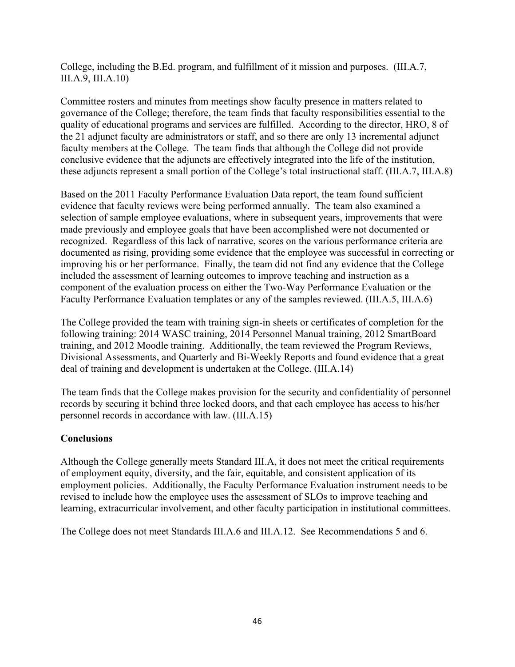College, including the B.Ed. program, and fulfillment of it mission and purposes. (III.A.7, III.A.9, III.A.10)

Committee rosters and minutes from meetings show faculty presence in matters related to governance of the College; therefore, the team finds that faculty responsibilities essential to the quality of educational programs and services are fulfilled. According to the director, HRO, 8 of the 21 adjunct faculty are administrators or staff, and so there are only 13 incremental adjunct faculty members at the College. The team finds that although the College did not provide conclusive evidence that the adjuncts are effectively integrated into the life of the institution, these adjuncts represent a small portion of the College's total instructional staff. (III.A.7, III.A.8)

Based on the 2011 Faculty Performance Evaluation Data report, the team found sufficient evidence that faculty reviews were being performed annually. The team also examined a selection of sample employee evaluations, where in subsequent years, improvements that were made previously and employee goals that have been accomplished were not documented or recognized. Regardless of this lack of narrative, scores on the various performance criteria are documented as rising, providing some evidence that the employee was successful in correcting or improving his or her performance. Finally, the team did not find any evidence that the College included the assessment of learning outcomes to improve teaching and instruction as a component of the evaluation process on either the Two-Way Performance Evaluation or the Faculty Performance Evaluation templates or any of the samples reviewed. (III.A.5, III.A.6)

The College provided the team with training sign-in sheets or certificates of completion for the following training: 2014 WASC training, 2014 Personnel Manual training, 2012 SmartBoard training, and 2012 Moodle training. Additionally, the team reviewed the Program Reviews, Divisional Assessments, and Quarterly and Bi-Weekly Reports and found evidence that a great deal of training and development is undertaken at the College. (III.A.14)

The team finds that the College makes provision for the security and confidentiality of personnel records by securing it behind three locked doors, and that each employee has access to his/her personnel records in accordance with law. (III.A.15)

## **Conclusions**

Although the College generally meets Standard III.A, it does not meet the critical requirements of employment equity, diversity, and the fair, equitable, and consistent application of its employment policies. Additionally, the Faculty Performance Evaluation instrument needs to be revised to include how the employee uses the assessment of SLOs to improve teaching and learning, extracurricular involvement, and other faculty participation in institutional committees.

The College does not meet Standards III.A.6 and III.A.12. See Recommendations 5 and 6.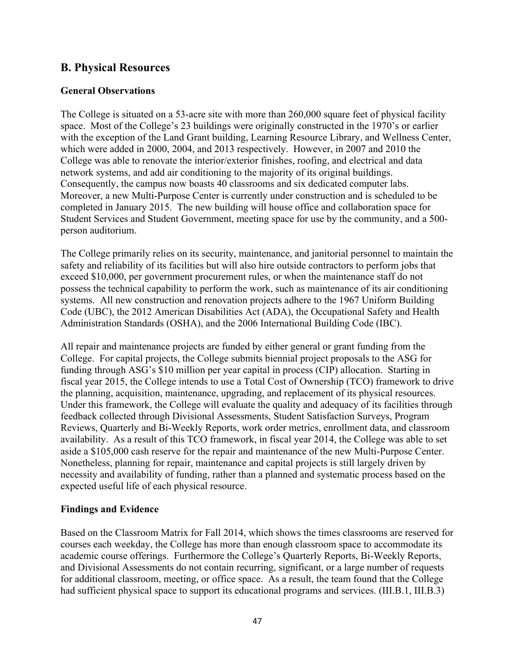# **B. Physical Resources**

## **General Observations**

The College is situated on a 53-acre site with more than 260,000 square feet of physical facility space. Most of the College's 23 buildings were originally constructed in the 1970's or earlier with the exception of the Land Grant building, Learning Resource Library, and Wellness Center, which were added in 2000, 2004, and 2013 respectively. However, in 2007 and 2010 the College was able to renovate the interior/exterior finishes, roofing, and electrical and data network systems, and add air conditioning to the majority of its original buildings. Consequently, the campus now boasts 40 classrooms and six dedicated computer labs. Moreover, a new Multi-Purpose Center is currently under construction and is scheduled to be completed in January 2015. The new building will house office and collaboration space for Student Services and Student Government, meeting space for use by the community, and a 500 person auditorium.

The College primarily relies on its security, maintenance, and janitorial personnel to maintain the safety and reliability of its facilities but will also hire outside contractors to perform jobs that exceed \$10,000, per government procurement rules, or when the maintenance staff do not possess the technical capability to perform the work, such as maintenance of its air conditioning systems. All new construction and renovation projects adhere to the 1967 Uniform Building Code (UBC), the 2012 American Disabilities Act (ADA), the Occupational Safety and Health Administration Standards (OSHA), and the 2006 International Building Code (IBC).

All repair and maintenance projects are funded by either general or grant funding from the College. For capital projects, the College submits biennial project proposals to the ASG for funding through ASG's \$10 million per year capital in process (CIP) allocation. Starting in fiscal year 2015, the College intends to use a Total Cost of Ownership (TCO) framework to drive the planning, acquisition, maintenance, upgrading, and replacement of its physical resources. Under this framework, the College will evaluate the quality and adequacy of its facilities through feedback collected through Divisional Assessments, Student Satisfaction Surveys, Program Reviews, Quarterly and Bi-Weekly Reports, work order metrics, enrollment data, and classroom availability. As a result of this TCO framework, in fiscal year 2014, the College was able to set aside a \$105,000 cash reserve for the repair and maintenance of the new Multi-Purpose Center. Nonetheless, planning for repair, maintenance and capital projects is still largely driven by necessity and availability of funding, rather than a planned and systematic process based on the expected useful life of each physical resource.

#### **Findings and Evidence**

Based on the Classroom Matrix for Fall 2014, which shows the times classrooms are reserved for courses each weekday, the College has more than enough classroom space to accommodate its academic course offerings. Furthermore the College's Quarterly Reports, Bi-Weekly Reports, and Divisional Assessments do not contain recurring, significant, or a large number of requests for additional classroom, meeting, or office space. As a result, the team found that the College had sufficient physical space to support its educational programs and services. (III.B.1, III.B.3)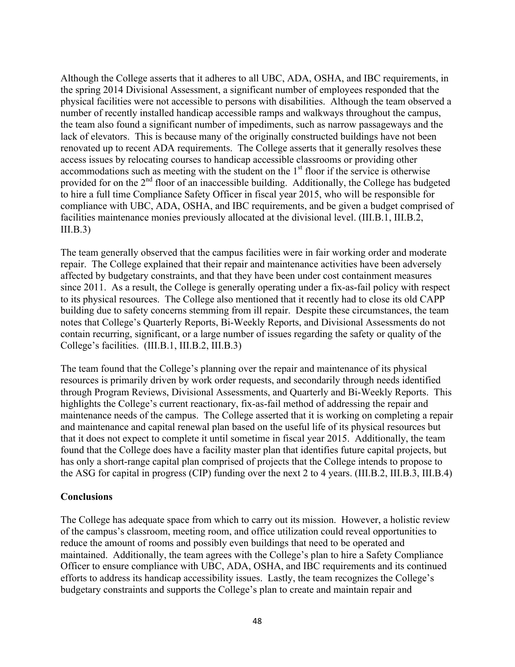Although the College asserts that it adheres to all UBC, ADA, OSHA, and IBC requirements, in the spring 2014 Divisional Assessment, a significant number of employees responded that the physical facilities were not accessible to persons with disabilities. Although the team observed a number of recently installed handicap accessible ramps and walkways throughout the campus, the team also found a significant number of impediments, such as narrow passageways and the lack of elevators. This is because many of the originally constructed buildings have not been renovated up to recent ADA requirements. The College asserts that it generally resolves these access issues by relocating courses to handicap accessible classrooms or providing other accommodations such as meeting with the student on the 1<sup>st</sup> floor if the service is otherwise provided for on the 2<sup>nd</sup> floor of an inaccessible building. Additionally, the College has budgeted to hire a full time Compliance Safety Officer in fiscal year 2015, who will be responsible for compliance with UBC, ADA, OSHA, and IBC requirements, and be given a budget comprised of facilities maintenance monies previously allocated at the divisional level. (III.B.1, III.B.2,  $III.B.3)$ 

The team generally observed that the campus facilities were in fair working order and moderate repair. The College explained that their repair and maintenance activities have been adversely affected by budgetary constraints, and that they have been under cost containment measures since 2011. As a result, the College is generally operating under a fix-as-fail policy with respect to its physical resources. The College also mentioned that it recently had to close its old CAPP building due to safety concerns stemming from ill repair. Despite these circumstances, the team notes that College's Quarterly Reports, Bi-Weekly Reports, and Divisional Assessments do not contain recurring, significant, or a large number of issues regarding the safety or quality of the College's facilities. (III.B.1, III.B.2, III.B.3)

The team found that the College's planning over the repair and maintenance of its physical resources is primarily driven by work order requests, and secondarily through needs identified through Program Reviews, Divisional Assessments, and Quarterly and Bi-Weekly Reports. This highlights the College's current reactionary, fix-as-fail method of addressing the repair and maintenance needs of the campus. The College asserted that it is working on completing a repair and maintenance and capital renewal plan based on the useful life of its physical resources but that it does not expect to complete it until sometime in fiscal year 2015. Additionally, the team found that the College does have a facility master plan that identifies future capital projects, but has only a short-range capital plan comprised of projects that the College intends to propose to the ASG for capital in progress (CIP) funding over the next 2 to 4 years. (III.B.2, III.B.3, III.B.4)

#### **Conclusions**

The College has adequate space from which to carry out its mission. However, a holistic review of the campus's classroom, meeting room, and office utilization could reveal opportunities to reduce the amount of rooms and possibly even buildings that need to be operated and maintained. Additionally, the team agrees with the College's plan to hire a Safety Compliance Officer to ensure compliance with UBC, ADA, OSHA, and IBC requirements and its continued efforts to address its handicap accessibility issues. Lastly, the team recognizes the College's budgetary constraints and supports the College's plan to create and maintain repair and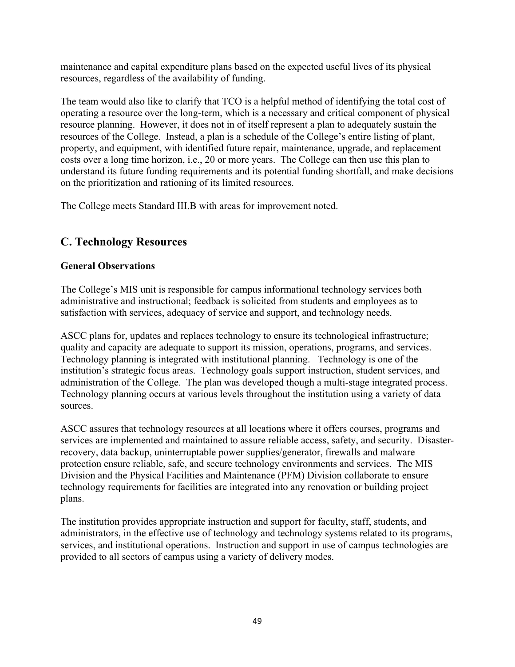maintenance and capital expenditure plans based on the expected useful lives of its physical resources, regardless of the availability of funding.

The team would also like to clarify that TCO is a helpful method of identifying the total cost of operating a resource over the long-term, which is a necessary and critical component of physical resource planning. However, it does not in of itself represent a plan to adequately sustain the resources of the College. Instead, a plan is a schedule of the College's entire listing of plant, property, and equipment, with identified future repair, maintenance, upgrade, and replacement costs over a long time horizon, i.e., 20 or more years. The College can then use this plan to understand its future funding requirements and its potential funding shortfall, and make decisions on the prioritization and rationing of its limited resources.

The College meets Standard III.B with areas for improvement noted.

# **C. Technology Resources**

## **General Observations**

The College's MIS unit is responsible for campus informational technology services both administrative and instructional; feedback is solicited from students and employees as to satisfaction with services, adequacy of service and support, and technology needs.

ASCC plans for, updates and replaces technology to ensure its technological infrastructure; quality and capacity are adequate to support its mission, operations, programs, and services. Technology planning is integrated with institutional planning. Technology is one of the institution's strategic focus areas. Technology goals support instruction, student services, and administration of the College. The plan was developed though a multi-stage integrated process. Technology planning occurs at various levels throughout the institution using a variety of data sources.

ASCC assures that technology resources at all locations where it offers courses, programs and services are implemented and maintained to assure reliable access, safety, and security. Disasterrecovery, data backup, uninterruptable power supplies/generator, firewalls and malware protection ensure reliable, safe, and secure technology environments and services. The MIS Division and the Physical Facilities and Maintenance (PFM) Division collaborate to ensure technology requirements for facilities are integrated into any renovation or building project plans.

The institution provides appropriate instruction and support for faculty, staff, students, and administrators, in the effective use of technology and technology systems related to its programs, services, and institutional operations. Instruction and support in use of campus technologies are provided to all sectors of campus using a variety of delivery modes.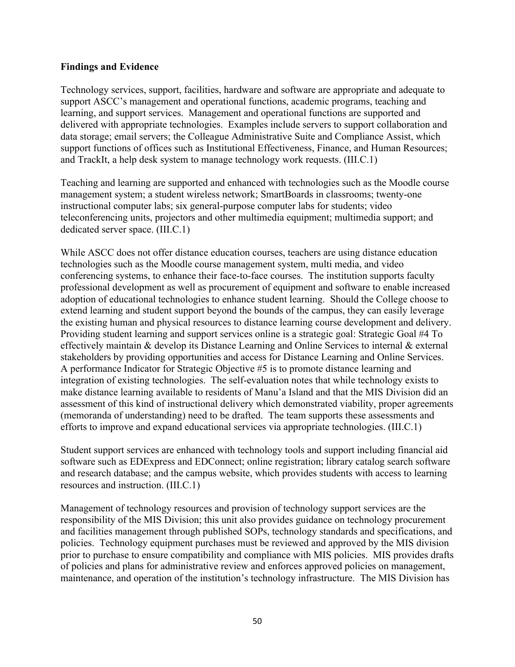#### **Findings and Evidence**

Technology services, support, facilities, hardware and software are appropriate and adequate to support ASCC's management and operational functions, academic programs, teaching and learning, and support services. Management and operational functions are supported and delivered with appropriate technologies. Examples include servers to support collaboration and data storage; email servers; the Colleague Administrative Suite and Compliance Assist, which support functions of offices such as Institutional Effectiveness, Finance, and Human Resources; and TrackIt, a help desk system to manage technology work requests. (III.C.1)

Teaching and learning are supported and enhanced with technologies such as the Moodle course management system; a student wireless network; SmartBoards in classrooms; twenty-one instructional computer labs; six general-purpose computer labs for students; video teleconferencing units, projectors and other multimedia equipment; multimedia support; and dedicated server space. (III.C.1)

While ASCC does not offer distance education courses, teachers are using distance education technologies such as the Moodle course management system, multi media, and video conferencing systems, to enhance their face-to-face courses. The institution supports faculty professional development as well as procurement of equipment and software to enable increased adoption of educational technologies to enhance student learning. Should the College choose to extend learning and student support beyond the bounds of the campus, they can easily leverage the existing human and physical resources to distance learning course development and delivery. Providing student learning and support services online is a strategic goal: Strategic Goal #4 To effectively maintain & develop its Distance Learning and Online Services to internal & external stakeholders by providing opportunities and access for Distance Learning and Online Services. A performance Indicator for Strategic Objective #5 is to promote distance learning and integration of existing technologies. The self-evaluation notes that while technology exists to make distance learning available to residents of Manu'a Island and that the MIS Division did an assessment of this kind of instructional delivery which demonstrated viability, proper agreements (memoranda of understanding) need to be drafted. The team supports these assessments and efforts to improve and expand educational services via appropriate technologies. (III.C.1)

Student support services are enhanced with technology tools and support including financial aid software such as EDExpress and EDConnect; online registration; library catalog search software and research database; and the campus website, which provides students with access to learning resources and instruction. (III.C.1)

Management of technology resources and provision of technology support services are the responsibility of the MIS Division; this unit also provides guidance on technology procurement and facilities management through published SOPs, technology standards and specifications, and policies. Technology equipment purchases must be reviewed and approved by the MIS division prior to purchase to ensure compatibility and compliance with MIS policies. MIS provides drafts of policies and plans for administrative review and enforces approved policies on management, maintenance, and operation of the institution's technology infrastructure. The MIS Division has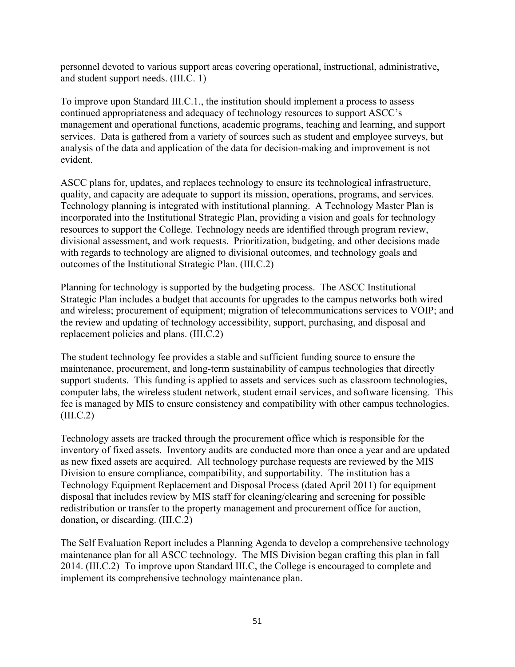personnel devoted to various support areas covering operational, instructional, administrative, and student support needs. (III.C. 1)

To improve upon Standard III.C.1., the institution should implement a process to assess continued appropriateness and adequacy of technology resources to support ASCC's management and operational functions, academic programs, teaching and learning, and support services. Data is gathered from a variety of sources such as student and employee surveys, but analysis of the data and application of the data for decision-making and improvement is not evident.

ASCC plans for, updates, and replaces technology to ensure its technological infrastructure, quality, and capacity are adequate to support its mission, operations, programs, and services. Technology planning is integrated with institutional planning. A Technology Master Plan is incorporated into the Institutional Strategic Plan, providing a vision and goals for technology resources to support the College. Technology needs are identified through program review, divisional assessment, and work requests. Prioritization, budgeting, and other decisions made with regards to technology are aligned to divisional outcomes, and technology goals and outcomes of the Institutional Strategic Plan. (III.C.2)

Planning for technology is supported by the budgeting process. The ASCC Institutional Strategic Plan includes a budget that accounts for upgrades to the campus networks both wired and wireless; procurement of equipment; migration of telecommunications services to VOIP; and the review and updating of technology accessibility, support, purchasing, and disposal and replacement policies and plans. (III.C.2)

The student technology fee provides a stable and sufficient funding source to ensure the maintenance, procurement, and long-term sustainability of campus technologies that directly support students. This funding is applied to assets and services such as classroom technologies, computer labs, the wireless student network, student email services, and software licensing. This fee is managed by MIS to ensure consistency and compatibility with other campus technologies.  $(III.C.2)$ 

Technology assets are tracked through the procurement office which is responsible for the inventory of fixed assets. Inventory audits are conducted more than once a year and are updated as new fixed assets are acquired. All technology purchase requests are reviewed by the MIS Division to ensure compliance, compatibility, and supportability. The institution has a Technology Equipment Replacement and Disposal Process (dated April 2011) for equipment disposal that includes review by MIS staff for cleaning/clearing and screening for possible redistribution or transfer to the property management and procurement office for auction, donation, or discarding. (III.C.2)

The Self Evaluation Report includes a Planning Agenda to develop a comprehensive technology maintenance plan for all ASCC technology. The MIS Division began crafting this plan in fall 2014. (III.C.2) To improve upon Standard III.C, the College is encouraged to complete and implement its comprehensive technology maintenance plan.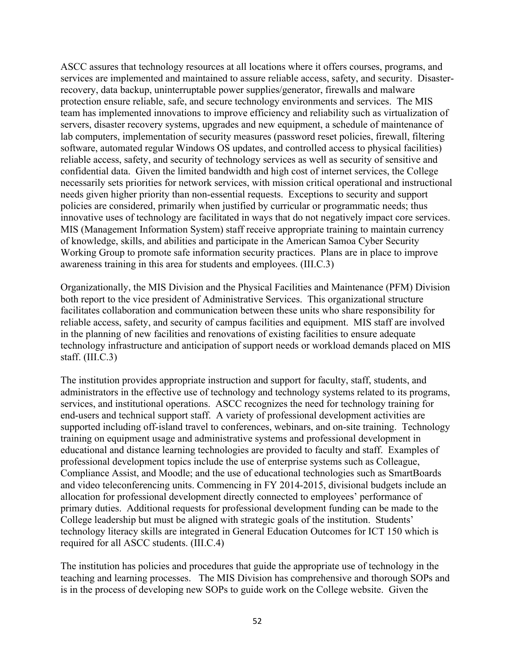ASCC assures that technology resources at all locations where it offers courses, programs, and services are implemented and maintained to assure reliable access, safety, and security. Disasterrecovery, data backup, uninterruptable power supplies/generator, firewalls and malware protection ensure reliable, safe, and secure technology environments and services. The MIS team has implemented innovations to improve efficiency and reliability such as virtualization of servers, disaster recovery systems, upgrades and new equipment, a schedule of maintenance of lab computers, implementation of security measures (password reset policies, firewall, filtering software, automated regular Windows OS updates, and controlled access to physical facilities) reliable access, safety, and security of technology services as well as security of sensitive and confidential data. Given the limited bandwidth and high cost of internet services, the College necessarily sets priorities for network services, with mission critical operational and instructional needs given higher priority than non-essential requests. Exceptions to security and support policies are considered, primarily when justified by curricular or programmatic needs; thus innovative uses of technology are facilitated in ways that do not negatively impact core services. MIS (Management Information System) staff receive appropriate training to maintain currency of knowledge, skills, and abilities and participate in the American Samoa Cyber Security Working Group to promote safe information security practices. Plans are in place to improve awareness training in this area for students and employees. (III.C.3)

Organizationally, the MIS Division and the Physical Facilities and Maintenance (PFM) Division both report to the vice president of Administrative Services. This organizational structure facilitates collaboration and communication between these units who share responsibility for reliable access, safety, and security of campus facilities and equipment. MIS staff are involved in the planning of new facilities and renovations of existing facilities to ensure adequate technology infrastructure and anticipation of support needs or workload demands placed on MIS staff. (III.C.3)

The institution provides appropriate instruction and support for faculty, staff, students, and administrators in the effective use of technology and technology systems related to its programs, services, and institutional operations. ASCC recognizes the need for technology training for end-users and technical support staff. A variety of professional development activities are supported including off-island travel to conferences, webinars, and on-site training. Technology training on equipment usage and administrative systems and professional development in educational and distance learning technologies are provided to faculty and staff. Examples of professional development topics include the use of enterprise systems such as Colleague, Compliance Assist, and Moodle; and the use of educational technologies such as SmartBoards and video teleconferencing units. Commencing in FY 2014-2015, divisional budgets include an allocation for professional development directly connected to employees' performance of primary duties. Additional requests for professional development funding can be made to the College leadership but must be aligned with strategic goals of the institution. Students' technology literacy skills are integrated in General Education Outcomes for ICT 150 which is required for all ASCC students. (III.C.4)

The institution has policies and procedures that guide the appropriate use of technology in the teaching and learning processes. The MIS Division has comprehensive and thorough SOPs and is in the process of developing new SOPs to guide work on the College website. Given the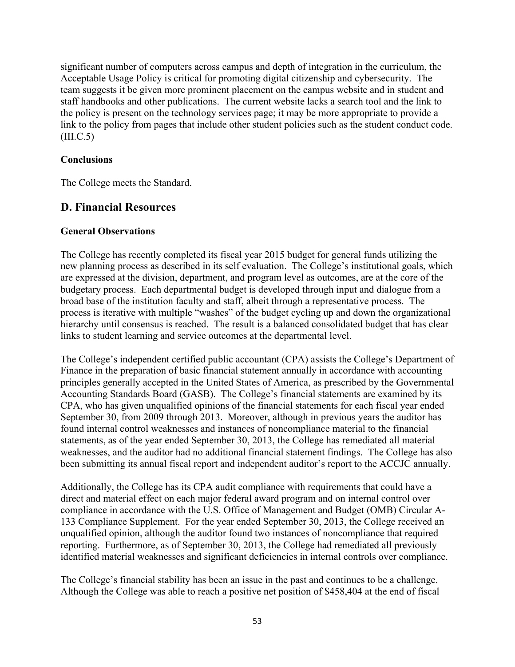significant number of computers across campus and depth of integration in the curriculum, the Acceptable Usage Policy is critical for promoting digital citizenship and cybersecurity. The team suggests it be given more prominent placement on the campus website and in student and staff handbooks and other publications. The current website lacks a search tool and the link to the policy is present on the technology services page; it may be more appropriate to provide a link to the policy from pages that include other student policies such as the student conduct code.  $(III.C.5)$ 

## **Conclusions**

The College meets the Standard.

# **D. Financial Resources**

## **General Observations**

The College has recently completed its fiscal year 2015 budget for general funds utilizing the new planning process as described in its self evaluation. The College's institutional goals, which are expressed at the division, department, and program level as outcomes, are at the core of the budgetary process. Each departmental budget is developed through input and dialogue from a broad base of the institution faculty and staff, albeit through a representative process. The process is iterative with multiple "washes" of the budget cycling up and down the organizational hierarchy until consensus is reached. The result is a balanced consolidated budget that has clear links to student learning and service outcomes at the departmental level.

The College's independent certified public accountant (CPA) assists the College's Department of Finance in the preparation of basic financial statement annually in accordance with accounting principles generally accepted in the United States of America, as prescribed by the Governmental Accounting Standards Board (GASB). The College's financial statements are examined by its CPA, who has given unqualified opinions of the financial statements for each fiscal year ended September 30, from 2009 through 2013. Moreover, although in previous years the auditor has found internal control weaknesses and instances of noncompliance material to the financial statements, as of the year ended September 30, 2013, the College has remediated all material weaknesses, and the auditor had no additional financial statement findings. The College has also been submitting its annual fiscal report and independent auditor's report to the ACCJC annually.

Additionally, the College has its CPA audit compliance with requirements that could have a direct and material effect on each major federal award program and on internal control over compliance in accordance with the U.S. Office of Management and Budget (OMB) Circular A-133 Compliance Supplement. For the year ended September 30, 2013, the College received an unqualified opinion, although the auditor found two instances of noncompliance that required reporting. Furthermore, as of September 30, 2013, the College had remediated all previously identified material weaknesses and significant deficiencies in internal controls over compliance.

The College's financial stability has been an issue in the past and continues to be a challenge. Although the College was able to reach a positive net position of \$458,404 at the end of fiscal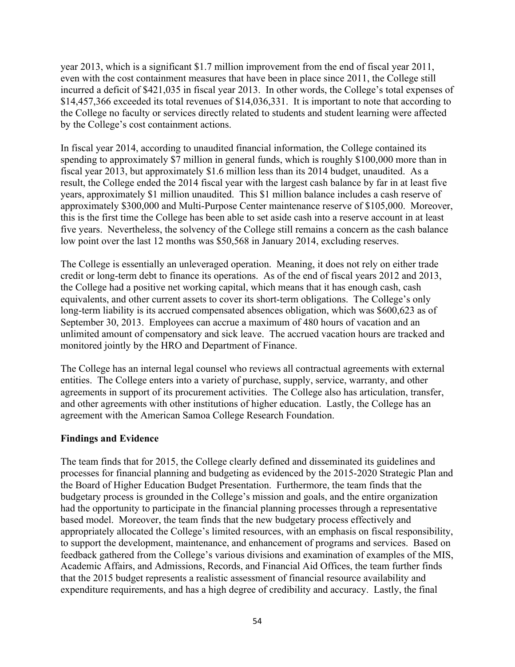year 2013, which is a significant \$1.7 million improvement from the end of fiscal year 2011, even with the cost containment measures that have been in place since 2011, the College still incurred a deficit of \$421,035 in fiscal year 2013. In other words, the College's total expenses of \$14,457,366 exceeded its total revenues of \$14,036,331. It is important to note that according to the College no faculty or services directly related to students and student learning were affected by the College's cost containment actions.

In fiscal year 2014, according to unaudited financial information, the College contained its spending to approximately \$7 million in general funds, which is roughly \$100,000 more than in fiscal year 2013, but approximately \$1.6 million less than its 2014 budget, unaudited. As a result, the College ended the 2014 fiscal year with the largest cash balance by far in at least five years, approximately \$1 million unaudited. This \$1 million balance includes a cash reserve of approximately \$300,000 and Multi-Purpose Center maintenance reserve of \$105,000. Moreover, this is the first time the College has been able to set aside cash into a reserve account in at least five years. Nevertheless, the solvency of the College still remains a concern as the cash balance low point over the last 12 months was \$50,568 in January 2014, excluding reserves.

The College is essentially an unleveraged operation. Meaning, it does not rely on either trade credit or long-term debt to finance its operations. As of the end of fiscal years 2012 and 2013, the College had a positive net working capital, which means that it has enough cash, cash equivalents, and other current assets to cover its short-term obligations. The College's only long-term liability is its accrued compensated absences obligation, which was \$600,623 as of September 30, 2013. Employees can accrue a maximum of 480 hours of vacation and an unlimited amount of compensatory and sick leave. The accrued vacation hours are tracked and monitored jointly by the HRO and Department of Finance.

The College has an internal legal counsel who reviews all contractual agreements with external entities. The College enters into a variety of purchase, supply, service, warranty, and other agreements in support of its procurement activities. The College also has articulation, transfer, and other agreements with other institutions of higher education. Lastly, the College has an agreement with the American Samoa College Research Foundation.

#### **Findings and Evidence**

The team finds that for 2015, the College clearly defined and disseminated its guidelines and processes for financial planning and budgeting as evidenced by the 2015-2020 Strategic Plan and the Board of Higher Education Budget Presentation. Furthermore, the team finds that the budgetary process is grounded in the College's mission and goals, and the entire organization had the opportunity to participate in the financial planning processes through a representative based model. Moreover, the team finds that the new budgetary process effectively and appropriately allocated the College's limited resources, with an emphasis on fiscal responsibility, to support the development, maintenance, and enhancement of programs and services. Based on feedback gathered from the College's various divisions and examination of examples of the MIS, Academic Affairs, and Admissions, Records, and Financial Aid Offices, the team further finds that the 2015 budget represents a realistic assessment of financial resource availability and expenditure requirements, and has a high degree of credibility and accuracy. Lastly, the final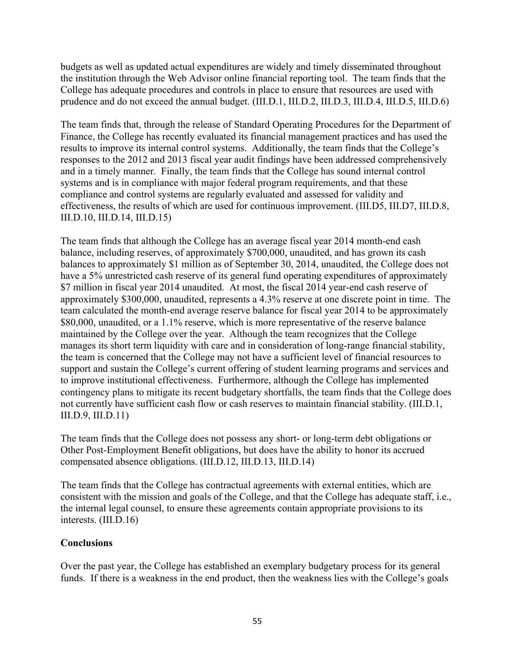budgets as well as updated actual expenditures are widely and timely disseminated throughout the institution through the Web Advisor online financial reporting tool. The team finds that the College has adequate procedures and controls in place to ensure that resources are used with prudence and do not exceed the annual budget. (III.D.1, III.D.2, III.D.3, III.D.4, III.D.5, III.D.6)

The team finds that, through the release of Standard Operating Procedures for the Department of Finance, the College has recently evaluated its financial management practices and has used the results to improve its internal control systems. Additionally, the team finds that the College's responses to the 2012 and 2013 fiscal year audit findings have been addressed comprehensively and in a timely manner. Finally, the team finds that the College has sound internal control systems and is in compliance with major federal program requirements, and that these compliance and control systems are regularly evaluated and assessed for validity and effectiveness, the results of which are used for continuous improvement. (III.D5, III.D7, III.D.8, III.D.10, III.D.14, III.D.15)

The team finds that although the College has an average fiscal year 2014 month-end cash balance, including reserves, of approximately \$700,000, unaudited, and has grown its cash balances to approximately \$1 million as of September 30, 2014, unaudited, the College does not have a 5% unrestricted cash reserve of its general fund operating expenditures of approximately \$7 million in fiscal year 2014 unaudited. At most, the fiscal 2014 year-end cash reserve of approximately \$300,000, unaudited, represents a 4.3% reserve at one discrete point in time. The team calculated the month-end average reserve balance for fiscal year 2014 to be approximately \$80,000, unaudited, or a 1.1% reserve, which is more representative of the reserve balance maintained by the College over the year. Although the team recognizes that the College manages its short term liquidity with care and in consideration of long-range financial stability, the team is concerned that the College may not have a sufficient level of financial resources to support and sustain the College's current offering of student learning programs and services and to improve institutional effectiveness. Furthermore, although the College has implemented contingency plans to mitigate its recent budgetary shortfalls, the team finds that the College does not currently have sufficient cash flow or cash reserves to maintain financial stability. (III.D.1, III.D.9, III.D.11)

The team finds that the College does not possess any short- or long-term debt obligations or Other Post-Employment Benefit obligations, but does have the ability to honor its accrued compensated absence obligations. (III.D.12, III.D.13, III.D.14)

The team finds that the College has contractual agreements with external entities, which are consistent with the mission and goals of the College, and that the College has adequate staff, i.e., the internal legal counsel, to ensure these agreements contain appropriate provisions to its interests. (III.D.16)

#### **Conclusions**

Over the past year, the College has established an exemplary budgetary process for its general funds. If there is a weakness in the end product, then the weakness lies with the College's goals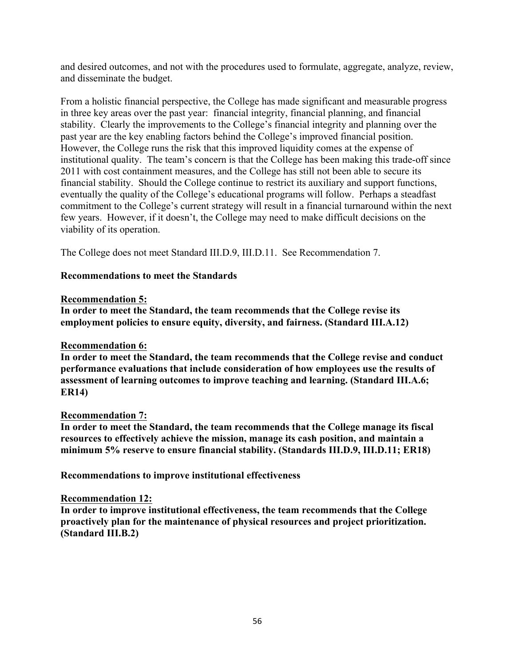and desired outcomes, and not with the procedures used to formulate, aggregate, analyze, review, and disseminate the budget.

From a holistic financial perspective, the College has made significant and measurable progress in three key areas over the past year: financial integrity, financial planning, and financial stability. Clearly the improvements to the College's financial integrity and planning over the past year are the key enabling factors behind the College's improved financial position. However, the College runs the risk that this improved liquidity comes at the expense of institutional quality. The team's concern is that the College has been making this trade-off since 2011 with cost containment measures, and the College has still not been able to secure its financial stability. Should the College continue to restrict its auxiliary and support functions, eventually the quality of the College's educational programs will follow. Perhaps a steadfast commitment to the College's current strategy will result in a financial turnaround within the next few years. However, if it doesn't, the College may need to make difficult decisions on the viability of its operation.

The College does not meet Standard III.D.9, III.D.11. See Recommendation 7.

## **Recommendations to meet the Standards**

#### **Recommendation 5:**

**In order to meet the Standard, the team recommends that the College revise its employment policies to ensure equity, diversity, and fairness. (Standard III.A.12)**

#### **Recommendation 6:**

**In order to meet the Standard, the team recommends that the College revise and conduct performance evaluations that include consideration of how employees use the results of assessment of learning outcomes to improve teaching and learning. (Standard III.A.6; ER14)**

#### **Recommendation 7:**

**In order to meet the Standard, the team recommends that the College manage its fiscal resources to effectively achieve the mission, manage its cash position, and maintain a minimum 5% reserve to ensure financial stability. (Standards III.D.9, III.D.11; ER18)**

**Recommendations to improve institutional effectiveness**

#### **Recommendation 12:**

**In order to improve institutional effectiveness, the team recommends that the College proactively plan for the maintenance of physical resources and project prioritization. (Standard III.B.2)**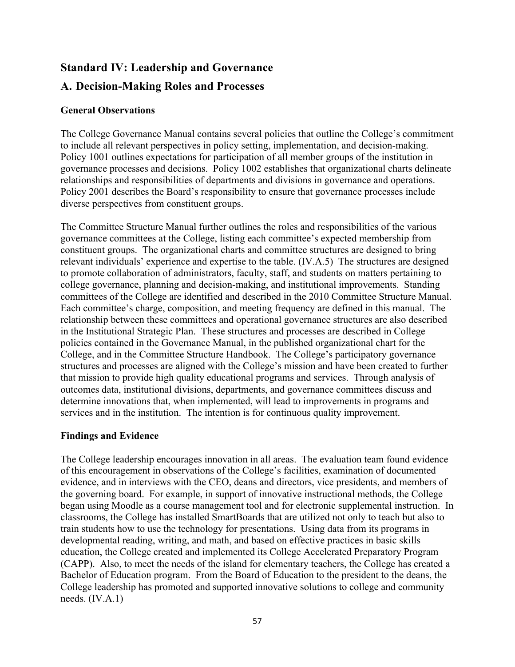# **Standard IV: Leadership and Governance**

# **A. Decision-Making Roles and Processes**

## **General Observations**

The College Governance Manual contains several policies that outline the College's commitment to include all relevant perspectives in policy setting, implementation, and decision-making. Policy 1001 outlines expectations for participation of all member groups of the institution in governance processes and decisions. Policy 1002 establishes that organizational charts delineate relationships and responsibilities of departments and divisions in governance and operations. Policy 2001 describes the Board's responsibility to ensure that governance processes include diverse perspectives from constituent groups.

The Committee Structure Manual further outlines the roles and responsibilities of the various governance committees at the College, listing each committee's expected membership from constituent groups. The organizational charts and committee structures are designed to bring relevant individuals' experience and expertise to the table. (IV.A.5) The structures are designed to promote collaboration of administrators, faculty, staff, and students on matters pertaining to college governance, planning and decision-making, and institutional improvements. Standing committees of the College are identified and described in the 2010 Committee Structure Manual. Each committee's charge, composition, and meeting frequency are defined in this manual. The relationship between these committees and operational governance structures are also described in the Institutional Strategic Plan. These structures and processes are described in College policies contained in the Governance Manual, in the published organizational chart for the College, and in the Committee Structure Handbook. The College's participatory governance structures and processes are aligned with the College's mission and have been created to further that mission to provide high quality educational programs and services. Through analysis of outcomes data, institutional divisions, departments, and governance committees discuss and determine innovations that, when implemented, will lead to improvements in programs and services and in the institution. The intention is for continuous quality improvement.

## **Findings and Evidence**

The College leadership encourages innovation in all areas. The evaluation team found evidence of this encouragement in observations of the College's facilities, examination of documented evidence, and in interviews with the CEO, deans and directors, vice presidents, and members of the governing board. For example, in support of innovative instructional methods, the College began using Moodle as a course management tool and for electronic supplemental instruction. In classrooms, the College has installed SmartBoards that are utilized not only to teach but also to train students how to use the technology for presentations. Using data from its programs in developmental reading, writing, and math, and based on effective practices in basic skills education, the College created and implemented its College Accelerated Preparatory Program (CAPP). Also, to meet the needs of the island for elementary teachers, the College has created a Bachelor of Education program. From the Board of Education to the president to the deans, the College leadership has promoted and supported innovative solutions to college and community needs. (IV.A.1)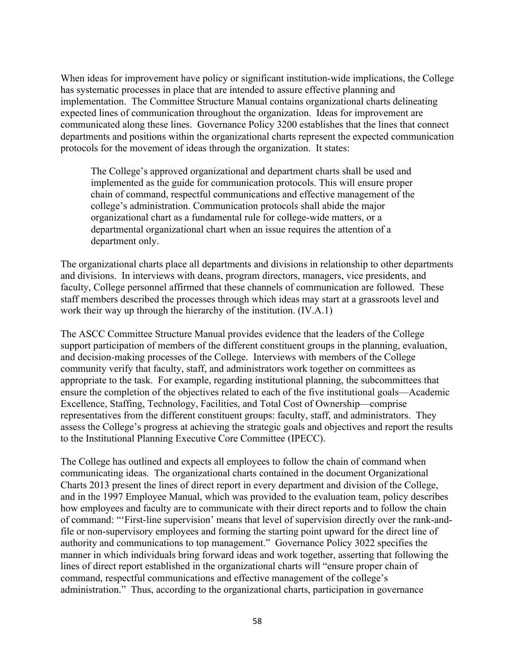When ideas for improvement have policy or significant institution-wide implications, the College has systematic processes in place that are intended to assure effective planning and implementation. The Committee Structure Manual contains organizational charts delineating expected lines of communication throughout the organization. Ideas for improvement are communicated along these lines. Governance Policy 3200 establishes that the lines that connect departments and positions within the organizational charts represent the expected communication protocols for the movement of ideas through the organization. It states:

The College's approved organizational and department charts shall be used and implemented as the guide for communication protocols. This will ensure proper chain of command, respectful communications and effective management of the college's administration. Communication protocols shall abide the major organizational chart as a fundamental rule for college-wide matters, or a departmental organizational chart when an issue requires the attention of a department only.

The organizational charts place all departments and divisions in relationship to other departments and divisions. In interviews with deans, program directors, managers, vice presidents, and faculty, College personnel affirmed that these channels of communication are followed. These staff members described the processes through which ideas may start at a grassroots level and work their way up through the hierarchy of the institution. (IV.A.1)

The ASCC Committee Structure Manual provides evidence that the leaders of the College support participation of members of the different constituent groups in the planning, evaluation, and decision-making processes of the College. Interviews with members of the College community verify that faculty, staff, and administrators work together on committees as appropriate to the task. For example, regarding institutional planning, the subcommittees that ensure the completion of the objectives related to each of the five institutional goals—Academic Excellence, Staffing, Technology, Facilities, and Total Cost of Ownership—comprise representatives from the different constituent groups: faculty, staff, and administrators. They assess the College's progress at achieving the strategic goals and objectives and report the results to the Institutional Planning Executive Core Committee (IPECC).

The College has outlined and expects all employees to follow the chain of command when communicating ideas. The organizational charts contained in the document Organizational Charts 2013 present the lines of direct report in every department and division of the College, and in the 1997 Employee Manual, which was provided to the evaluation team, policy describes how employees and faculty are to communicate with their direct reports and to follow the chain of command: "'First-line supervision' means that level of supervision directly over the rank-andfile or non-supervisory employees and forming the starting point upward for the direct line of authority and communications to top management." Governance Policy 3022 specifies the manner in which individuals bring forward ideas and work together, asserting that following the lines of direct report established in the organizational charts will "ensure proper chain of command, respectful communications and effective management of the college's administration." Thus, according to the organizational charts, participation in governance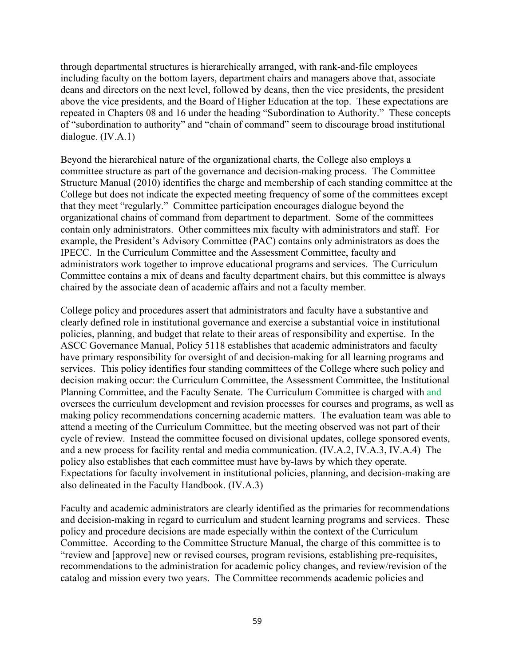through departmental structures is hierarchically arranged, with rank-and-file employees including faculty on the bottom layers, department chairs and managers above that, associate deans and directors on the next level, followed by deans, then the vice presidents, the president above the vice presidents, and the Board of Higher Education at the top. These expectations are repeated in Chapters 08 and 16 under the heading "Subordination to Authority." These concepts of "subordination to authority" and "chain of command" seem to discourage broad institutional dialogue. (IV.A.1)

Beyond the hierarchical nature of the organizational charts, the College also employs a committee structure as part of the governance and decision-making process. The Committee Structure Manual (2010) identifies the charge and membership of each standing committee at the College but does not indicate the expected meeting frequency of some of the committees except that they meet "regularly." Committee participation encourages dialogue beyond the organizational chains of command from department to department. Some of the committees contain only administrators. Other committees mix faculty with administrators and staff. For example, the President's Advisory Committee (PAC) contains only administrators as does the IPECC. In the Curriculum Committee and the Assessment Committee, faculty and administrators work together to improve educational programs and services. The Curriculum Committee contains a mix of deans and faculty department chairs, but this committee is always chaired by the associate dean of academic affairs and not a faculty member.

College policy and procedures assert that administrators and faculty have a substantive and clearly defined role in institutional governance and exercise a substantial voice in institutional policies, planning, and budget that relate to their areas of responsibility and expertise. In the ASCC Governance Manual, Policy 5118 establishes that academic administrators and faculty have primary responsibility for oversight of and decision-making for all learning programs and services. This policy identifies four standing committees of the College where such policy and decision making occur: the Curriculum Committee, the Assessment Committee, the Institutional Planning Committee, and the Faculty Senate. The Curriculum Committee is charged with and oversees the curriculum development and revision processes for courses and programs, as well as making policy recommendations concerning academic matters. The evaluation team was able to attend a meeting of the Curriculum Committee, but the meeting observed was not part of their cycle of review. Instead the committee focused on divisional updates, college sponsored events, and a new process for facility rental and media communication. (IV.A.2, IV.A.3, IV.A.4) The policy also establishes that each committee must have by-laws by which they operate. Expectations for faculty involvement in institutional policies, planning, and decision-making are also delineated in the Faculty Handbook. (IV.A.3)

Faculty and academic administrators are clearly identified as the primaries for recommendations and decision-making in regard to curriculum and student learning programs and services. These policy and procedure decisions are made especially within the context of the Curriculum Committee. According to the Committee Structure Manual, the charge of this committee is to "review and [approve] new or revised courses, program revisions, establishing pre-requisites, recommendations to the administration for academic policy changes, and review/revision of the catalog and mission every two years. The Committee recommends academic policies and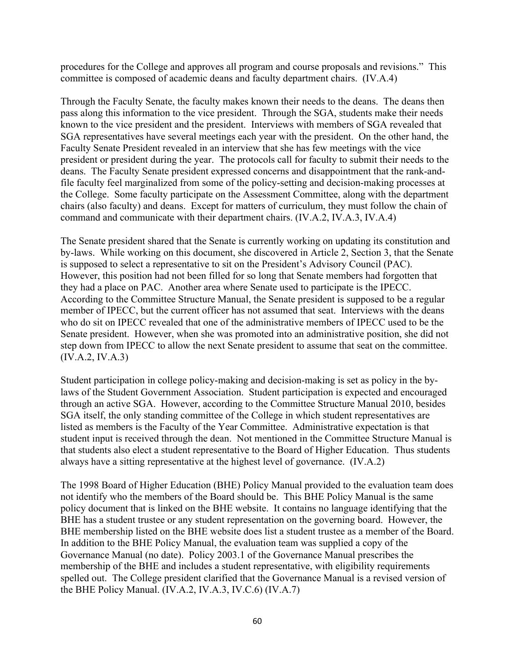procedures for the College and approves all program and course proposals and revisions." This committee is composed of academic deans and faculty department chairs. (IV.A.4)

Through the Faculty Senate, the faculty makes known their needs to the deans. The deans then pass along this information to the vice president. Through the SGA, students make their needs known to the vice president and the president. Interviews with members of SGA revealed that SGA representatives have several meetings each year with the president. On the other hand, the Faculty Senate President revealed in an interview that she has few meetings with the vice president or president during the year. The protocols call for faculty to submit their needs to the deans. The Faculty Senate president expressed concerns and disappointment that the rank-andfile faculty feel marginalized from some of the policy-setting and decision-making processes at the College. Some faculty participate on the Assessment Committee, along with the department chairs (also faculty) and deans. Except for matters of curriculum, they must follow the chain of command and communicate with their department chairs. (IV.A.2, IV.A.3, IV.A.4)

The Senate president shared that the Senate is currently working on updating its constitution and by-laws. While working on this document, she discovered in Article 2, Section 3, that the Senate is supposed to select a representative to sit on the President's Advisory Council (PAC). However, this position had not been filled for so long that Senate members had forgotten that they had a place on PAC. Another area where Senate used to participate is the IPECC. According to the Committee Structure Manual, the Senate president is supposed to be a regular member of IPECC, but the current officer has not assumed that seat. Interviews with the deans who do sit on IPECC revealed that one of the administrative members of IPECC used to be the Senate president. However, when she was promoted into an administrative position, she did not step down from IPECC to allow the next Senate president to assume that seat on the committee. (IV.A.2, IV.A.3)

Student participation in college policy-making and decision-making is set as policy in the bylaws of the Student Government Association. Student participation is expected and encouraged through an active SGA. However, according to the Committee Structure Manual 2010, besides SGA itself, the only standing committee of the College in which student representatives are listed as members is the Faculty of the Year Committee. Administrative expectation is that student input is received through the dean. Not mentioned in the Committee Structure Manual is that students also elect a student representative to the Board of Higher Education. Thus students always have a sitting representative at the highest level of governance. (IV.A.2)

The 1998 Board of Higher Education (BHE) Policy Manual provided to the evaluation team does not identify who the members of the Board should be. This BHE Policy Manual is the same policy document that is linked on the BHE website. It contains no language identifying that the BHE has a student trustee or any student representation on the governing board. However, the BHE membership listed on the BHE website does list a student trustee as a member of the Board. In addition to the BHE Policy Manual, the evaluation team was supplied a copy of the Governance Manual (no date). Policy 2003.1 of the Governance Manual prescribes the membership of the BHE and includes a student representative, with eligibility requirements spelled out. The College president clarified that the Governance Manual is a revised version of the BHE Policy Manual.  $(IV.A.2, IV.A.3, IV.C.6) (IV.A.7)$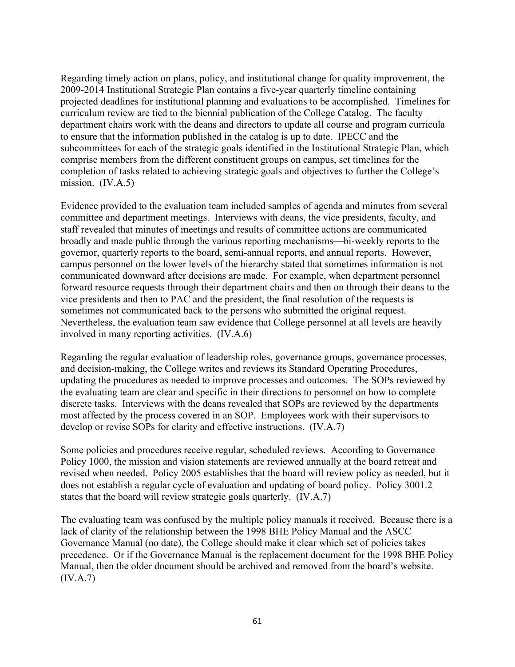Regarding timely action on plans, policy, and institutional change for quality improvement, the 2009-2014 Institutional Strategic Plan contains a five-year quarterly timeline containing projected deadlines for institutional planning and evaluations to be accomplished. Timelines for curriculum review are tied to the biennial publication of the College Catalog. The faculty department chairs work with the deans and directors to update all course and program curricula to ensure that the information published in the catalog is up to date. IPECC and the subcommittees for each of the strategic goals identified in the Institutional Strategic Plan, which comprise members from the different constituent groups on campus, set timelines for the completion of tasks related to achieving strategic goals and objectives to further the College's mission. (IV.A.5)

Evidence provided to the evaluation team included samples of agenda and minutes from several committee and department meetings. Interviews with deans, the vice presidents, faculty, and staff revealed that minutes of meetings and results of committee actions are communicated broadly and made public through the various reporting mechanisms—bi-weekly reports to the governor, quarterly reports to the board, semi-annual reports, and annual reports. However, campus personnel on the lower levels of the hierarchy stated that sometimes information is not communicated downward after decisions are made. For example, when department personnel forward resource requests through their department chairs and then on through their deans to the vice presidents and then to PAC and the president, the final resolution of the requests is sometimes not communicated back to the persons who submitted the original request. Nevertheless, the evaluation team saw evidence that College personnel at all levels are heavily involved in many reporting activities. (IV.A.6)

Regarding the regular evaluation of leadership roles, governance groups, governance processes, and decision-making, the College writes and reviews its Standard Operating Procedures, updating the procedures as needed to improve processes and outcomes. The SOPs reviewed by the evaluating team are clear and specific in their directions to personnel on how to complete discrete tasks. Interviews with the deans revealed that SOPs are reviewed by the departments most affected by the process covered in an SOP. Employees work with their supervisors to develop or revise SOPs for clarity and effective instructions. (IV.A.7)

Some policies and procedures receive regular, scheduled reviews. According to Governance Policy 1000, the mission and vision statements are reviewed annually at the board retreat and revised when needed. Policy 2005 establishes that the board will review policy as needed, but it does not establish a regular cycle of evaluation and updating of board policy. Policy 3001.2 states that the board will review strategic goals quarterly. (IV.A.7)

The evaluating team was confused by the multiple policy manuals it received. Because there is a lack of clarity of the relationship between the 1998 BHE Policy Manual and the ASCC Governance Manual (no date), the College should make it clear which set of policies takes precedence. Or if the Governance Manual is the replacement document for the 1998 BHE Policy Manual, then the older document should be archived and removed from the board's website. (IV.A.7)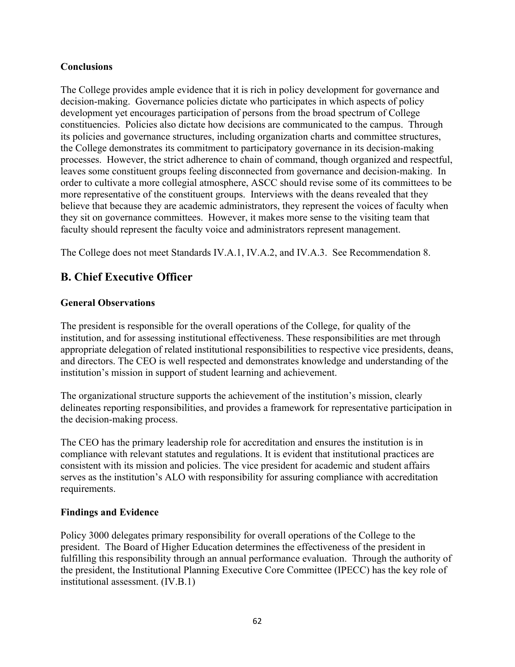## **Conclusions**

The College provides ample evidence that it is rich in policy development for governance and decision-making. Governance policies dictate who participates in which aspects of policy development yet encourages participation of persons from the broad spectrum of College constituencies. Policies also dictate how decisions are communicated to the campus. Through its policies and governance structures, including organization charts and committee structures, the College demonstrates its commitment to participatory governance in its decision-making processes. However, the strict adherence to chain of command, though organized and respectful, leaves some constituent groups feeling disconnected from governance and decision-making. In order to cultivate a more collegial atmosphere, ASCC should revise some of its committees to be more representative of the constituent groups. Interviews with the deans revealed that they believe that because they are academic administrators, they represent the voices of faculty when they sit on governance committees. However, it makes more sense to the visiting team that faculty should represent the faculty voice and administrators represent management.

The College does not meet Standards IV.A.1, IV.A.2, and IV.A.3. See Recommendation 8.

# **B. Chief Executive Officer**

## **General Observations**

The president is responsible for the overall operations of the College, for quality of the institution, and for assessing institutional effectiveness. These responsibilities are met through appropriate delegation of related institutional responsibilities to respective vice presidents, deans, and directors. The CEO is well respected and demonstrates knowledge and understanding of the institution's mission in support of student learning and achievement.

The organizational structure supports the achievement of the institution's mission, clearly delineates reporting responsibilities, and provides a framework for representative participation in the decision-making process.

The CEO has the primary leadership role for accreditation and ensures the institution is in compliance with relevant statutes and regulations. It is evident that institutional practices are consistent with its mission and policies. The vice president for academic and student affairs serves as the institution's ALO with responsibility for assuring compliance with accreditation requirements.

## **Findings and Evidence**

Policy 3000 delegates primary responsibility for overall operations of the College to the president. The Board of Higher Education determines the effectiveness of the president in fulfilling this responsibility through an annual performance evaluation. Through the authority of the president, the Institutional Planning Executive Core Committee (IPECC) has the key role of institutional assessment. (IV.B.1)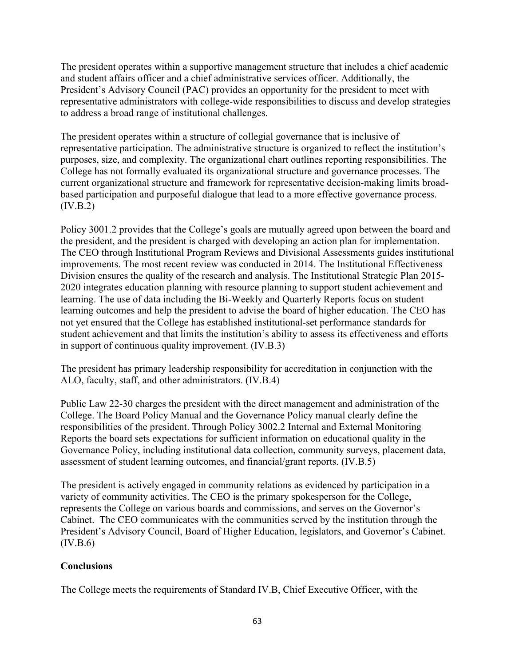The president operates within a supportive management structure that includes a chief academic and student affairs officer and a chief administrative services officer. Additionally, the President's Advisory Council (PAC) provides an opportunity for the president to meet with representative administrators with college-wide responsibilities to discuss and develop strategies to address a broad range of institutional challenges.

The president operates within a structure of collegial governance that is inclusive of representative participation. The administrative structure is organized to reflect the institution's purposes, size, and complexity. The organizational chart outlines reporting responsibilities. The College has not formally evaluated its organizational structure and governance processes. The current organizational structure and framework for representative decision-making limits broadbased participation and purposeful dialogue that lead to a more effective governance process. (IV.B.2)

Policy 3001.2 provides that the College's goals are mutually agreed upon between the board and the president, and the president is charged with developing an action plan for implementation. The CEO through Institutional Program Reviews and Divisional Assessments guides institutional improvements. The most recent review was conducted in 2014. The Institutional Effectiveness Division ensures the quality of the research and analysis. The Institutional Strategic Plan 2015- 2020 integrates education planning with resource planning to support student achievement and learning. The use of data including the Bi-Weekly and Quarterly Reports focus on student learning outcomes and help the president to advise the board of higher education. The CEO has not yet ensured that the College has established institutional-set performance standards for student achievement and that limits the institution's ability to assess its effectiveness and efforts in support of continuous quality improvement. (IV.B.3)

The president has primary leadership responsibility for accreditation in conjunction with the ALO, faculty, staff, and other administrators. (IV.B.4)

Public Law 22-30 charges the president with the direct management and administration of the College. The Board Policy Manual and the Governance Policy manual clearly define the responsibilities of the president. Through Policy 3002.2 Internal and External Monitoring Reports the board sets expectations for sufficient information on educational quality in the Governance Policy, including institutional data collection, community surveys, placement data, assessment of student learning outcomes, and financial/grant reports. (IV.B.5)

The president is actively engaged in community relations as evidenced by participation in a variety of community activities. The CEO is the primary spokesperson for the College, represents the College on various boards and commissions, and serves on the Governor's Cabinet. The CEO communicates with the communities served by the institution through the President's Advisory Council, Board of Higher Education, legislators, and Governor's Cabinet.  $(IV.B.6)$ 

## **Conclusions**

The College meets the requirements of Standard IV.B, Chief Executive Officer, with the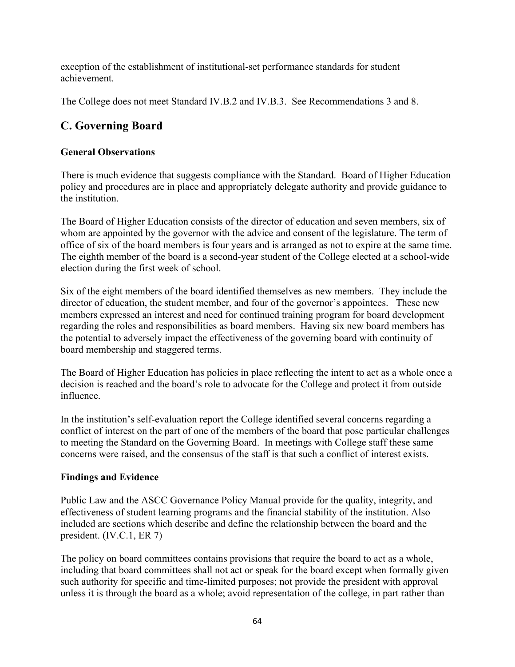exception of the establishment of institutional-set performance standards for student achievement.

The College does not meet Standard IV.B.2 and IV.B.3. See Recommendations 3 and 8.

# **C. Governing Board**

## **General Observations**

There is much evidence that suggests compliance with the Standard. Board of Higher Education policy and procedures are in place and appropriately delegate authority and provide guidance to the institution.

The Board of Higher Education consists of the director of education and seven members, six of whom are appointed by the governor with the advice and consent of the legislature. The term of office of six of the board members is four years and is arranged as not to expire at the same time. The eighth member of the board is a second-year student of the College elected at a school-wide election during the first week of school.

Six of the eight members of the board identified themselves as new members. They include the director of education, the student member, and four of the governor's appointees. These new members expressed an interest and need for continued training program for board development regarding the roles and responsibilities as board members. Having six new board members has the potential to adversely impact the effectiveness of the governing board with continuity of board membership and staggered terms.

The Board of Higher Education has policies in place reflecting the intent to act as a whole once a decision is reached and the board's role to advocate for the College and protect it from outside influence.

In the institution's self-evaluation report the College identified several concerns regarding a conflict of interest on the part of one of the members of the board that pose particular challenges to meeting the Standard on the Governing Board. In meetings with College staff these same concerns were raised, and the consensus of the staff is that such a conflict of interest exists.

## **Findings and Evidence**

Public Law and the ASCC Governance Policy Manual provide for the quality, integrity, and effectiveness of student learning programs and the financial stability of the institution. Also included are sections which describe and define the relationship between the board and the president. (IV.C.1, ER 7)

The policy on board committees contains provisions that require the board to act as a whole, including that board committees shall not act or speak for the board except when formally given such authority for specific and time-limited purposes; not provide the president with approval unless it is through the board as a whole; avoid representation of the college, in part rather than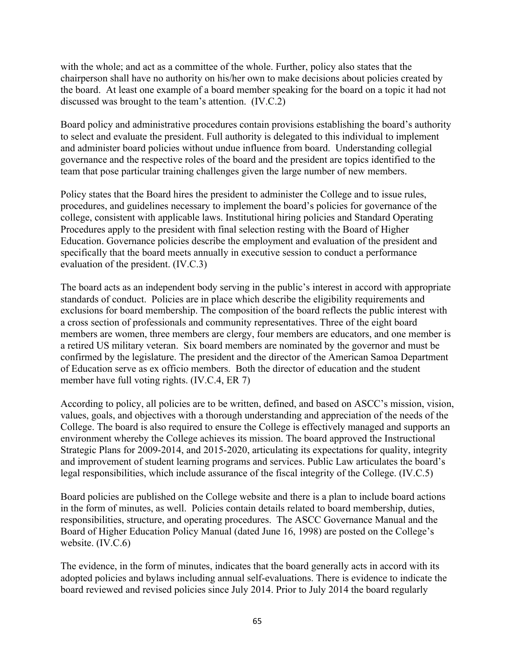with the whole; and act as a committee of the whole. Further, policy also states that the chairperson shall have no authority on his/her own to make decisions about policies created by the board. At least one example of a board member speaking for the board on a topic it had not discussed was brought to the team's attention. (IV.C.2)

Board policy and administrative procedures contain provisions establishing the board's authority to select and evaluate the president. Full authority is delegated to this individual to implement and administer board policies without undue influence from board. Understanding collegial governance and the respective roles of the board and the president are topics identified to the team that pose particular training challenges given the large number of new members.

Policy states that the Board hires the president to administer the College and to issue rules, procedures, and guidelines necessary to implement the board's policies for governance of the college, consistent with applicable laws. Institutional hiring policies and Standard Operating Procedures apply to the president with final selection resting with the Board of Higher Education. Governance policies describe the employment and evaluation of the president and specifically that the board meets annually in executive session to conduct a performance evaluation of the president. (IV.C.3)

The board acts as an independent body serving in the public's interest in accord with appropriate standards of conduct. Policies are in place which describe the eligibility requirements and exclusions for board membership. The composition of the board reflects the public interest with a cross section of professionals and community representatives. Three of the eight board members are women, three members are clergy, four members are educators, and one member is a retired US military veteran. Six board members are nominated by the governor and must be confirmed by the legislature. The president and the director of the American Samoa Department of Education serve as ex officio members. Both the director of education and the student member have full voting rights. (IV.C.4, ER 7)

According to policy, all policies are to be written, defined, and based on ASCC's mission, vision, values, goals, and objectives with a thorough understanding and appreciation of the needs of the College. The board is also required to ensure the College is effectively managed and supports an environment whereby the College achieves its mission. The board approved the Instructional Strategic Plans for 2009-2014, and 2015-2020, articulating its expectations for quality, integrity and improvement of student learning programs and services. Public Law articulates the board's legal responsibilities, which include assurance of the fiscal integrity of the College. (IV.C.5)

Board policies are published on the College website and there is a plan to include board actions in the form of minutes, as well. Policies contain details related to board membership, duties, responsibilities, structure, and operating procedures. The ASCC Governance Manual and the Board of Higher Education Policy Manual (dated June 16, 1998) are posted on the College's website. (IV.C.6)

The evidence, in the form of minutes, indicates that the board generally acts in accord with its adopted policies and bylaws including annual self-evaluations. There is evidence to indicate the board reviewed and revised policies since July 2014. Prior to July 2014 the board regularly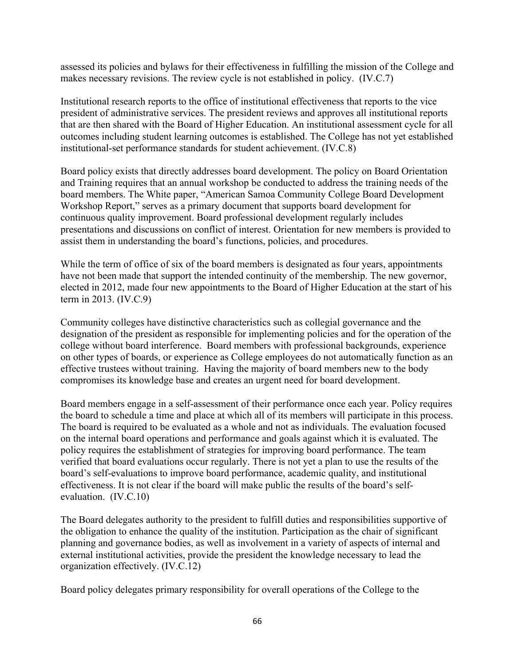assessed its policies and bylaws for their effectiveness in fulfilling the mission of the College and makes necessary revisions. The review cycle is not established in policy. (IV.C.7)

Institutional research reports to the office of institutional effectiveness that reports to the vice president of administrative services. The president reviews and approves all institutional reports that are then shared with the Board of Higher Education. An institutional assessment cycle for all outcomes including student learning outcomes is established. The College has not yet established institutional-set performance standards for student achievement. (IV.C.8)

Board policy exists that directly addresses board development. The policy on Board Orientation and Training requires that an annual workshop be conducted to address the training needs of the board members. The White paper, "American Samoa Community College Board Development Workshop Report," serves as a primary document that supports board development for continuous quality improvement. Board professional development regularly includes presentations and discussions on conflict of interest. Orientation for new members is provided to assist them in understanding the board's functions, policies, and procedures.

While the term of office of six of the board members is designated as four years, appointments have not been made that support the intended continuity of the membership. The new governor, elected in 2012, made four new appointments to the Board of Higher Education at the start of his term in 2013. (IV.C.9)

Community colleges have distinctive characteristics such as collegial governance and the designation of the president as responsible for implementing policies and for the operation of the college without board interference. Board members with professional backgrounds, experience on other types of boards, or experience as College employees do not automatically function as an effective trustees without training. Having the majority of board members new to the body compromises its knowledge base and creates an urgent need for board development.

Board members engage in a self-assessment of their performance once each year. Policy requires the board to schedule a time and place at which all of its members will participate in this process. The board is required to be evaluated as a whole and not as individuals. The evaluation focused on the internal board operations and performance and goals against which it is evaluated. The policy requires the establishment of strategies for improving board performance. The team verified that board evaluations occur regularly. There is not yet a plan to use the results of the board's self-evaluations to improve board performance, academic quality, and institutional effectiveness. It is not clear if the board will make public the results of the board's selfevaluation. (IV.C.10)

The Board delegates authority to the president to fulfill duties and responsibilities supportive of the obligation to enhance the quality of the institution. Participation as the chair of significant planning and governance bodies, as well as involvement in a variety of aspects of internal and external institutional activities, provide the president the knowledge necessary to lead the organization effectively. (IV.C.12)

Board policy delegates primary responsibility for overall operations of the College to the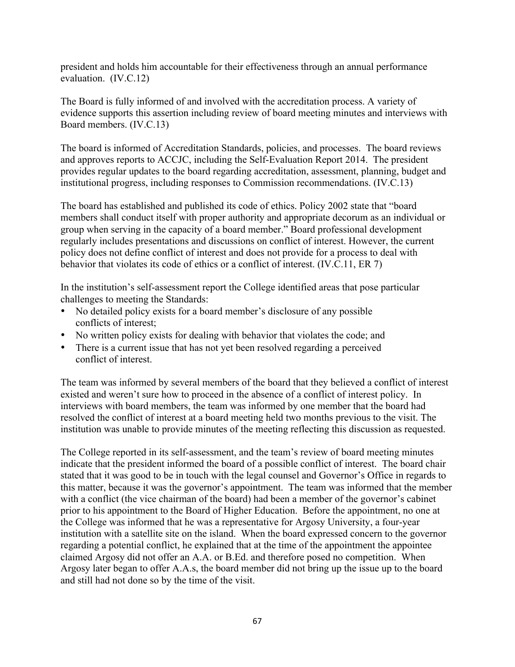president and holds him accountable for their effectiveness through an annual performance evaluation. (IV.C.12)

The Board is fully informed of and involved with the accreditation process. A variety of evidence supports this assertion including review of board meeting minutes and interviews with Board members. (IV.C.13)

The board is informed of Accreditation Standards, policies, and processes. The board reviews and approves reports to ACCJC, including the Self-Evaluation Report 2014. The president provides regular updates to the board regarding accreditation, assessment, planning, budget and institutional progress, including responses to Commission recommendations. (IV.C.13)

The board has established and published its code of ethics. Policy 2002 state that "board members shall conduct itself with proper authority and appropriate decorum as an individual or group when serving in the capacity of a board member." Board professional development regularly includes presentations and discussions on conflict of interest. However, the current policy does not define conflict of interest and does not provide for a process to deal with behavior that violates its code of ethics or a conflict of interest. (IV.C.11, ER 7)

In the institution's self-assessment report the College identified areas that pose particular challenges to meeting the Standards:

- No detailed policy exists for a board member's disclosure of any possible conflicts of interest;
- No written policy exists for dealing with behavior that violates the code; and
- There is a current issue that has not yet been resolved regarding a perceived conflict of interest.

The team was informed by several members of the board that they believed a conflict of interest existed and weren't sure how to proceed in the absence of a conflict of interest policy. In interviews with board members, the team was informed by one member that the board had resolved the conflict of interest at a board meeting held two months previous to the visit. The institution was unable to provide minutes of the meeting reflecting this discussion as requested.

The College reported in its self-assessment, and the team's review of board meeting minutes indicate that the president informed the board of a possible conflict of interest. The board chair stated that it was good to be in touch with the legal counsel and Governor's Office in regards to this matter, because it was the governor's appointment. The team was informed that the member with a conflict (the vice chairman of the board) had been a member of the governor's cabinet prior to his appointment to the Board of Higher Education. Before the appointment, no one at the College was informed that he was a representative for Argosy University, a four-year institution with a satellite site on the island. When the board expressed concern to the governor regarding a potential conflict, he explained that at the time of the appointment the appointee claimed Argosy did not offer an A.A. or B.Ed. and therefore posed no competition. When Argosy later began to offer A.A.s, the board member did not bring up the issue up to the board and still had not done so by the time of the visit.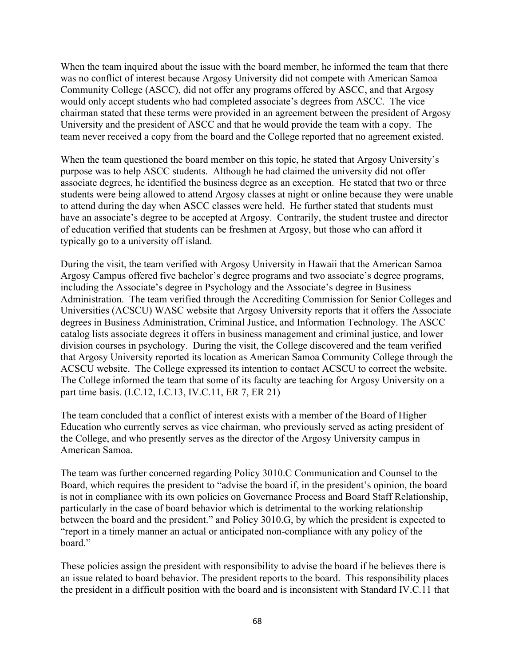When the team inquired about the issue with the board member, he informed the team that there was no conflict of interest because Argosy University did not compete with American Samoa Community College (ASCC), did not offer any programs offered by ASCC, and that Argosy would only accept students who had completed associate's degrees from ASCC. The vice chairman stated that these terms were provided in an agreement between the president of Argosy University and the president of ASCC and that he would provide the team with a copy. The team never received a copy from the board and the College reported that no agreement existed.

When the team questioned the board member on this topic, he stated that Argosy University's purpose was to help ASCC students. Although he had claimed the university did not offer associate degrees, he identified the business degree as an exception. He stated that two or three students were being allowed to attend Argosy classes at night or online because they were unable to attend during the day when ASCC classes were held. He further stated that students must have an associate's degree to be accepted at Argosy. Contrarily, the student trustee and director of education verified that students can be freshmen at Argosy, but those who can afford it typically go to a university off island.

During the visit, the team verified with Argosy University in Hawaii that the American Samoa Argosy Campus offered five bachelor's degree programs and two associate's degree programs, including the Associate's degree in Psychology and the Associate's degree in Business Administration. The team verified through the Accrediting Commission for Senior Colleges and Universities (ACSCU) WASC website that Argosy University reports that it offers the Associate degrees in Business Administration, Criminal Justice, and Information Technology. The ASCC catalog lists associate degrees it offers in business management and criminal justice, and lower division courses in psychology. During the visit, the College discovered and the team verified that Argosy University reported its location as American Samoa Community College through the ACSCU website. The College expressed its intention to contact ACSCU to correct the website. The College informed the team that some of its faculty are teaching for Argosy University on a part time basis. (I.C.12, I.C.13, IV.C.11, ER 7, ER 21)

The team concluded that a conflict of interest exists with a member of the Board of Higher Education who currently serves as vice chairman, who previously served as acting president of the College, and who presently serves as the director of the Argosy University campus in American Samoa.

The team was further concerned regarding Policy 3010.C Communication and Counsel to the Board, which requires the president to "advise the board if, in the president's opinion, the board is not in compliance with its own policies on Governance Process and Board Staff Relationship, particularly in the case of board behavior which is detrimental to the working relationship between the board and the president." and Policy 3010.G, by which the president is expected to "report in a timely manner an actual or anticipated non-compliance with any policy of the board."

These policies assign the president with responsibility to advise the board if he believes there is an issue related to board behavior. The president reports to the board. This responsibility places the president in a difficult position with the board and is inconsistent with Standard IV.C.11 that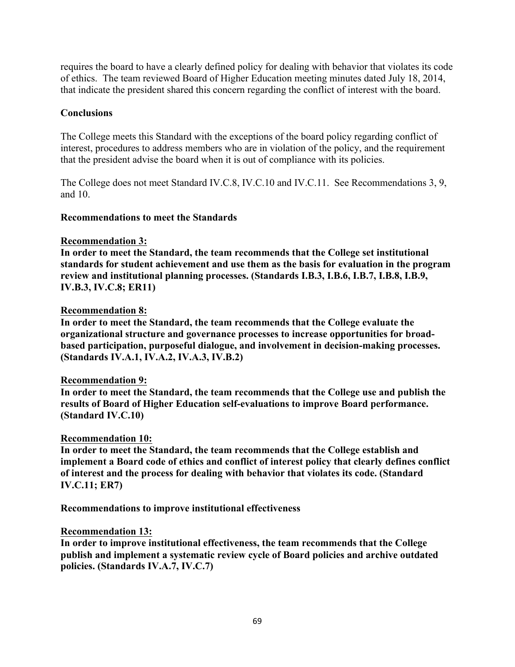requires the board to have a clearly defined policy for dealing with behavior that violates its code of ethics. The team reviewed Board of Higher Education meeting minutes dated July 18, 2014, that indicate the president shared this concern regarding the conflict of interest with the board.

### **Conclusions**

The College meets this Standard with the exceptions of the board policy regarding conflict of interest, procedures to address members who are in violation of the policy, and the requirement that the president advise the board when it is out of compliance with its policies.

The College does not meet Standard IV.C.8, IV.C.10 and IV.C.11. See Recommendations 3, 9, and 10.

## **Recommendations to meet the Standards**

#### **Recommendation 3:**

**In order to meet the Standard, the team recommends that the College set institutional standards for student achievement and use them as the basis for evaluation in the program review and institutional planning processes. (Standards I.B.3, I.B.6, I.B.7, I.B.8, I.B.9, IV.B.3, IV.C.8; ER11)**

## **Recommendation 8:**

**In order to meet the Standard, the team recommends that the College evaluate the organizational structure and governance processes to increase opportunities for broadbased participation, purposeful dialogue, and involvement in decision-making processes. (Standards IV.A.1, IV.A.2, IV.A.3, IV.B.2)**

#### **Recommendation 9:**

**In order to meet the Standard, the team recommends that the College use and publish the results of Board of Higher Education self-evaluations to improve Board performance. (Standard IV.C.10)**

#### **Recommendation 10:**

**In order to meet the Standard, the team recommends that the College establish and implement a Board code of ethics and conflict of interest policy that clearly defines conflict of interest and the process for dealing with behavior that violates its code. (Standard IV.C.11; ER7)**

**Recommendations to improve institutional effectiveness**

#### **Recommendation 13:**

**In order to improve institutional effectiveness, the team recommends that the College publish and implement a systematic review cycle of Board policies and archive outdated policies. (Standards IV.A.7, IV.C.7)**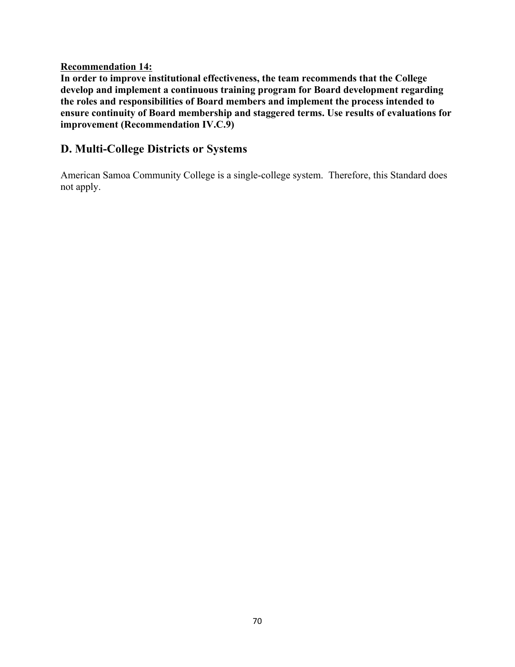### **Recommendation 14:**

**In order to improve institutional effectiveness, the team recommends that the College develop and implement a continuous training program for Board development regarding the roles and responsibilities of Board members and implement the process intended to ensure continuity of Board membership and staggered terms. Use results of evaluations for improvement (Recommendation IV.C.9)**

## **D. Multi-College Districts or Systems**

American Samoa Community College is a single-college system. Therefore, this Standard does not apply.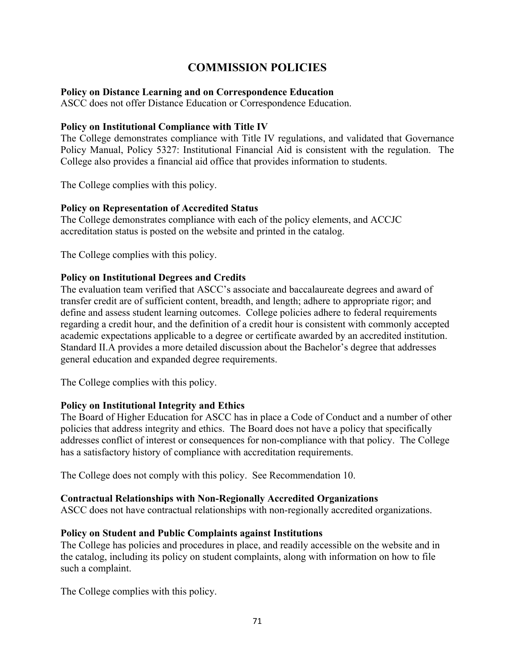# **COMMISSION POLICIES**

### **Policy on Distance Learning and on Correspondence Education**

ASCC does not offer Distance Education or Correspondence Education.

### **Policy on Institutional Compliance with Title IV**

The College demonstrates compliance with Title IV regulations, and validated that Governance Policy Manual, Policy 5327: Institutional Financial Aid is consistent with the regulation. The College also provides a financial aid office that provides information to students.

The College complies with this policy.

## **Policy on Representation of Accredited Status**

The College demonstrates compliance with each of the policy elements, and ACCJC accreditation status is posted on the website and printed in the catalog.

The College complies with this policy.

## **Policy on Institutional Degrees and Credits**

The evaluation team verified that ASCC's associate and baccalaureate degrees and award of transfer credit are of sufficient content, breadth, and length; adhere to appropriate rigor; and define and assess student learning outcomes. College policies adhere to federal requirements regarding a credit hour, and the definition of a credit hour is consistent with commonly accepted academic expectations applicable to a degree or certificate awarded by an accredited institution. Standard II.A provides a more detailed discussion about the Bachelor's degree that addresses general education and expanded degree requirements.

The College complies with this policy.

## **Policy on Institutional Integrity and Ethics**

The Board of Higher Education for ASCC has in place a Code of Conduct and a number of other policies that address integrity and ethics. The Board does not have a policy that specifically addresses conflict of interest or consequences for non-compliance with that policy. The College has a satisfactory history of compliance with accreditation requirements.

The College does not comply with this policy. See Recommendation 10.

#### **Contractual Relationships with Non-Regionally Accredited Organizations**

ASCC does not have contractual relationships with non-regionally accredited organizations.

## **Policy on Student and Public Complaints against Institutions**

The College has policies and procedures in place, and readily accessible on the website and in the catalog, including its policy on student complaints, along with information on how to file such a complaint.

The College complies with this policy.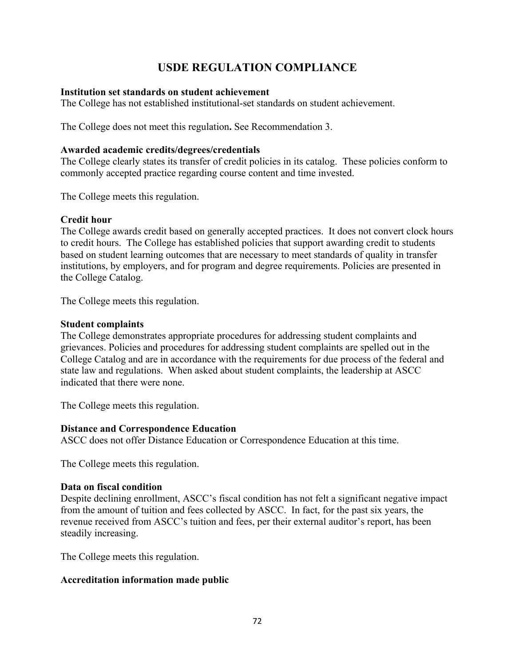# **USDE REGULATION COMPLIANCE**

### **Institution set standards on student achievement**

The College has not established institutional-set standards on student achievement.

The College does not meet this regulation**.** See Recommendation 3.

#### **Awarded academic credits/degrees/credentials**

The College clearly states its transfer of credit policies in its catalog. These policies conform to commonly accepted practice regarding course content and time invested.

The College meets this regulation.

## **Credit hour**

The College awards credit based on generally accepted practices. It does not convert clock hours to credit hours. The College has established policies that support awarding credit to students based on student learning outcomes that are necessary to meet standards of quality in transfer institutions, by employers, and for program and degree requirements. Policies are presented in the College Catalog.

The College meets this regulation.

#### **Student complaints**

The College demonstrates appropriate procedures for addressing student complaints and grievances. Policies and procedures for addressing student complaints are spelled out in the College Catalog and are in accordance with the requirements for due process of the federal and state law and regulations. When asked about student complaints, the leadership at ASCC indicated that there were none.

The College meets this regulation.

## **Distance and Correspondence Education**

ASCC does not offer Distance Education or Correspondence Education at this time.

The College meets this regulation.

## **Data on fiscal condition**

Despite declining enrollment, ASCC's fiscal condition has not felt a significant negative impact from the amount of tuition and fees collected by ASCC. In fact, for the past six years, the revenue received from ASCC's tuition and fees, per their external auditor's report, has been steadily increasing.

The College meets this regulation.

## **Accreditation information made public**